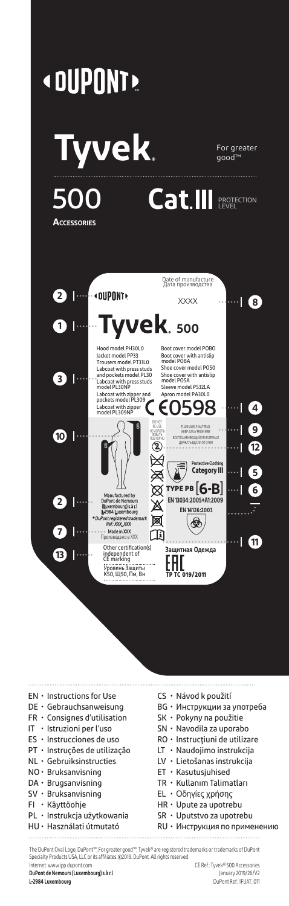

- SV Bruksanvisning
- FI Käyttöohje
- PL Instrukcja użytkowania
- HU Használati útmutató
- 
- 
- EL Οδηγίες χρήσης
- HR Upute za upotrebu
- SR Uputstvo za upotrebu
- RU Инструкция по применению

The DuPont Oval Logo, DuPont™, For greater good™, Tyvek® are registered trademarks or trademarks of DuPont Specialty Products USA, LLC or its affiliates. 2019. DuPont. All rights reserved.

**DuPont de Nemours (Luxembourg) s.à r.l** January 2019/26/V2

Internet: www.ipp.dupont.com CE Ref.: Tyvek® 500 Accessories **L-2984 Luxembourg** DuPont Ref.: IFUAT\_011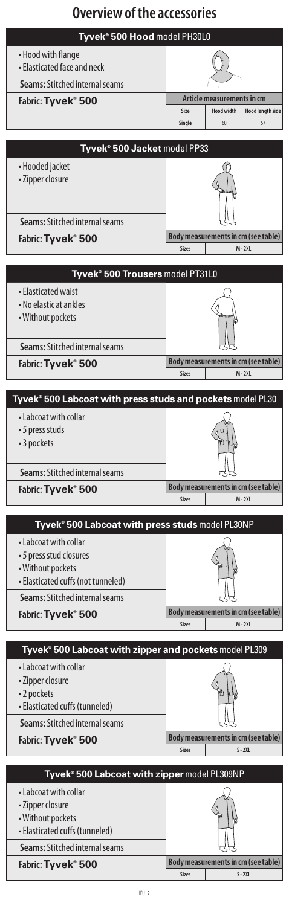# **Overview of the accessories**

## **Tyvek**®  **500 Hood** model PH30L0

| • Hood with flange<br>• Elasticated face and neck |               |                            |                         |
|---------------------------------------------------|---------------|----------------------------|-------------------------|
| <b>Seams: Stitched internal seams</b>             |               |                            |                         |
| Fabric: Tyvek <sup>®</sup> 500                    |               | Article measurements in cm |                         |
|                                                   | Size          | <b>Hood width</b>          | <b>Hood length side</b> |
|                                                   | <b>Single</b> | 60                         | 57                      |
|                                                   |               |                            |                         |

| Tyvek <sup>®</sup> 500 Jacket model PP33 |                                     |           |  |  |
|------------------------------------------|-------------------------------------|-----------|--|--|
| • Hooded jacket<br>• Zipper closure      |                                     |           |  |  |
| <b>Seams: Stitched internal seams</b>    |                                     |           |  |  |
| Fabric: Tyvek <sup>®</sup> 500           | Body measurements in cm (see table) |           |  |  |
|                                          | <b>Sizes</b>                        | $M - 2XL$ |  |  |

| Tyvek® 500 Trousers model PT31L0                                   |                                     |           |  |  |
|--------------------------------------------------------------------|-------------------------------------|-----------|--|--|
| • Elasticated waist<br>• No elastic at ankles<br>• Without pockets | ssama                               |           |  |  |
| <b>Seams: Stitched internal seams</b>                              |                                     |           |  |  |
| Fabric: Tyvek <sup>®</sup> 500                                     | Body measurements in cm (see table) |           |  |  |
|                                                                    | <b>Sizes</b>                        | $M - 2XL$ |  |  |

| Tyvek <sup>®</sup> 500 Labcoat with press studs and pockets model PL30 |                                     |           |  |
|------------------------------------------------------------------------|-------------------------------------|-----------|--|
| • Labcoat with collar<br>• 5 press studs<br>• 3 pockets                |                                     |           |  |
| <b>Seams: Stitched internal seams</b>                                  |                                     |           |  |
| Fabric: Tyvek <sup>®</sup> 500                                         | Body measurements in cm (see table) |           |  |
|                                                                        | <b>Sizes</b>                        | $M - 2XL$ |  |

| Tyvek <sup>®</sup> 500 Labcoat with press studs model PL30NP                                                |              |                                     |  |
|-------------------------------------------------------------------------------------------------------------|--------------|-------------------------------------|--|
| • Labcoat with collar<br>• 5 press stud closures<br>• Without pockets<br>• Elasticated cuffs (not tunneled) |              |                                     |  |
| <b>Seams: Stitched internal seams</b>                                                                       |              |                                     |  |
| Fabric: Tyvek <sup>®</sup> 500                                                                              |              | Body measurements in cm (see table) |  |
|                                                                                                             | <b>Sizes</b> | $M - 2XL$                           |  |

| Tyvek <sup>®</sup> 500 Labcoat with zipper and pockets model PL309                        |              |                                     |  |
|-------------------------------------------------------------------------------------------|--------------|-------------------------------------|--|
| • Labcoat with collar<br>• Zipper closure<br>•2 pockets<br>• Elasticated cuffs (tunneled) |              |                                     |  |
| <b>Seams: Stitched internal seams</b>                                                     |              |                                     |  |
| Fabric: Tyvek <sup>®</sup> 500                                                            |              | Body measurements in cm (see table) |  |
|                                                                                           | <b>Sizes</b> | $S - 2XL$                           |  |
|                                                                                           |              |                                     |  |
| Tyvek® 500 Labcoat with zipper model PL309NP                                              |              |                                     |  |
| $\bullet$ Labcoat with collar                                                             |              |                                     |  |

|                                       | <b>Sizes</b> | $S - 2XL$                           |
|---------------------------------------|--------------|-------------------------------------|
| Fabric: Tyvek <sup>®</sup> 500        |              | Body measurements in cm (see table) |
| <b>Seams:</b> Stitched internal seams |              |                                     |
| • Elasticated cuffs (tunneled)        |              |                                     |
| • Without pockets                     |              |                                     |
| • Zipper closure                      |              |                                     |
| • Labcoat with collar                 |              |                                     |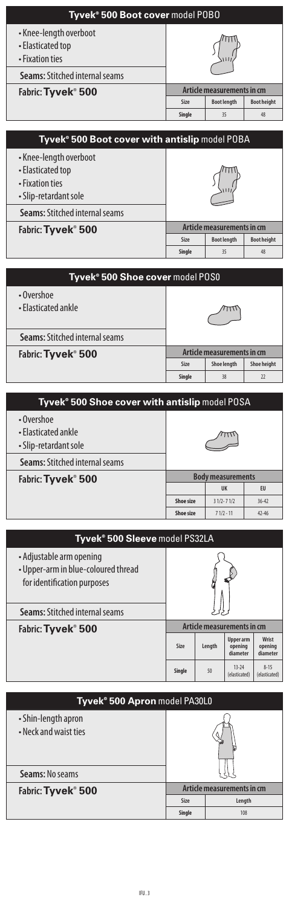| Tyvek® 500 Boot cover model POBO                               |        |                            |                    |
|----------------------------------------------------------------|--------|----------------------------|--------------------|
| • Knee-length overboot<br>• Elasticated top<br>• Fixation ties |        |                            |                    |
| <b>Seams: Stitched internal seams</b>                          |        |                            |                    |
| Fabric: Tyvek <sup>®</sup> 500                                 |        | Article measurements in cm |                    |
|                                                                | Size   | <b>Boot length</b>         | <b>Boot height</b> |
|                                                                | Single | 35                         | 48                 |
|                                                                |        |                            |                    |

| Tyvek <sup>®</sup> 500 Boot cover with antislip model POBA                              |        |                            |                    |
|-----------------------------------------------------------------------------------------|--------|----------------------------|--------------------|
| • Knee-length overboot<br>• Elasticated top<br>• Fixation ties<br>• Slip-retardant sole |        |                            |                    |
| <b>Seams: Stitched internal seams</b>                                                   |        |                            |                    |
| Fabric: Tyvek® 500                                                                      |        | Article measurements in cm |                    |
|                                                                                         | Size   | <b>Boot length</b>         | <b>Boot height</b> |
|                                                                                         | Single | 35                         | 48                 |
|                                                                                         |        |                            |                    |

| Tyvek® 500 Shoe cover model POS0      |                            |                    |             |  |
|---------------------------------------|----------------------------|--------------------|-------------|--|
| • Overshoe<br>• Flasticated ankle     |                            |                    |             |  |
| <b>Seams: Stitched internal seams</b> |                            |                    |             |  |
| Fabric: Tyvek <sup>®</sup> 500        | Article measurements in cm |                    |             |  |
|                                       | Size                       | <b>Shoe length</b> | Shoe height |  |
|                                       | Single                     | 38                 | 22          |  |

| Tyvek <sup>®</sup> 500 Shoe cover with antislip model POSA |                          |               |           |
|------------------------------------------------------------|--------------------------|---------------|-----------|
| • Overshoe<br>• Flasticated ankle<br>• Slip-retardant sole |                          |               |           |
| <b>Seams: Stitched internal seams</b>                      |                          |               |           |
| Fabric: Tyvek <sup>®</sup> 500                             | <b>Body measurements</b> |               |           |
|                                                            |                          | UK            | EU        |
|                                                            | Shoe size                | $31/2 - 71/2$ | $36 - 42$ |
|                                                            | Shoe size                | $71/2 - 11$   | $42 - 46$ |

| Tyvek® 500 Sleeve model PS32LA                                                                 |                            |        |                                         |                              |
|------------------------------------------------------------------------------------------------|----------------------------|--------|-----------------------------------------|------------------------------|
| • Adjustable arm opening<br>• Upper-arm in blue-coloured thread<br>for identification purposes |                            |        |                                         |                              |
| <b>Seams: Stitched internal seams</b>                                                          |                            |        |                                         |                              |
| Fabric: Tyvek <sup>®</sup> 500                                                                 | Article measurements in cm |        |                                         |                              |
|                                                                                                | Size                       | Length | <b>Upper</b> arm<br>opening<br>diameter | Wrist<br>opening<br>diameter |
|                                                                                                | Single                     | 50     | $13 - 24$<br>(elasticated)              | $8 - 15$<br>(elasticated)    |

| Tyvek <sup>®</sup> 500 Apron model PA30L0    |                            |        |  |
|----------------------------------------------|----------------------------|--------|--|
| • Shin-length apron<br>• Neck and waist ties |                            |        |  |
| Seams: No seams                              |                            |        |  |
| Fabric: Tyvek <sup>®</sup> 500               | Article measurements in cm |        |  |
|                                              | Size                       | Length |  |
|                                              | Single                     | 108    |  |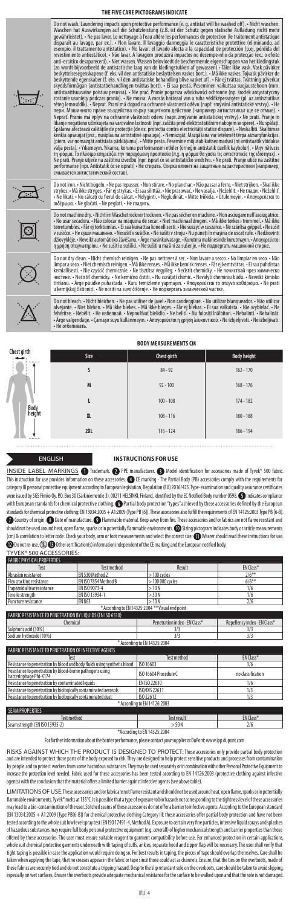### **THE FIVE CARE PICTOGRAMS INDICATE**

Do not wash. Laundering impacts upon protective performance (e.g., antistat will be washed off). • Nicht washen, and the Schutzeler end and alter less performance (e.g., antistatively and the schutz energy in the station m

Do notiron. - Nichtbügeln. - Ne pas repasser. - Non stirare. - No planchar. - Não passar a ferro. - Niet strijken. - Skal ikke<br>strykes. - Mã ikke stryges. - Fār ej strykas. - Ei saa silittää. - Nie prasować. - Ne vasalja.  $\triangle$ 

 $\Box$ 





Do not dry dean. - Nicht chemisch reinigen. - Ne pas nettoyer à sec. - Non lavare a secco. - No limpiar en seco. - Não<br>limpar a seco. -Niet chemisch reinigen. - Mã ikke renses. - Mã ikke kemisk renses. - Făre jkemtvättas.

Do not machine dry. • Nicht im Wäschetrockner trocknen. • Ne pas sécher en machine. • Non asciugare nell'asciugatrice.<br>• No usar secadora. • Não colocar na máquina de secar. • Niet machinaal drogen. • Mã ikke tørkes i trom v sušičce. • Не суши машинно. • Nesušiť v sušičke. • Ne sušiti v stroju • Nu puneți în mașina de uscat rufe. • Nedžiovinti<br>džiovyklėje. • Neveikt automātisko žavēšanu. • Arge masinkuivatage. • Kurutma makinesinde kurutmay

Do not bleach. - Nicht bleichen. - Ne pas utiliser de javel.- Non candeggiare. - No utilizar blanqueador. - Não<br>alvejante. - Niet bleken. - Mã ikke blekes. - Mã ikke bleges. - Făr ej blekas. - Ei saa valkaista. - Nie wybi

**BODY MEASUREMENTS CM**

| Chest girth<br>$\leftrightarrow$ | Size      | Chest girth | <b>Body height</b> |
|----------------------------------|-----------|-------------|--------------------|
|                                  | s         | $84 - 92$   | $162 - 170$        |
|                                  | M         | $92 - 100$  | $168 - 176$        |
| υ                                | ı         | $100 - 108$ | $174 - 182$        |
| height                           | <b>XL</b> | $108 - 116$ | $180 - 188$        |
|                                  | 2XL       | $116 - 124$ | $186 - 194$        |
| Bod                              |           |             |                    |

### ENGLISH **INSTRUCTIONS FOR USE**

INSIDE LABEL MARKINGS 1 Trademark. <sup>1</sup> PPE manufacturer. 1 Model identification for accessories made of Tyvek® 500 fabric. This instruction for use provides information on these accessories.  $\bullet$  CE marking - The Partial Body (PB) accessories comply with the requirements for category III personal protective equipment according to European legislation, Regulation (EU) 2016/425. Type-examination and quality assurance certificates were issued by SGS Fimko Oy, P.O. Box 30 (Särkiniementie 3), 00211 HELSINKI, Finland, identified by the EC Notified Body number 0598. @Indicates compliance with European standards for chemical protective clothing. © Partial body protection "types" achieved by these accessories defined by the European<br>standards for chemical protective dothing: EN 1920:2005 + A1:2009 (Type BIG) should not be used around heat, open flame, sparks or in potentially flammable environments. **(D** Sizing pictogram indicates body or article measurements (cm) & correlation to letter code. Check your body, arm or foot measurements and select the correct size. W Wearer should read these instructions for use.<br>@ Do not re-use. ③ @ Other certification(s) information independent TYVEK® 500 ACCESSORIES:

| I I VEN DUU ALLEDDUNIED.                                  |                     |                  |           |  |
|-----------------------------------------------------------|---------------------|------------------|-----------|--|
| <b>FABRIC PHYSICAL PROPERTIES</b>                         |                     |                  |           |  |
| Test                                                      | <b>Test method</b>  | Result           | EN Class* |  |
| Abrasion resistance                                       | FN 530 Method 2     | $>100$ cycles    | $2/6***$  |  |
| Flex cracking resistance                                  | FNISO 7854 Method B | $>100000$ cycles | $6/6**$   |  |
| Trapezoidal tear resistance                               | EN ISO 9073-4       | >10N             | 1/6       |  |
| Tensile strenath                                          | FNISO 13934-1       | > 30 N           | 1/6       |  |
| Puncture resistance                                       | FN 863              | >10N             | 2/6       |  |
| * According to EN 14325:2004 ** Visual end point          |                     |                  |           |  |
| FABRIC RESISTANCE TO PENETRATION BY LIOUIDS (EN ISO 6530) |                     |                  |           |  |

| Chemical                                                                           | Penetration index - EN Class* | Repellency index - EN Class* |
|------------------------------------------------------------------------------------|-------------------------------|------------------------------|
| Sulphuric acid (30%)                                                               | 3/3                           | 3/3                          |
| Sodium hvdroxide (10%)                                                             | 3/3                           | 3/3                          |
|                                                                                    | * According to EN 14325:2004  |                              |
| FABRIC RESISTANCE TO PENETRATION OF INFECTIVE AGENTS                               |                               |                              |
| Test                                                                               | <b>Test method</b>            | EN Class*                    |
| Resistance to penetration by blood and body fluids using synthetic blood           | ISO 16603                     | 3/6                          |
| Resistance to penetration by blood-borne pathogens using<br>bacteriophage Phi-X174 | ISO 16604 Procedure C         | no classification            |
| Resistance to penetration by contaminated liquids                                  | EN ISO 22610                  | 1/6                          |
| Resistance to penetration by biologically contaminated aerosols                    | ISO/DIS 22611                 | 1/3                          |
| Resistance to penetration by biologically contaminated dust                        | ISO 22612                     | 1/3                          |
|                                                                                    | * According to EN 14126:2003  |                              |
| <b>SEAM PROPERTIES</b>                                                             |                               |                              |
| Test method                                                                        | <b>Test result</b>            | EN Class*                    |
| Seam strength (EN ISO 13935-2)                                                     | >50N                          | 2/6                          |

\*According to EN 14325:2004

For further information about the barrier performance, please contact your supplier or DuPont: www.ipp.dupont.com

RISKS AGAINST WHICH THE PRODUCT IS DESIGNED TO PROTECT: These accessories only provide partial body protection<br>and are intended to protect those parts of the body exposed to risk. They are designed to help protect sensitiv by people and to protect workers from some hazardous substances. They may be used separately or in combination with other Personal Protective Equipment to increase the protection level needed. Fabric used for these accessories has been tested according to EN 14126:2003 (protective clothing against infective agents) with the conclusion that the material offers a limited barrier against infective agents (see above table).

LIMITATIONS OF USE: These accessories and/or fabric are not flame resistant and should not be used around heat, open flame, sparks or in potentially flammable environments. Tyvek®melts at 135℃. It is possible that a type of exposure to bio hazards not corresponding to the tightness level of these accessories<br>may lead to a bio-contamination of the user. Stitched seams o (EN 13034:2005 + A1:2009 (Type PB[6-B]) for chemical protective clothing Category III: these accessories offer partial body protection and have not been tested according to the whole suit low level spray test (EN ISO 17491-4, Method A). Exposure to certain very fine particles, intensive liquid sprays and splashes<br>of hazardous substances may require full body personal profe whole suit chemical protective garments underneath with taping of cuffs, ankles, separate hood and zipper flap will be necessary. The user shall verify that tight taping is possible in case the application would require doing so. For best results in taping, the pieces of tape should overlap themselves. Care shall be taken when applying the tape, that no creases appear in the fabric or tape since those could act as channels. Ensure, that the ties on the overboots, made of these fabrics are securely tied and do not constitute a tripping hazard. Despite the slip retardant sole on the overboots, care should be taken to avoid slipping<br>especially on wet surfaces. Ensure the overboots provide ade .<br>Ical resistance for the surface to be walked upon and that the sole is not dan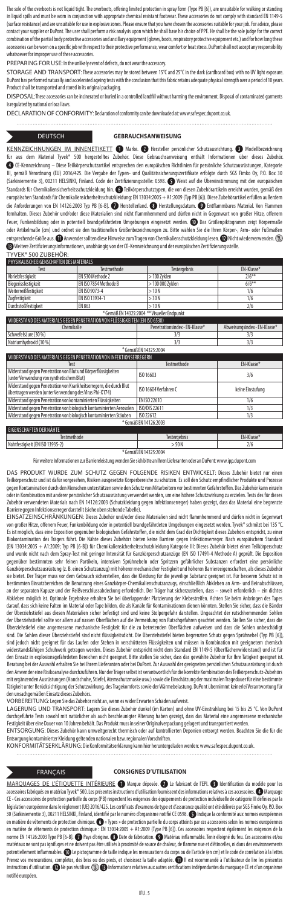The sole of the overboots is not liquid tight. The overboots, offering limited protection in spray form (Type PB [6]), are unsuitable for walking or sta in liquid spills and must be wom in conjunction with appropriate chemical resistant footwear. These accessories do not comply with standard EN 1149-5<br>(surface resistance) and are unsuitable for use in explosive zones. Plea contact your supplier or DuPont. The user shall perform a risk analysis upon which he shall back hoster in the<br>combination of the partial body protective accessories and andlary equipment (gloves, respiratory protective eq whatsoever for improper use of these accessories.

PREPARING FOR USE: In the unlikely event of defects, do not wear the accessory.

STORAGE AND TRANSPORT: These accessories may be stored between 15°C and 25°C in the dark (cardboard box) with no UV light expos DuPont has performed naturally and accelerated ageing tests with the conclusion that this fabric retains adequate physical strength over a period of 10 years. Product shall be transported and stored in its original packaging.

DISPOSAL:These accessories can be incinerated or buried in a controlled landfill without harming the environment. Disposal of contaminated garments is regulated by national or local laws.

DECLARATION OF CONFORMITY: Declaration of conformity can be downloaded at: www.safespec.dupont.co.uk.

### DEUTSCH **GEBRAUCHSANWEISUNG**

KENNZEICHNUNGEN IM INNENETIKETT **O** Marke. <sup>9</sup> Hersteller persönlicher Schutzausrichtung. <sup>9</sup> Modellbezeichnung<br>für aus dem Material Tyvek® 500 hergestelltes Zubehör. Diese Gebrauchsanweisung enthält Informationen über die  $\begin{minipage}[c]{0.7\linewidth} \textbf{Gebrauchsanweis} & \textbf{on} \\\textbf{informationen} \end{minipage}$  CE-Kennzeichnung – Diese Teilkörperschutzartikel entsprechen den europäischen Richtlinien für persönliche Schutzausrüstungen, Kategorie III, gemäß Verordnung (EU) 2016/425. Die Vergabe der Typen- und Qualitätssicherungszertifikate erfolgte durch SGS Fimko Oy, P.O. Box 30<br>(Särkiniementie 3), 00211 HELSINKI, Finland. Code der Zertifizierungsstelle: 0598. ۞ W Standards für Chemikaliensicherheitsschutzkleidung hin. @Teilkörperschutztypen, die von diesen Zubehörartikeln erreicht wurden, gemäß den europäischen Standards für Chemikaliensicherheitsschutzkleidung: EN 13034:2005 + A1:2009 (Typ PB [6]). Diese Zubehörartikel erfüllen außerdem die Anforderungen von EN 14126:2003 Typ PB [6-B]. 1 Herstellerland. @ Herstellungsdatum. @ Entflammbares Material. Von Flammen fernhalten. Dieses Zubehör und/oder diese Materialien sind nicht flammhemmend und dürfen nicht in Gegenwart von großer Hitze, offenem Feuer, Funkenbildung oder in potentiell brandgefährdeten Umgebungen eingesetzt werden. WD Das Größenpiktogramm zeigt Körpermaße<br>oder Artikelmaße (cm) und ordnet sie den traditionellen Größenbezeichnungen zu. Bitte wählen S entsprechende Größe aus.  $\bf0$  Anwender sollten diese Hinweise zum Tragen von Chemikalienschutzkleidung lesen.  $\bf0$ Nicht wiederverwenden.  $\Bbbk$ Weitere Zertifizierungsinformationen, unabhängig von der CE-Kennzeichnung und der europäischen Zertifizierungsstelle.

### TYVEK® 500 ZUBEHÖR:

| PHYSIKALISCHE FIGENSCHAFTEN DES MATERIALS                                                                                                                                                                                                                                            |                       |                     |            |
|--------------------------------------------------------------------------------------------------------------------------------------------------------------------------------------------------------------------------------------------------------------------------------------|-----------------------|---------------------|------------|
| Test                                                                                                                                                                                                                                                                                 | Testmethode           | <b>Testergebnis</b> | FN-Klasse* |
| Abriebfestiakeit                                                                                                                                                                                                                                                                     | FN 530 Methode 2      | $>100$ Zvklen       | $2/6**$    |
| Biegerissfestigkeit                                                                                                                                                                                                                                                                  | EN ISO 7854 Methode B | > 100 000 7 vklen   | $6/6**$    |
| Weiterreißfestigkeit                                                                                                                                                                                                                                                                 | FNISO 9073-4          | >10N                | 1/6        |
| Zuafestiakeit                                                                                                                                                                                                                                                                        | FNISO 13934-1         | > 30 N              | 1/6        |
| <b>Durchstoßfestiakeit</b>                                                                                                                                                                                                                                                           | <b>FN863</b>          | >10N                | 2/6        |
| $X \subset \mathbb{R}$ . The state of $\mathbb{R}$ and $X \subset \mathbb{R}$ is the state of $\mathbb{R}$ . The state of $\mathbb{R}$ is the state of $\mathbb{R}$ is the state of $\mathbb{R}$ is the state of $\mathbb{R}$ is the state of $\mathbb{R}$ is the state of $\mathbb$ |                       |                     |            |

| $\pi$ Gemals EN 14325:2004 $\pi\pi$ Visueller Endpunkt                       |     |     |  |  |
|------------------------------------------------------------------------------|-----|-----|--|--|
| WIDERSTAND DES MATERIALS GEGEN PENETRATION VON FLÜSSIGKEITEN (EN ISO 6530)   |     |     |  |  |
| Penetrationsindex - FN-Klasse*<br>Abweisungsindex - EN-Klasse*<br>Chemikalie |     |     |  |  |
| Schwefelsäure (30 %)                                                         | 3/3 | 3/3 |  |  |
| Natriumhydroxid (10 %)<br>3/3<br>3/3                                         |     |     |  |  |
| * Gemäß EN 14325:2004                                                        |     |     |  |  |

| I WIDERSTAND DES MATERIALS GEGEN PENETRATION VON INFEKTIONSERREGERN                                                            |                       |                  |  |
|--------------------------------------------------------------------------------------------------------------------------------|-----------------------|------------------|--|
| Test                                                                                                                           | <b>Testmethode</b>    | EN-Klasse*       |  |
| Widerstand gegen Penetration von Blut und Körperflüssigkeiten<br>(unter Verwendung von synthetischem Blut)                     | ISO 16603             | 3/6              |  |
| Widerstand gegen Penetration von Krankheitserregern, die durch Blut<br>übertragen werden (unter Verwendung des Virus Phi-X174) | ISO 16604 Verfahren C | keine Einstufung |  |
| Widerstand gegen Penetration von kontaminierten Flüssigkeiten                                                                  | EN ISO 22610          | 1/6              |  |
| Widerstand gegen Penetration von biologisch kontaminierten Aerosolen                                                           | ISO/DIS 22611         | 1/3              |  |
| Widerstand gegen Penetration von biologisch kontaminierten Stäuben                                                             | ISO 22612             | 1/3              |  |
| * Gemäß EN 14126:2003                                                                                                          |                       |                  |  |
| <b>EIGENSCHAFTEN DER NÄHTE</b>                                                                                                 |                       |                  |  |
| <b>Testmethode</b>                                                                                                             | <b>Testergebnis</b>   | FN-Klasse*       |  |
| Nahtfestigkeit (EN ISO 13935-2)                                                                                                | >50N                  | 2/6              |  |

\* Gemäß EN 14325:2004

Für weitere Informationen zur Barriereleistung wenden Sie sich bitte an Ihren Lieferanten oder an DuPont: www.ipp.dupont.com

DAS PRODUKT WURDE ZUM SCHUTZ GEGEN FOLGENDE RISIKEN ENTWICKELT: Dieses Zubehör bietet nur einen Teilkörperschutz und ist dafür vorgesehen, Risiken ausgesetzte Körperbereiche zu schützen. Es soll den Schutz empfindlicher Produkte und Prozesse<br>gegen Kontamination durch den Menschen unterstützen sowie den Schutz von Mit oder in Kombination muter der intersecten unterstütztung verwendet werden, um eine höhere Schutzwirkung zu erzielen. Tests des für dieses<br>Er in Kombination mit anderer persönlicher Schutzausrüstung verwendet werden, um ein Zubehör verwendeten Materials nach EN 14126:2003 (Schutzkleidung gegen Infektionserreger) haben gezeigt, dass das Material eine begrenzte

Barriere gegen Infektionserreger darstellt (siehe oben stehende Tabelle).<br>EINSATZEINSCHRÄNKUNGEN: Dieses Zubehör und/oder diese Materialien sind nicht flammhemmend und dürfen nicht in Gegenwart von großer Hitze, offenem Feuer, Funkenbildung oder in potentiell brandgefährdeten Umgebungen eingesetzt werden. Tyvek® schmilzt bei 135 °C.<br>Es ist möglich, dass eine Exposition gegenüber biologischen Gefahrstoffen, die ni Biokontamination des Trägers führt. Die Nähte dieses Zubehörs bieten keine Barriere gegen Infektionserreger. Nach europäischem Standard<br>(EN 13034:2005 + A1:2009; Typ PB [6-B]) für Chemikaliensicherheitsschutzkleidung Kateg und wurde nicht nach dem Spray-Test mit geringer Intensität für Ganzkörperschutzanzüge (EN ISO 17491-4 Methode A) geprüft. Die Exposition<br>gegenüber bestimmten sehr feinen Partikeln, intensiven Sprühnebeln oder Spritzern ge sie bietet. Der Träger muss vor dem Gebrauch sicherstellen, dass die Kleidung für die jeweilige Substanz geeignet ist. Für besseren Schutz ist in<br>bestimmten Einsatzbereichen die Benutzung eines Ganzkörper-Chemikalienschutz an der separaten Kapuze und der Reißverschlussabdeckung erforderlich. Der Träger hat sicherzustellen, dass — soweit erforderlich — ein dichtes<br>Abkleben möglich ist. Optimale Ergebnisse erhalten Sie bei überlappender Platzi darauf, dass sich keine Falten im Material oder Tape bilden, die als Kanäle für Kontaminationen dienen Schellen Sie sicher, dass die Bänder<br>der Überziehstiefel aus diesen Materialien sicher befestigt sind und keine Stolper der Uberziehstiefel sollte vor allem auf nassen Oberflächen auf die Vermeidung von Rutschgefahren geachtet werden. Stellen Sie sicher, dass die<br>Überziehstiefel eine angemessene mechanische Festigkeit für die zu betretenden sind jedoch nicht geeignet für das Laufen oder Stehen in verschütteten Flüssigkeiten und müssen in Kombination mit geeignetem chemisch<br>widerstandsfähigen Schuhwerk getragen werden. Dieses Zubehör entspricht nich dem Standa Beratung bei der Auswahl erhalten Sie bei Ihrem Lieferanten oder bei DuPont. Zur Auswahl der geeigneten persönlichen Schutzausrüstung ist durch den Anwender eine Risikoanalyse durchzuführen. Nur der Träger selbst ist verantwortlich für die korrekte Kombination des Teilkörperschutz-Zubehörs<br>mit ergänzenden Ausrüstungen (Handschuhe, Stiefel, Atemschutzmaske usw.) so den unsachgemäßen Einsatz dieses Zubehörs.

VORBEREITUNG: Legen Sie das Zubehör nicht an, wenn es wider Erwarten Schäden aufweist.

. . . . . .

LAGERUNG UND TRANSPORT: Lagern Sie dieses Zubehör dunkel (im Karton) und ohne UV-Einstrahlung bei 15 bis 25 °C. Von DuPont<br>durchgeführte Tests sowohl mit natürlicher als auch beschleunigter Alterung haben gezeigt, dass das Festigkeit über eine Dauer von 10 Jahren behält. Das Produkt muss in seiner Originalverpackung gelagert und transportiert werden.<br>ENTSORGUNG: Dieses Zubehör kann umweltgerecht thermisch oder auf kontrollierten Deponien ent

Entsorgung kontaminierter Kleidung geltenden nationalen bzw. regionalen Vorschriften.

KONFORMITÄTSERKLÄRUNG: Die Konformitätserklärung kann hier heruntergeladen werden: www.safespec.dupont.co.uk.

. . . . . . .

### FRANÇAIS **CONSIGNES D'UTILISATION**

. . . . . .

MARQUAGES DE L'ÉTIQUETTE INTÉRIEURE <sup>1</sup>Marque déposée. 2 Le fabricant de l'EPI. <sup>2</sup> Identification du modèle pour les accessoires fabriqués en matériau Tyvek\* SOO. Les présentes instructions d'utilisation formations selatives à ces accessoires. **«D** Marquage<br>CE - Ces accessoires de protection partielle ut comparent les exigences des équip 30 (Särkiniementie 3), 00211 HELSINKI, Finland, identifié par le numéro d'organisme notifié CE 0598. ● Indique la conformité aux normes européennes<br>en matière de vêtements de protection chimique. ● Ty Types » de protection Prenez vos mensurations, complètes, des bras ou des pieds, et choisissez la taille adaptée. ۞ Il est recommandé à l'utilisateur de lire les présentes<br>instructions d'utilisation. ۞ Ne pas réutiliser. ۞ ۞ Informations relati notifié européen.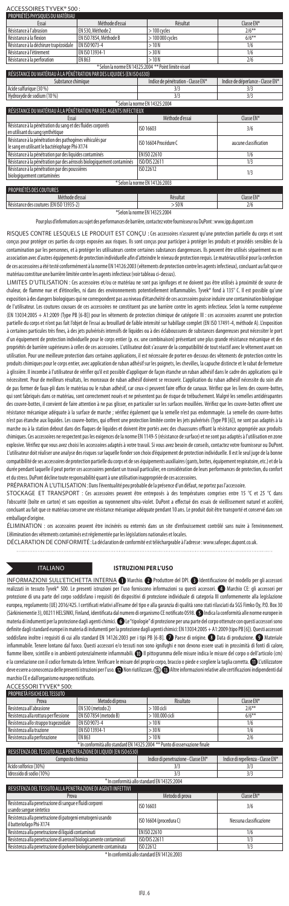# ACCESSOIRES TYVEK® 500 : PROPRIÉTÉS PHYSIQUES DU MATÉRIAU

| Essai                                                                                                      | Méthode d'essai        | Résultat                                              | Classe EN*                        |
|------------------------------------------------------------------------------------------------------------|------------------------|-------------------------------------------------------|-----------------------------------|
| Résistance à l'abrasion                                                                                    | EN 530. Méthode 2      | $>100$ cycles                                         | $2/6***$                          |
| Résistance à la flexion                                                                                    | EN ISO 7854, Méthode B | $>100000$ cycles                                      | $6/6***$                          |
| Résistance à la déchirure trapézoïdale                                                                     | FN ISO 9073-4          | >10N                                                  | 1/6                               |
| Résistance à l'étirement                                                                                   | EN ISO 13934-1         | $>$ 30 N                                              | 1/6                               |
| Résistance à la perforation                                                                                | FN 863                 | >10N                                                  | 2/6                               |
|                                                                                                            |                        | * Selon la norme EN 14325:2004 ** Point limite visuel |                                   |
| RÉSISTANCE DU MATÉRIAU À LA PÉNÉTRATION PAR DES LIQUIDES (EN ISO 6530)                                     |                        |                                                       |                                   |
| Substance chimique                                                                                         |                        | Indice de pénétration - Classe EN*                    | Indice de déperlance - Classe EN* |
| Acide sulfurique (30 %)                                                                                    |                        | 3/3                                                   | 3/3                               |
| Hydroxyde de sodium (10 %)                                                                                 |                        | 3/3                                                   | 3/3                               |
| * Selon la norme EN 14325:2004                                                                             |                        |                                                       |                                   |
| RÉSISTANCE DU MATÉRIAU À LA PÉNÉTRATION PAR DES AGENTS INFECTIEUX                                          |                        |                                                       |                                   |
| Essai                                                                                                      |                        | Méthode d'essai                                       | Classe EN*                        |
| Résistance à la pénétration du sang et des fluides corporels<br>en utilisant du sang synthétique           |                        | ISO 16603                                             | 3/6                               |
| Résistance à la pénétration des pathogènes véhiculés par<br>le sang en utilisant le bactériophage Phi-X174 |                        | ISO 16604 Procédure C                                 | aucune classification             |
| Résistance à la pénétration par des liquides contaminés                                                    |                        | FN ISO 22610                                          | 1/6                               |
| Résistance à la pénétration par des aérosols biologiquement contaminés                                     |                        | ISO/DIS 22611                                         | 1/3                               |
| Résistance à la pénétration par des poussières<br>biologiquement contaminées                               |                        | ISO 22612                                             | 1/3                               |
|                                                                                                            |                        | * Selon la norme EN 14126:2003                        |                                   |
| PROPRIÉTÉS DES COUTURES                                                                                    |                        |                                                       |                                   |

Méthode d'essai **Résultat** Résultat **Classe EN\*** rce des coutures (EN ISO 13935-2)  $>$  50 N \*Selon la norme EN14325:2004

Pour plus d'informations au sujet des performances de barrière, contactez votre fournisseur ou DuPont: www.ipp.dupont.com

RISQUES CONTRE LESQUELS LE PRODUIT EST CONÇU : Ces accessoires n'assurent qu'une protection partielle du corps et sont conçus pour protéger ces parties du corps exposées aux risques. Ils sont conçus pour participer à protéger les produits et procédés sensibles de la contamination par les personnes, et à protéger les utilisateurs contre certaines substances dangereuses. Ils peuvent être utilisés séparément ou en association avec d'autres équipements de protection individuelle afin d'atteindre le niveau de protection requis. Le matériau utilisé pour la confection de ces accessoires a été testé conformément à la norme EN 14126:2003 (vêtements de protection contre les agents infectieux), concluant au fait que ce matériau constitue une barrière limitée contre les agents infectieux (voir tableau ci-dessus).

LIMITES D'UTILISATION : Ces accessoires et/ou ce matériau ne sont pas ignifuges et ne doivent pas être utilisés à proximité de source de<br>chaleur, de flamme nue et d'étincelles, ni dans des environnements potentiellement in exposition à des dangers biologiques qui ne correspondent pas au niveau d'étanchéité de ces accessoires puisse induire une contamination biologique de l'utilisateur. Les coutures cousues de ces accessoires ne constituent pas une barrière contre les agents infectieux. Selon la norme européenne (EN 13034:2005 + A1:2009 (Type PB [6-B]) pour les vêtements de protection chimique de catégorie III : ces accessoires assurent une protection partielle du corps et n'ont pas fait l'objet de l'essai au brouillard de faible intensité sur habillage complet (EN ISO 17491-4, méthode A). L'exposition à certaines particules très fines, à des jets pulvérisés intensifs de liquides ou à des éclaboussures de substances dangereuses peut nécessiter le port d'un équipement de protection individuelle pour le corps entier (p. ex. une combinaison) présentant une plus grande résistance mécanique et des propriétés de barrière supérieures à celles de ces accessoires. L'utilisateur doit s'assurer de la compatibilité de tout réactif avec le vêtement avant son .<br>utilisation. Pour une meilleure protection dans certaines applications, il est nécessaire de porter en-dessous des vêtements de protection contre les produits chimiques pour le corps entier, avec application de ruban adhésif sur les poignets, les chevilles, la capuche distincte et le rabat de fermeture .<br>à glissière. Il incombe à l'utilisateur de vérifier qu'il est possible d'appliquer de façon étanche un ruban adhésif dans le cadre des applications qui le nécessitent. Pour de meilleurs résultats, les morceaux de ruban adhésif doivent se recouvrir. L'application du ruban adhésif nécessite du soin afin de pas former de faux-pli dans le matériau ou le ruban adhésif, car ceux-ci peuvent faire office de canaux. Vérifiez que les liens des couvre-bottes, qui sont fabriqués dans ce matériau, sont correctement noués et ne présentent pas de risque de trébuchement. Malgré les semelles antidérapantes des couvre-bottes, il convient de faire attention à ne pas glisser, en particulier sur les surfaces mouillées. Vérifiez que les couvre-bottes offrent une résistance mécanique adéquate à la surface de marche ; vérifiez également que la semelle n'est pas endommagée. La semelle des couvre-bottes n'est pas étanche aux liquides. Les couvre-bottes, qui offrent une protection limitée contre les jets pulvérisés (TypePB [6]), ne sont pas adaptés à la marche ou à la station debout dans des flaques de liquides et doivent être portés avec des chaussures offrant la résistance appropriée aux produits chimiques. Ces accessoires ne respectent pas les exigences de la norme EN 1149-5 (résistance de surface) et ne sont pas adaptés à l'utilisation en zone explosive. Vérifiez que vous avez choisi les accessoires adaptés à votre travail. Si vous avez besoin de conseils, contactez votre fournisseur ou DuPont. L'utilisateur doit réaliser une analyse des risques sur laquelle fonder son choix d'équipement de protection individuelle. Il est le seul juge de la bonne compatibilité de ses accessoires de protection partielle du corps et de ses équipements auxiliaires (gants, bottes, équipement respiratoire, etc.) et de la durée pendant laquelle il peut porter ces accessoires pendant un travail particulier, en considération de leurs performances de protection, du confort et du stress. DuPont décline toute responsabilité quant à une utilisation inappropriée de ces accessoires.<br>et du stress. DuPont décline toute responsabilité quant à une utilisation inappropriée de ces accessoires.

PRÉPARATION À L'UTILISATION: Dans l'éventualité peu probable de la présence d'un défaut, ne portez pas l'accessoire.

STOCKAGE ET TRANSPORT : Ces accessoires peuvent être entreposés à des températures comprises entre 15 °C et 25 °C dans l'obscurité (boîte en carton) et sans exposition au rayonnement ultra-violet. DuPont a effectué des essais de vieillissement naturel et accéléré, concluant au fait que ce matériau conserve une résistance mécanique adéquate pendant 10ans. Le produit doit être transporté et conservé dans son emballage d'origine.

...<br>ÉLIMINATION : ces accessoires peuvent être incinérés ou enterrés dans un site d'enfouissement contrôlé sans nuire à l'environnement.<br>L'élimination des vêtements contaminés est réglementée par les législations nationale .<br>és est réglementée par les législations nationales et locale

DÉCLARATION DE CONFORMITÉ : La déclaration de conformité est téléchargeable à l'adresse: www.safespec.dupont.co.uk.

. . . . . . . . . . . . . . . . . . . . . . . . . . . . . . . . . . . . . . . . . . . . . . . . . . . . . . . .

### ITALIANO **ISTRUZIONI PER L'USO**

INFORMAZIONI SULL'ETICHETTA INTERNA ( Marchio. 2 Produttore del DPI. @ Identificazione del modello per gli accessori Ilizzati in tessuto Tyvek® 500. Le presenti istruzioni per l'uso forniscono informazioni su questi accessori. ● Marchio CE: gli accessori per protezione di una parte del corpo soddisfano i requisiti dei dispositivi di protezione individuale di categoria III conformemente alla legislazione europea, regolamento (UE) 2016/425. I certificati relativi all'esame del tipo e alla garanzia di qualità sono stati rilasciati da SGS Fimko Oy, P.O. Box 30 (Särkiniementie 3), 00211 HELSINKI, Finland, identificata dal numero di organismo CE notificato 0598. Indica la conformità alle norme europee in materia di indumenti per la protezione dagli agenti chimici. @Le "tipologie" di protezione per una parte del corpo ottenute con questi accessori sono definite dagli standard europei in materia di indumenti per la protezione dagli agenti chimici: EN 13034:2005 + A1:2009 (tipo PB [6]). Questi accessori soddisfano inoltre i requisiti di cui allo standard EN 14126:2003 per i tipi PB [6-B]. @ Paese di origine. @ Data di produzione. @ Materiale infiammabile. Tenere lontano dal fuoco. Questi accessori e/o tessuti non sono ignifughi e non devono essere usati in prossimità di fonti di calore, fiamme libere, scintille o in ambienti potenzialmente infiammabili. @ Il pittogramma delle misure indica le misure del corpo o dell'articolo (cm)<br>La correlazione con il codice formato da lettere. Verificare le misure del p e la correlazione con il codice formato da lettere. Verificare le misure del proprio corp deve essere a conoscenza delle presenti istruzioni per l'uso. (D) Non riutilizzare. (S) B) Altre informazioni relative alle certificazioni indipendenti dal marchio CE e dall'organismo europeo notificato.

ACCESSORI TYVEK® 500:

| <b>PROPRIFTA FISICHE DEL TESSUTO</b>  |                        |                  |            |
|---------------------------------------|------------------------|------------------|------------|
| Prova                                 | Metodo di prova        | Risultato        | Classe FN* |
| Resistenza all'abrasione              | EN 530 (metodo 2)      | $>100$ cicli     | $2/6***$   |
| Resistenza alla rottura per flessione | EN ISO 7854 (metodo B) | $>100.000$ cicli | $6/6**$    |
| Resistenza allo strappo trapezoidale  | FN ISO 9073-4          | >10N             | 1/6        |
| Resistenza alla trazione              | FN ISO 13934-1         | $>$ 30 N         | 1/6        |
| Resistenza alla perforazione          | EN 863                 | >10N             | 2/6        |
| .                                     |                        |                  |            |

\* In conformità allo standard EN 14325:2004 \*\* Punto di osservazione finale RESISTENZA DEL TESSUTO ALLA PENETRAZIONE DI LIQUIDI (EN ISO 6530)

| chimico                  | Indice di penetrazione - Classe EN*      | Indice di repellenza - Classe EN* |
|--------------------------|------------------------------------------|-----------------------------------|
| Acido solforico (30%)    |                                          |                                   |
| Idrossido di sodio (10%) |                                          |                                   |
|                          | 1 conformità allo standard EN 14325:2004 |                                   |

| RESISTENZA DEL TESSUTO ALLA PENETRAZIONE DI AGENTI INFETTIVI                          |                         |                         |
|---------------------------------------------------------------------------------------|-------------------------|-------------------------|
| Prova                                                                                 | Metodo di prova         | Classe EN*              |
| Resistenza alla penetrazione di sangue e fluidi corporei<br>usando sanque sintetico   | ISO 16603               | 3/6                     |
| Resistenza alla penetrazione di patogeni ematogeni usando<br>il batteriofago Phi-X174 | ISO 16604 (procedura C) | Nessuna classificazione |
| Resistenza alla penetrazione di liquidi contaminati                                   | FN ISO 22610            | 1/6                     |
| Resistenza alla penetrazione di aerosol biologicamente contaminati                    | ISO/DIS 22611           | 1/3                     |
| Resistenza alla penetrazione di polvere biologicamente contaminata                    | ISO 22612               | 1/3                     |
| * In conformità allo standard EN 14126:2003                                           |                         |                         |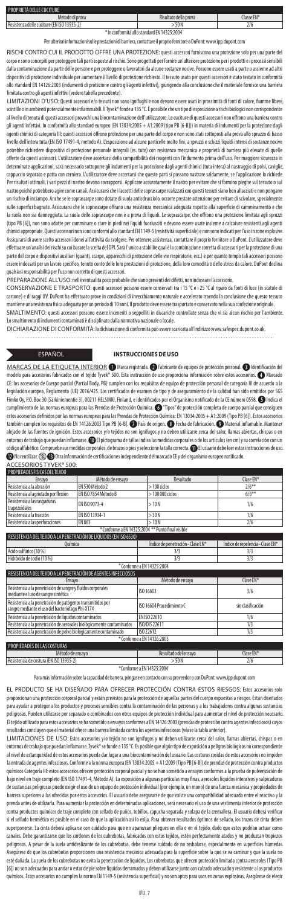| PROPRIETÀ DELLE CUCITURE                   |                       |            |
|--------------------------------------------|-----------------------|------------|
| Metodo di prova                            | Risultato della prova | Classe EN* |
| Resistenza delle cuciture (EN ISO 13935-2) | .50N                  | 2/6        |

\* In conformità allo standard EN 14325:2004 Per ulteriori informazioni sulle prestazioni di barriera, contattare il proprio fornitore o DuPont: www.ipp.dupont.com

RISCHI CONTRO CUI IL PRODOTTO OFFRE UNA PROTEZIONE: questi accessori forniscono una protezione solo per una parte del .<br>Corpo e sono concepiti per proteggere tali parti esposte al rischio. Sono progettati per fornire un'ulteriore protezione per i prodotti e i processi ser dalla contaminazione da parte delle persone e per proteggere o lavoratori da alcune sostanze nocive. Possono essere usati a parte o assieme ad altri dispositivi di protezione individuale per aumentare il livello di protezione richiesto. Il tessuto usato per questi accessori è stato testato in conformità allo standard EN 14126:2003 (indumenti di protezione contro gli agenti infettivi), giungendo alla conclusione che il materiale fornisce una barriera limitata contro gli agenti infettivi (vedere tabella precedente).

LIMITAZIONI D'USO: Questi accessori e/o tessuti non sono ignifughi e non devono essere usati in prossimità di fonti di calore, fiamme libere,<br>scintille o in ambienti potenzialmente infiammabili. Il Tyvek® fonde a 135 °C. È al livello di tenuta di questi accessori provochi una biocontaminazione dell'utilizzatore. Le cuciture di questi accessori non offrono una barriera contro gli agenti infettivi. In conformità allo standard europeo (EN 13034:2005 + A1:2009 (tipo PB [6-B])) in materia di indumenti per la protezione dagli agenti chimici di categoria III: questi accessori offrono protezione per una parte del corpo e non sono stati sottoposti alla prova allo spruzzo di basso livello dell'intera tuta (EN ISO 17491-4, metodo A). L'esposizione ad alcune particelle molto fini, a spruzzi e schizzi liquidi intensi di sostanze nocive potrebbe richiedere dispositivi di protezione personale integrali (es. tute) con resistenza meccanica e proprietà di barriera più elevate di quelle offerte da questi accessori. L'utilizzatore deve accertarsi della compatibilità dei reagenti con l'indumento prima dell'uso. Per maggiore sicurezza in determinate applicazioni, sarà necessario sottoporre gli indumenti per la protezione dagli agenti chimici (tuta intera) al nastraggio di polsi, caviglie, cappuccio separato e patta con cerniera. L'utilizzatore deve accertarsi che queste parti si possano nastrare saldamente, se l'applicazione lo richiede. Per risultati ottimali, i vari pezzi di nastro devono sovrapporsi. Applicare accuratamente il nastro per evitare che si formino pieghe sul tessuto o sul nastro poiché potrebbero agire come canali. Assicurarsi che i laccetti delle soprascarpe realizzati con questi tessuti siano ben allacciati e non pongano un rischio di inciampo. Anche se le soprascarpe sono dotate di suola antisdrucciolo, occorre prestare attenzione per evitare di scivolare, specialmente sulle superfici bagnate. Assicurarsi che le soprascarpe offrano una resistenza meccanica adeguata rispetto alla superficie di camminamento e che la suola non sia danneggiata. La suola delle soprascarpe non è a prova di liquidi. Le soprascarpe, che offrono una protezione limitata agli spruzzi<br>(tipo PB [6]), non sono adatte per camminare o stare in oiedi nei liquidi (tipo PB [6]), non sono adatte per camminare o stare in piedi nei liquidi fuoriusciti e devono essere usate insieme a calzature resistenti agli agenti chimici appropriate. Questi accessori non sono conformi allo standard EN 1149-5 (resistività superficiale) e non sono indicati per l'uso in zone esplosive. Assicurarsi di avere scelto accessori idonei all'attività da svolgere. Per ottenere assistenza, contattare il proprio fornitore o DuPont. L'utilizzatore deve effettuare un'analisi dei rischi su cui basare la scelta del DPI. Sarà l'unico a stabilire qual è la combinazione corretta di accessori per la protezione di una parte del corpo e dispositivi ausiliari (guanti, scarpe, apparecchi di protezione delle vie respiratorie, ecc.) e per quanto tempo tali accessori possono<br>essere indossati per un lavoro specifico, tenuto conto delle loro pr qualsiasi responsabilità per l'uso non corretto di questi accessori.

PREPARAZIONE ALL'USO:nell'eventualità poco probabile che siano presenti dei difetti, non indossare l'accessorio.<br>CONSERVAZIONE E TRASPORTO: questi accessori possono essere conservati tra i 15 °C e i 25 °C al riparo da font cartone) e di raggi UV. DuPont ha effettuato prove in condizioni di invecchiamento naturale e accelerato traendo la conclusione che questo tessuto mantiene una resistenza fisica adeguata per un periodo di 10 anni. Il prodotto deve essere trasportato e conservato nella sua confezione originale. SMALTIMENTO: questi accessori possono essere inceneriti o seppelliti in discariche controllate senza che vi sia alcun rischio per l'ambiente. Losmaltimento di indumenti contaminati è disciplinato dalla normativa nazionale o locale.

DICHIARAZIONE DI CONFORMITÀ: la dichiarazione di conformità può essere scaricata all'indirizzo www.safespec.dupont.co.uk.

 $\cdots$ 

### ESPAÑOL **INSTRUCCIONES DE USO**

MARCAS DE LA ETIQUETA INTERIOR © Marca registrada. © Fabricante de equipos de protección personal. © Identificación del<br>modelo para accesorios fabricados con el tejido Tyvek® 500. Esta instrucción de uso proporciona inform ® 500. Esta instrucción de uso proporciona información sobre estos accesorios. <a>
Marcado CE: los accesorios de Cuerpo parcial (Partial Body, PB) cumplen con los requisitos de equipo de protección personal de categoría III de acuerdo a la legislación europea, Reglamento (UE) 2016/425. Los certificados de examen de tipo y de aseguramiento de la calidad han sido emitidos por SGS<br>Fimko Oy, P.O. Box 30 (Särkiniementie 3), 00211 HELSINKI, Finland, e identificado cumplimiento de las normas europeas para las Prendas de Protección Química. <sup>"</sup>Tipos" de protección completa de cuerpo parcial que consiguen estos accesorios definidos por las normas europeas para las Prendas de Protección Química: EN 13034:2005 + A1:2009 (Tipo PB [6]). Estos accesorios también cumplen los requisitos de EN 14126:2003 Tipo PB [6-B]. País de origen. Fecha de fabricación. Material inflamable. Mantener alejado de las fuentes de ignición. Estos accesorios y/o tejidos no son ignífugos y no deben utilizarse cerca del calor, llamas abiertas, chispas o en entornos de trabajo que puedan inflamarse. **D** El pictograma de tallas indica las medidas corporales o de los artículos (en cm) y su correlación con un código alfabético. Compruebe sus medidas corporales, de brazos o pies y seleccione la talla correcta. 1 El usuario debe leer estas instrucciones de uso No reutilizar. Otra información de certificaciones independiente del marcado CE y del organismo europeo notificado.

| ACCESORIOS TYVEK® 500:                                            |                      |                                                   |                                  |  |  |
|-------------------------------------------------------------------|----------------------|---------------------------------------------------|----------------------------------|--|--|
| PROPIEDADES FÍSICAS DEL TEJIDO                                    |                      |                                                   |                                  |  |  |
| Ensavo                                                            | Método de ensavo     | Resultado                                         | Clase FN*                        |  |  |
| Resistencia a la abrasión                                         | EN 530 Método 2      | $>100$ ciclos                                     | $2/6***$                         |  |  |
| Resistencia al agrietado por flexión                              | EN ISO 7854 Método B | $>100000$ ciclos                                  | $6/6**$                          |  |  |
| Resistencia a las rasgaduras<br>trapezoidales                     | FN ISO 9073-4        | >10N                                              | 1/6                              |  |  |
| Resistencia a la tracción                                         | EN ISO 13934-1       | > 30 N                                            | 1/6                              |  |  |
| Resistencia a las perforaciones                                   | EN 863               | >10N                                              | 2/6                              |  |  |
|                                                                   |                      | * Conforme a EN 14325:2004 ** Punto final visible |                                  |  |  |
| RESISTENCIA DEL TEJIDO A LA PENETRACIÓN DE LÍOUIDOS (EN ISO 6530) |                      |                                                   |                                  |  |  |
| <b>Ouímica</b>                                                    |                      | Índice de penetración - Clase EN*                 | Índice de repelencia - Clase EN* |  |  |
| Ácido sulfúrico (30 %)                                            |                      | 3/3                                               | 3/3                              |  |  |
| Hidróxido de sodio (10 %)                                         |                      | 3/3                                               | 3/3                              |  |  |

\* Conforme a EN 14325:2004

| RESISTENCIA DEL TEJIDO A LA PENETRACIÓN DE AGENTES INFECCIOSOS                                                 |                            |                   |  |  |
|----------------------------------------------------------------------------------------------------------------|----------------------------|-------------------|--|--|
| Ensavo                                                                                                         | Método de ensavo           | Clase EN*         |  |  |
| Resistencia a la penetración de sangre y fluidos corporales<br>mediante el uso de sangre sintética             | ISO 16603                  | 3/6               |  |  |
| Resistencia a la penetración de patógenos transmitidos por<br>sangre mediante el uso del bacteriófago Phi-X174 | ISO 16604 Procedimiento C  | sin clasificación |  |  |
| Resistencia a la penetración de líquidos contaminados                                                          | FN ISO 22610               | 1/6               |  |  |
| Resistencia a la penetración de aerosoles biológicamente contaminados                                          | <b>ISO/DIS 22611</b>       | 1/3               |  |  |
| Resistencia a la penetración de polvo biológicamente contaminado                                               | ISO 22612                  | 1/3               |  |  |
|                                                                                                                | * Conforme a EN 14126:2003 |                   |  |  |

### PIEDADES DE LAS COSTURAS<br>Método de ensavo Resultado del ensayo Clase EN\* ncia de costura (EN ISO 13935-2

\*Conforme a EN 14325:2004

Para más información sobre la capacidad de barrera, póngase en contacto con su proveedor o con DuPont: www.ipp.dupont.com

EL PRODUCTO SE HA DISEÑADO PARA OFRECER PROTECCIÓN CONTRA ESTOS RIESGOS: Estos accesorios solo proporcionan una protección corporal parcial y están previstos para la protección de aquellas partes del cuerpo expuestas a riesgos. Están diseñados .<br><sub>P</sub>ara ayudar a proteger a los productos y procesos sensibles contra la contaminación de las personas y a los trabajadores contra algunas sustancias peligrosas. Pueden utilizarse por separado o combinados con otros equipos de protección individual para aumentar el nivel de protección necesario.<br>El tejido utilizado para estos accesorios e ha sometido a ensayos conformes ltados concluyen que el material ofrece una barrera limitada contra los agentes infecciosos (véase la tabla anterior).

LIMITACIONES DE USO: Estos accesorios y/o tejido no son ignífugos y no deben utilizarse cerca del calor, llamas abiertas, chispas o en entornos de trabajo que puedan inflamarse. Tyvek® se funde a 135 °C. Es posible que algún tipo de exposición a peligros biológicos no correspondiente al nivel de estanqueidad de estos accesorios pueda dar lugar a una biocontaminación del usuario. Las costuras cosidas de estos accesorios no impiden la entrada de agentes infecciosos. Conforme a la norma europea (EN 13034:2005 + A1:2009 (Tipo PB [6-B]) de prendas de protección contra productos químicos Categoría III: estos accesorios ofrecen protección corporal parcial y no se han sometido a ensayos conformes a la prueba de pulverización de bajo nivel en traje completo (EN ISO 17491-4, Método A). La exposición a algunas partículas muy finas, aerosoles líquidos intensivos y salpicaduras<br>de sustancias peligrosas puede exigir el uso de un equipo de protección in de sustancias peligrosas puede exigir el uso de un equipo de protección individual (por ejemplo, un mono) de una fuerza mecánica y pr barrera superiores a las ofrecidas por estos accesorios. El usuario debe asegurarse de que existe una compatibilidad adecuada entre el reactivo y la prenda antes de utilizarla. Para aumentar la protección en determinadas aplicaciones, será necesario el uso de una vestimenta interior de protección ntra productos químicos de traje completo con sellado de puños, tobillos, capucha separada y solapa de la cremallera. El usuario deberá verificar si el sellado hermético es posible en el caso de que la aplicación así lo exija. Para obtener resultados óptimos de sellado, los trozos de cinta deben superponerse. La cinta deberá aplicarse con cuidado para que no aparezcan pliegues en ella o en el tejido, dado que estos podrían actuar como canales. Debe garantizarse que los cordones de los cubrebotas, fabricados con estos tejidos, estén perfectamente atados y no produzcan tropiezos peligrosos. A pesar de la suela antideslizante de los cubrebotas, debe tenerse cuidado de no resbalarse, especialmente en superficies húmedas. Asegúrese de que los cubrebotas proporcionen una resistencia mecánica adecuada para la superficie sobre la que se va caminar y que la suela no esté dañada. Lasuela de los cubrebotas no evita la penetración de líquidos. Los cubrebotas que ofrecen protección limitada contra aerosoles (Tipo PB [6]) no son adecuados para andar o estar de pie sobre líquidos derramados y deben utilizarse junto con calzado adecuado y resistente a los productos .<br>químicos. Estos accesorios no cumplen la norma EN 1149-5 (resistencia superficial) y no son aptos para usos en zonas explosivas. Asegúrese de elegir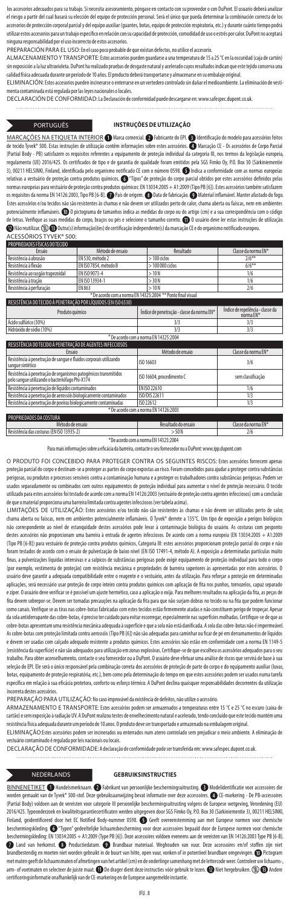los accesorios adecuados para su trabajo. Si necesita asesoramiento, póngase en contacto con su proveedor o con DuPont. El usu el riesgo a partir del cual basará su elección del equipo de protección personal. Será el único que pueda determinar la combinación correcta de los accesorios de protección corporal parcial y del equipo auxiliar (guantes, botas, equipo de protección respiratoria, etc.) y durante cuánto tiempo podrá utilizar estos accesorios para un trabajo específico en relación con su capacidad de protección, comodidad de uso o estrés por calor. DuPont no aceptará na responsabilidad por el uso incorrecto de estos accesorios

PREPARACIÓN PARA EL USO: En el caso poco probable de que existan defectos, no utilice el accesorio.

ALMACENAMIENTO Y TRANSPORTE: Estos accesorios pueden guardarse a una temperatura de 15 a 25 °C en la oscuridad (caja de cartón) sin exposición a la luz ultravioleta. DuPont ha realizado pruebas de desgaste natural y acelerado cuyos resultados indican que este tejido conserva una calidad física adecuada durante un período de 10 años. El producto deberá transportarse y almacenarse en su embalaje original.

ELIMINACIÓN: Estos accesorios pueden incinerarse o enterrarse en un vertedero controlado sin dañar el medioambiente. La eliminación de menta contaminada está regulada por las leyes nacionales o locales.

DECLARACIÓN DE CONFORMIDAD: La Declaración de conformidad puede descargarse en: www.safespec.dupont.co.uk.

### PORTUGUÊS **INSTRUÇÕES DE UTILIZAÇÃO**

<u>MARCAÇOES NA ETIQUETA INTERIOR</u> ● Marca comercial. ● Fabricante do EPI. ● Identificação do modelo para acessórios feitos<br>de tecido Tyvek® 500. Estas instruções de utilização contêm informações sobre estes acessórios. ● M (Partial Body - PB) satisfazem os requisitos referentes a equipamento de proteção individual da categoria III, nos termos da legislação europeia, regulamento (UE) 2016/425. Os certificados de tipo e de garantia de qualidade foram emitidos pela SGS Fimko Oy, P.O. Box 30 (Särkiniementie 3), 00211 HELSINKI, Finland, identificada pelo organismo notificado CE com o número 0598. **Indica a conformidade com as normas europeias** relativas a vestuário de proteção contra produtos químicos. "Tipos" de proteção do corpo parcial obtidos por estes acessórios definidos pelas normas europeias para vestuário de proteção contra produtos químicos: EN 13034:2005 + A1:2009 (Tipo PB [6]). Estes acessórios também satisfazem os requisitos da norma EN 14126:2003, Tipo PB [6-B].  $\bullet$  País de origem.  $\bullet$  Data de fabricação.  $\bullet$  Material inflamável. Manter afastado do fogo Estes acessórios e/ou tecidos não são resistentes às chamas e não devem ser utilizados perto de calor, chama aberta ou faíscas, nem em ambientes potencialmente inflamáveis. <sup>1</sup> o pictograma de tamanhos indica as medidas do corpo ou do artigo (cm) e a sua correspondência com o código .<br>de letras. Verifique as suas medidas do corpo, braços ou pés e selecione o tamanho correto. ① O usuário deve ler estas instruções de utilização Não reutilizar. Outra(s) informação(ões) de certificação independente(s) da marcação CE e do organismo notificado europeu.

| ACESSORIOS TYVEK® 500: |  |  |  |  |
|------------------------|--|--|--|--|
|                        |  |  |  |  |

| <b>PROPRIEDADES FISICAS DO TECIDO</b> |                                                             |                  |                     |
|---------------------------------------|-------------------------------------------------------------|------------------|---------------------|
| Ensaio                                | Método de ensaio                                            | Resultado        | Classe da norma FN* |
| Resistência à abrasão                 | EN 530, método 2                                            | $>100$ ciclos    | $2/6***$            |
| Resistência à flexão                  | EN ISO 7854, método B                                       | $>100000$ ciclos | $6/6**$             |
| Resistência ao rasgão trapezoidal     | FN ISO 9073-4                                               | >10N             | 1/6                 |
| Resistência à tração                  | FN ISO 13934-1                                              | > 30 N           | 1/6                 |
| Resistência à perfuração              | FN 863                                                      | >10N             | 2/6                 |
|                                       | * De acordo com a norma EN 14325:2004 ** Ponto final visual |                  |                     |

| RESISTENCIA DO TECIDO A PENETRACÃO POR LIQUIDOS (EN ISO 6530)                                                     |                                            |                                               |
|-------------------------------------------------------------------------------------------------------------------|--------------------------------------------|-----------------------------------------------|
| Produto químico                                                                                                   | Índice de penetração - classe da norma EN* | Índice de repelência - classe da<br>norma EN* |
| Ácido sulfúrico (30%)                                                                                             | 3/3                                        | 3/3                                           |
| Hidróxido de sódio (10%)                                                                                          | 3/3                                        | 3/3                                           |
|                                                                                                                   | * De acordo com a norma EN 14325:2004      |                                               |
| RESISTÊNCIA DO TECIDO À PENETRAÇÃO DE AGENTES INFECCIOSOS                                                         |                                            |                                               |
| <b>Ensaio</b>                                                                                                     | Método de ensaio                           | Classe da norma EN*                           |
| Resistência à penetração de sangue e fluidos corporais utilizando<br>sanque sintético                             | ISO 16603                                  | 3/6                                           |
| Resistência à penetração de organismos patogénicos transmitidos<br>pelo sangue utilizando o bacteriófago Phi-X174 | ISO 16604, procedimento C                  | sem classificação                             |
| Resistência à penetração de líquidos contaminados                                                                 | FN ISO 22610                               | 1/6                                           |
| Resistência à penetração de aerossóis biologicamente contaminados                                                 | ISO/DIS 22611                              | 1/3                                           |
| Resistência à penetração de poeiras biologicamente contaminadas                                                   | ISO 22612                                  | 1/3                                           |

\* De acordo com a norma EN 14126:2003 .<br>Priedades da costura Método de ensaio **Resultado do ensaio Resultado do ensaio classe d**a norma EN\* Resistência das costuras (EN ISO 13935-2) > 50 N 2/6

\*De acordo com a norma EN 14325:2004

Para mais informações sobre a eficácia da barreira, contacte o seu fornecedor ou a DuPont: www.ipp.dupont.com

O PRODUTO FOI CONCEBIDO PARA PROTEGER CONTRA OS SEGUINTES RISCOS: Estes acessórios fornecem apenas proteção parcial do corpo e destinam-se a proteger as partes do corpo expostas ao risco. Foram concebidos para ajudar a proteger contra substâncias .<br>perigosas, ou produtos e processos sensíveis contra a contaminação humana e a proteger os trabalhadores contra substâncias perigosas. Podem ser dos separadamente ou combinados com outros equipamentos de proteção individual para aumentar o nível de proteção necessário. O tecido utilizado para estes acessórios foi testado de acordo com a norma EN 14126:2003 (vestuário de proteção contra agentes infecciosos) com a conclusão de que o material proporciona uma barreira limitada contra agentes infecciosos (ver tabela acima).

LIMITAÇÕES DE UTILIZAÇÃO: Estes acessórios e/ou tecido não são resistentes às chamas e não devem ser utilizados perto de calor, chama aberta ou faíscas, nem em ambientes potencialmente inflamáveis. O Tyvek® derrete a 135°C. Um tipo de exposição a perigos biológicos não correspondente ao nível de estanquidade destes acessórios pode levar à contaminação biológica do usuário. As costuras com pesponto destes acessórios não proporcionam uma barreira à entrada de agentes infecciosos. De acordo com a norma europeia (EN 13034:2005 + A1:2009 (Tipo PB [6-B]) para vestuário de proteção contra produtos químicos, Categoria III: estes acessórios proporcionam proteção parcial do corpo e não foram testados de acordo com o ensaio de pulverização de baixo nível (EN ISO 17491-4, método A). A exposição a determinadas partículas muito finas, a pulverizações líquidas intensivas e a salpicos de substâncias perigosas pode exigir equipamento de proteção individual para todo o corpo (por exemplo, vestimenta de proteção) com resistência mecânica e propriedades de barreira superiores às apresentadas por estes acessórios. O usuário deve garantir a adequada compatibilidade entre o reagente e o vestuário, antes da utilização. Para reforçar a proteção em determinadas aplicações, será necessário usar proteção de corpo inteiro contra produtos químicos com aplicação de fita nos punhos, tornozelos, capuz separado e zíper. O usuário deve verificar se é possível um ajuste hermético, caso a aplicação o exija. Para melhores resultados na aplicação da fita, as peças de fita devem sobrepor-se. Devem ser tomadas precauções na aplicação da fita para que não surjam dobras no tecido ou na fita que podem fun como canais. Verifique se as tiras nas cobre-botas fabricadas com estes tecidos estão firmemente atadas e não constituem perigo de tropeçar. Apesar da sola antiderrapante das cobre-botas, é preciso ter cuidado para evitar escorregar, especialmente nas superfícies molhadas. Certifique-se de que as cobre-botas apresentam uma resistência mecânica adequada à superfície e que a sola não está danificada. A sola das cobre-botas não é impermeável. As cobre-botas com proteção limitada contra aerossóis (Tipo PB [6]) não são adequadas para caminhar ou ficar de pé em derramamentos de líquidos e devem ser usadas com calçado adequado resistente a produtos químicos. Estes acessórios não estão em conformidade com a norma EN 1149-5 (resistência da superfície) e não são adequados para utilização em zonas explosivas. Certifique-se de que escolheu os acessórios adequados para o seu .<br>abalho. Para obter aconselhamento, contacte o seu fornecedor ou a DuPont. O usuário deve efetuar uma análise de riscos que servirá de base à su seleção do EPI. Ele será o único responsável pela combinação correta dos acessórios de proteção de parte do corpo e do equipamento auxiliar (luvas botas, equipamento de proteção respiratória, etc.), bem como pela determinação do tempo em que estes acessórios podem ser usados numa tarefa específica em relação à sua eficácia protetora, conforto ou esforço térmico. A DuPont declina quaisquer responsabilidades decorrentes da utilização rreta destes acessórios.

PREPARAÇÃO PARA UTILIZAÇÃO: No caso improvável da existência de defeitos, não utilize o acessório.

ARMAZENAMENTO E TRANSPORTE: Estes acessórios podem ser armazenados a temperaturas entre 15 °C e 25 °C no escuro (caixa de cartão) e sem exposição à radiação UV. A DuPont realizou testes de envelhecimento natural e acelerado, tendo concluído que este tecido mantém uma sistência física adequada durante um período de 10 anos. O produto deve ser transportado e armazenado na embalagem original.

ELIMINAÇÃO:Estes acessórios podem ser incinerados ou enterrados num aterro controlado sem prejudicar o meio ambiente. A eliminação de vestuário contaminado é regulada por leis nacionais ou locais.

DECLARAÇÃO DE CONFORMIDADE: A declaração de conformidade pode ser transferida em: www.safespec.dupont.co.uk.

### NEDERLANDS **GEBRUIKSINSTRUCTIES**

BINNENETIKET <a>
Handelsmerknaam. <br>
• Fabrikant van persoonlijke beschermingsuitrusting. • Modelidentificatie voor accessoires die worden gemaakt van de Tyvek® 500-stof. Deze gebruiksaanwijzing bevat informatie over deze accessoires. © CE-markering - De PB-accessoires (Partial Body) voldoen aan de vereisten voor categorie III persoonlijke beschermingsuitrusting volgens de Europese wetgeving, Verordening (EU) 2016/425. Typeonderzoek en kwaliteitsgarantiecertificaten werden uitgegeven door SGS Fimko Oy, P.O. Box 30 (Särkiniementie 3), 00211 HELSINKI, Finland, geïdentificeerd door het EC Notified Body-nummer 0598. **G** Geeft overeenstemming aan met Europese normen voor chemische beschermingskleding. <a> "Typen" gedeeltelijke lichaamsbescherming voor deze accessoires bepaald door de Europese normen voor chemische beschermingskleding: EN 13034:2005 + A1:2009 (Type PB [6]). Deze accessoires voldoen eveneens aan de vereisten van EN 14126:2003 TypePB [6-B]. **D** Land van herkomst. **D** Productiedatum. **D** Brandbaar materiaal. Weghouden van vuur. Deze accessoires en/of stoffen zijn niet brandbestendig en moeten niet worden gebruikt in de buurt van hitte, open vuur, vonken of in potentieel brandbare omgevingen. @ Pictogram<br>met maten geeft de lichaamsmaten of afmetingen van het artikel (cm) en de onderlinge arm- of voetmaten en selecteer de juiste maat. **ID** De drager dient deze instructies vóór gebruik te lezen. **ID** Niet hergebruiken. **20 D** Andere certificeringsinformatie onafhankelijk van de CE-markering en de Europese aangemelde instantie.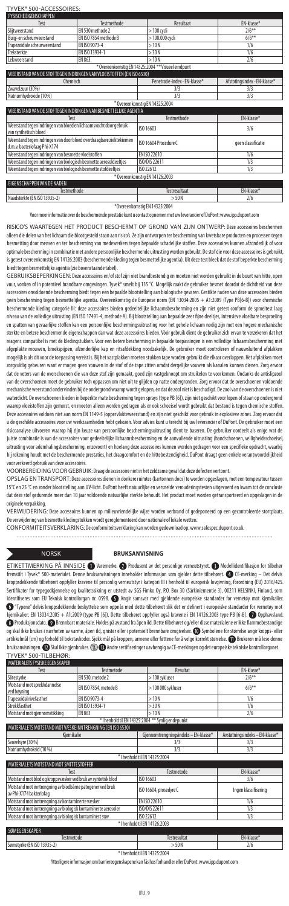### TYVEK® 500-ACCESSOIRES:

| <b>FYSISCHE EIGENSCHAPPEN</b>                                                                       |                       |                                                    |                              |
|-----------------------------------------------------------------------------------------------------|-----------------------|----------------------------------------------------|------------------------------|
| Test                                                                                                | Testmethode           | Resultaat                                          | EN-klasse*                   |
| Slijtweerstand                                                                                      | FN 530 methode 2      | > 100 cycli                                        | $2/6***$                     |
| Buig-en scheurweerstand                                                                             | EN ISO 7854 methode B | > 100.000 cycli                                    | $6/6***$                     |
| Trapezoïdale scheurweerstand                                                                        | FN ISO 9073-4         | >10N                                               | 1/6                          |
| Treksterkte                                                                                         | EN ISO 13934-1        | > 30N                                              | 1/6                          |
| Lekweerstand                                                                                        | EN 863                | >10N                                               | 2/6                          |
|                                                                                                     |                       | * Overeenkomstig EN 14325:2004 ** Visueel eindount |                              |
| WEERSTAND VAN DE STOF TEGEN INDRINGEN VAN VLOEISTOFFEN (EN ISO 6530)                                |                       |                                                    |                              |
| Chemisch                                                                                            |                       | Penetratie-index - EN-klasse*                      | Afstotingsindex - EN-klasse* |
| Zwavelzuur (30%)                                                                                    |                       | 3/3                                                | 3/3                          |
| Natriumhvdroxide (10%)                                                                              |                       | 3/3                                                | 3/3                          |
|                                                                                                     |                       | * Overeenkomstig EN 14325:2004                     |                              |
| WEERSTAND VAN DE STOF TEGEN INDRINGEN VAN BESMETTELIJKE AGENTIA                                     |                       |                                                    |                              |
| Test                                                                                                |                       | Testmethode                                        | EN-klasse*                   |
| Weerstand tegen indringen van bloed en lichaamsvocht door gebruik<br>van synthetisch bloed          |                       | ISO 16603                                          | 3/6                          |
| Weerstand tegen indringen van door bloed overdraagbare ziektekiemen<br>d.m.v. bacteriofaag Phi-X174 |                       | ISO 16604 Procedure C                              | geen classificatie           |
| Weerstand tegen indringen van besmette vloeistoffen                                                 |                       | EN ISO 22610                                       | 1/6                          |
| Weerstand tegen indringen van biologisch besmette aerosoldeeltjes                                   |                       | ISO/DIS 22611                                      | 1/3                          |
| Weerstand tegen indringen van biologisch besmette stofdeeltjes                                      |                       | ISO 22612                                          | 1/3                          |
|                                                                                                     |                       | * Overeenkomstig EN 14126:2003                     |                              |
| EIGENSCHAPPEN VAN DE NADEN                                                                          |                       |                                                    |                              |
| Testmethode                                                                                         |                       | Testresultaat                                      | EN-klasse*                   |
| Naadsterkte (EN ISO 13935-2)                                                                        |                       | >50N                                               | 2/6                          |

\*Overeenkomstig EN 14325:2004

Voor meer informatie over de beschermende prestatie kunt u contact opnemen met uw leverancier of DuPont: www.ipp.dupont.com

RISICO'S WAARTEGEN HET PRODUCT BESCHERMT OP GROND VAN ZIJN ONTWERP: Deze accessoires beschermen alleen die delen van het lichaam die blootgesteld staan aan risico's. Ze zijn ontworpen ter bescherming van kwetsbare producten en processen tegen besmetting door mensen en ter bescherming van medewerkers tegen bepaalde schadelijke stoffen. Deze accessoires kunnen afzonderlijk of voor optimale bescherming in combinatie met andere persoonlijke beschermende uitrusting worden gebruikt. De stof die voor deze accessoires is gebruikt, is getest overeenkomstig EN 14126:2003 (beschermende kleding tegen besmettelijke agentia). Uit deze test bleek dat de stof beperkte bescherming

biedt tegen besmettelijke agentia (zie bovenstaande tabel). GEBRUIKSBEPERKINGEN: Deze accessoires en/of stof zijn niet brandbestendig en moeten niet worden gebruikt in de buurt van hitte, open vuur, vonken of in potentieel brandbare omgevingen. Tyvek® smelt bij 135 °C. Mogelijk raakt de gebruiker besmet doordat de dichtheid van deze accessoires onvoldoende bescherming biedt tegen een bepaalde blootstelling aan biologische gevaren. Gestikte naden van deze accessoires bieden geen bescherming tegen besmettelijke agentia. Overeenkomstig de Europese norm (EN 13034:2005 + A1:2009 (Type PB[6-B]) voor chemische beschermende kleding categorie III: deze accessoires bieden gedeeltelijke lichaamsbescherming en zijn niet getest conform de sproeitest laag niveau van de volledige uitrusting (EN ISO 17491-4, methode A). Bij blootstelling aan bepaalde zeer fijne deeltjes, intensieve vloeibare besproeiing en spatten van gevaarlijke stoffen kan een persoonlijke beschermingsuitrusting voor het gehele lichaam nodig zijn met een hogere mechanische sterkte en betere beschermende eigenschappen dan wat deze accessoires bieden. Vóór gebruik dient de gebruiker zich ervan te verzekeren dat het reagens compatibel is met de kledingstukken. Voor een betere bescherming in bepaalde toepassingen is een volledige lichaamsbescherming met afgeplakte mouwen, broekspijpen, afzonderlijke kap en ritsafdekking noodzakelijk. De gebruiker moet controleren of nauwsluitend afplakken mogelijk is als dit voor de toepassing vereist is. Bij het vastplakken moeten stukken tape worden gebruikt die elkaar overlappen. Het afplakken moet<br>zorgvuldig gebeuren want er mogen geen vouwen in de stof of de tape zitte rgvuldig gebeuren want er mogen geen vouwen in de stof of de tape zitten omdat dergelijke vouwen als kanalen kun dat de veters van de overschoenen die van deze stof zijn gemaakt, goed zijn vastgeknoopt om struikelen te voorkomen. Ondanks de antislipzool van de overschoenen moet de gebruiker toch oppassen om niet uit te glijden op natte ondergronden. Zorg ervoor dat de overschoenen voldoende mechanische weerstand ondervinden bij de ondergrond waarop wordt gelopen, en dat de zool niet is beschadigd. De zool van de overschoenen is niet waterdicht. De overschoenen bieden in beperkte mate bescherming tegen sprays (type PB [6]), zijn niet geschikt voor lopen of staan op ondergrond waarop vloeistoffen zijn gemorst, en moeten alleen worden gedragen als er ook schoeisel wordt gebruikt dat bestand is tegen chemische stoffen. Deze accessoires voldoen niet aan norm EN 1149-5 (oppervlakteweerstand) en zijn niet geschikt voor gebruik in explosieve zones. Zorg ervoor dat u de geschikte accessoires voor uw werkzaamheden hebt gekozen. Voor advies kunt u terecht bij uw leverancier of DuPont. De gebruiker moet een risicoanalyse uitvoeren waarop hij zijn keuze van persoonlijke beschermingsuitrusting dient te baseren. De gebruiker oordeelt als enige wat de juiste combinatie is van de accessoires voor gedeeltelijke lichaamsbescherming en de aanvullende uitrusting (handschoenen, veiligheidsschoeisel, uitrusting voor ademhalingsbescherming, enzovoort) en hoelang deze accessoires kunnen worden gedragen voor een specifieke opdracht, waarbij hij rekening houdt met de beschermende prestaties, het draagcomfort en de hittebestendigheid. DuPont draagt geen enkele verantwoordelijkheid voor verkeerd gebruik van deze accessoires.

VOORBEREIDING VOOR GEBRUIK: Draag de accessoire niet in het zeldzame geval dat deze defecten vertoo

OPSLAG EN TRANSPORT: Deze accessoires dienen in donkere ruimtes (kartonnen doos) te worden opgeslagen, met een temperatuur tussen<br>15℃ en 25 ℃ en zonder blootstelling aan UV-licht. DuPont heeft natuurlijke en versnelde ver dat deze stof gedurende meer dan 10 jaar voldoende natuurlijke sterkte behoudt. Het product moet worden getransporteerd en opgeslagen in de originele verpakking.

VERWIJDERING: Deze accessoires kunnen op milieuvriendelijke wijze worden verbrand of gedeponeerd op een gecontroleerde stortplaats. Deverwijdering van besmette kledingstukken wordt gereglementeerd door nationale of lokale wetten.

. . . . . . . . . . . . .

. . . . . . . . . . . . . .

CONFORMITEITSVERKLARING: De conformiteitsverklaring kan worden gedownload op: www.safespec.dupont.co.uk.

 $\cdots$ 

### NORSK **BRUKSANVISNING**

ETIKETTMERKING PÅ INNSIDE <sup>®</sup>Varemerke. <sup>®</sup>Produsent av det personlige verneutstyret. <sup>®</sup>Modellidentifikasjon for tilbehør<br>fremstilt i Tyvek® 500-materialet. Denne bruksanvisningen inneholder informasion som gielder dette Tyvek® 500-materialet. Denne bruksanvisningen inneholder informasjon som gjelder dette tilbehøret. <sup>2</sup>D CE-merking kroppsdekkende tilbehøret oppfyller kravene til personlig verneutstyr i kategori III i henhold til europeisk lovgivning, forordning (EU) 2016/425. Sertifikater for typegodkjennelse og kvalitetssikring er utstedt av SGS Fimko Oy, P.O. Box 30 (Särkiniementie 3), 00211 HELSINKI, Finland, som identifiseres som EU Teknisk kontrollorgan nr. 0598. Angir samsvar med gjeldende europeiske standarder for vernetøy mot kjemikalier. <sup>3</sup> "Typene" delvis kroppsdekkende beskyttelse som oppnås med dette tilbehøret slik det er definert i europeiske standarder for vern kjemikalier: EN 13034:2005 + A1:2009 (type PB [6]). Dette tilbehøret oppfyller også kravene i EN 14126:2003 type PB [6-B]. ۞ Opphavsland.<br>۞ Produksjonsdato. ۞ Brennbart materiale. Holdes på avstand fra åpen ild. Dette tilb og skal ikke brukes i nærheten av varme, åpen ild, gnister eller i potensielt brennbare omgivelser. @ Symbolene for størrelse angir kropps- eller artikkelmål (cm) og forhold til bokstavkoder. Sjekk mål på kroppen, armene eller føttene for å velge korrekt størreke. ۞ Brukeren må lese denne<br>bruksanvisningen. ۞ Skal ikke gjenbrukes. ③ ۞ Andre sertifiseringer uavhengig TYVEK® 500-TILBEHØR:

| $300$ 11LDL11D11                                                                     |                       |                                                   |                                |
|--------------------------------------------------------------------------------------|-----------------------|---------------------------------------------------|--------------------------------|
| MATERIALETS FYSISKE EGENSKAPER                                                       |                       |                                                   |                                |
| Test                                                                                 | Testmetode            | Resultat                                          | FN-klasse*                     |
| Slitestyrke                                                                          | EN 530, metode 2      | > 100 sykluser                                    | $2/6***$                       |
| Motstand mot sprekkdannelse<br>ved bøyning                                           | EN ISO 7854, metode B | > 100 000 sykluser                                | $6/6***$                       |
| Trapesoidal rivefasthet                                                              | EN ISO 9073-4         | >10N                                              | 1/6                            |
| Strekkfasthet                                                                        | EN ISO 13934-1        | > 30 N                                            | 1/6                            |
| Motstand mot gjennomstikking                                                         | EN 863                | >10N                                              | 2/6                            |
|                                                                                      |                       | * I henhold til EN 14325:2004 ** Synlig endepunkt |                                |
| MATERIALETS MOTSTAND MOT VÆSKEINNTRENGNING (EN ISO 6530)                             |                       |                                                   |                                |
| Kiemikalie                                                                           |                       | Gjennomtrengningsindeks - EN-klasse*              | Avstøtningsindeks - EN-klasse* |
| Svovelsyre (30 %)                                                                    |                       | 3/3                                               | 3/3                            |
| Natriumhydroksid (10 %)                                                              |                       | 3/3                                               | 3/3                            |
|                                                                                      |                       | * I henhold til EN 14325:2004                     |                                |
| MATERIALETS MOTSTAND MOT SMITTESTOFFER                                               |                       |                                                   |                                |
| Test                                                                                 |                       | Testmetode                                        | EN-klasse*                     |
| Motstand mot blod og kroppsvæsker ved bruk av syntetisk blod                         |                       | ISO 16603                                         | 3/6                            |
| Motstand mot inntrengning av blodbårne patogener ved bruk<br>av Phi-X174 bakteriofag |                       | ISO 16604, prosedyre C                            | Ingen klassifisering           |
| Motstand mot inntrengning av kontaminerte væsker                                     |                       | EN ISO 22610                                      | 1/6                            |
| Motstand mot inntrengning av biologisk kontaminerte aerosoler                        |                       | ISO/DIS 22611                                     | 1/3                            |
| Motstand mot inntrengning av biologisk kontaminert støv                              |                       | ISO 22612                                         | 1/3                            |
|                                                                                      |                       | * I henhold til EN 14126:2003                     |                                |
| SØMEGENSKAPER                                                                        |                       |                                                   |                                |
| Testmetode                                                                           |                       | <b>Testresultat</b>                               | EN-klasse*                     |
| Sømstyrke (EN ISO 13935-2)                                                           |                       | >50N                                              | 2/6                            |
|                                                                                      |                       | $V = 1$ , $V = 1$ , and the summary manager $A$   |                                |

\* I henhold til EN 14325:2004 Ytterligere informasjon om barriereegenskapene kan fås hos forhandler eller DuPont: www.ipp.dupont.com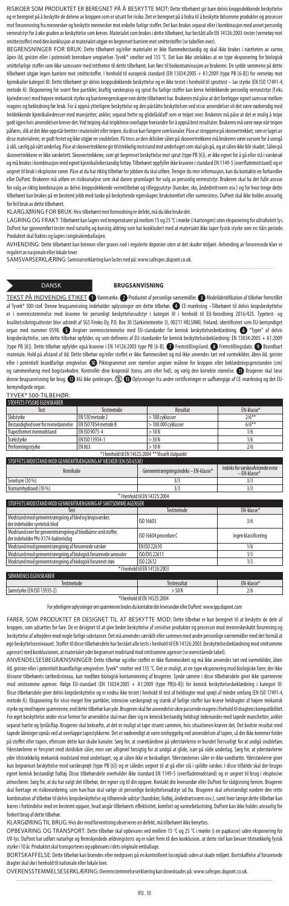RISIKOER SOM PRODUKTET ER BEREGNET PÅ Å BESKYTTE MOT: Dette tilbehøret gir bare delvis kroppsdekkende beskyttelse og er beregnet på å beskytte de delene av kroppen som er utsatt for risiko. Det er beregnet på å bidra til å beskytte følsomme produkter og prosesser mot forurensning fra mennesker og beskytte mennesker mot enkelte farlige stoffer. Det kan brukes separat eller i kombinasjon med annet personlig verneutstyr for å øke graden av beskyttelse som kreves. Materialet som brukes i dette tilbehøret, har bestått alle EN 14126:2003-tester (vernetøy mot smittestoffer) med den konklusjon at materialet utgjør en begrenset barriere mot smittestoffer (se tabellen over).

BEGRENSNINGER FOR BRUK: Dette tilbehøret og/eller materialet er ikke flammebestandig og skal ikke brukes i nærheten av varme åpen ild, gnister eller i potensielt brennbare omgivelser. Tyvek® smelter ved 135 °C. Det kan ikke utelukkes at en type eksponering for biologisk<br>smittefarlige stoffer som ikke samsvarer med tettheten til dette tilbehøret, .<br>Iige stoffer som ikke samsvarer med tettheten til dette tilbehøret, kan føre til biokontaminasjon av brukeren. De sydde sømmene på d tilbehøret utgjør ingen barriere mot smittestoffer. I henhold til europeisk standard (EN 13034:2005 + A1:2009 (type PB [6-B]) for vernetøy mot kjemikalier kategori III: Dette tilbehøret gir delvis kroppsdekkende beskyttelse og er ikke testet i henhold til spruttest – lav styrke (EN ISO 17491-4, metode A). Eksponering for svært fine partikler, kraftig væskespray og sprut fra farlige stoffer kan kreve heldekkende personlig verneutstyr (f.eks. kjeledresser) med høyere mekanisk styrke og barriereegenskaper enn dette tilbehøret har. Brukeren må påse at det foreligger egnet samsvar mellom reagens og bekledning før bruk. For å oppnå ytterligere beskyttelse og den påståtte beskyttelsen ved visse anvendelser vil det være nødvendig med heldekkende kjemikaliedresser med mansjetter, ankler, separat hette og glidelåsklaff som er teipet over. Brukeren må påse at det er mulig å teipe godt igjen hvis anvendelsen krever det. Ved teiping skal teipbitene overlappe hverandre for å oppnå best resultater. Brukeren må være nøye når teipen påføres, slik at det ikke oppstår bretter i materialet eller teipen, da disse kan fungere som kanaler. Påse at stroppene på skoovertrekket, som er laget av .<br>disse materialene, er godt festet og ikke utgjør en snublefare. På tross av den sklisikre sålen på skoovertrekkene må brukeren være varsom for å unngå å skli, særlig på vått underlag. Påse at skoovertrekkene gir tilstrekkelig motstand mot underlaget som skal gås på, og at sålen ikke blir skadet. Sålen på skoovertrekkene er ikke væsketett. Skoovertrekkene, som gir begrenset beskyttelse mot sprut (type PB [6]), er ikke egnet for å gå eller stå i væskesøl og må brukes i kombinasjon med egnet kjemikaliebestandig fottøy. Tilbehøret oppfyller ikke kravene i standard EN 1149-5 (overflatemotstand) og er uegnet til bruk i eksplosive soner. Påse at du har riktig tilbehør for jobben du skal utføre. Trenger du mer informasjon, kan du kontakte en forhan eller DuPont. Brukeren må utføre en risikoanalyse som skal danne grunnlaget for valg av personlig verneutstyr. Brukeren skal ha det fulle ansvar for valg av riktig kombinasjon av delvis kroppsdekkende vernetilbehør og tilleggsutstyr (hansker, sko, åndedrettsvern osv.) og for hvor lenge dette<br>tilbehøret kan brukes på en bestemt jobb med tanke på beskyttende egenskap eret kan brukes på en bestemt jobb med tanke på beskyttende egenskaper, brukskomfort eller varmestress. DuPont skal ikke holdes ansvarlig for feil bruk av dette tilbehøret.

KLARGJØRING FOR BRUK: Hvis tilbehøret mot formodning er defekt, må du ikke bruke det.

LAGRING OG FRAKT: Tilbehøret kan lagres ved temperaturer på mellom 15 og 25 °C i mørke (i kartongen) uten eksponering for ultrafiolett lys. DuPont har gjennomført tester med naturlig og kunstig aldring som har konkludert med at materialet ikke taper fysisk styrke over en tiårs periode. Produktet skal fraktes og lagres i originalemballasjen.

AVHENDING: Dette tilbehøret kan brennes eller graves ned i regulerte deponier uten at det skader miljøet. Avhending av forurensede klær er regulert av nasjonale eller lokale lover. SAMSVARSERKLÆRING: Samsvarserklæring kan lastes ned på: www.safespec.dupont.co.uk.

### DANSK **BRUGSANVISNING**

TEKST PA INDVENDIG ETIKET (\* Varemærke. © Producent af personlige værnemidler. © Modelidentifikation af tilbehør fremstillet<br>af Tyvek® 500-stof. Denne brugsanvisning indeholder oplysninger om dette tilbehør. ۞ CE-mærkning overensstemmelse med kravene for personligt beskyttelsesudstyr i kategori III i henhold til EU-forordning 2016/425. Typetest- og kvalitetssikringsattester blev udstedt af SGS Fimko Oy, P.O. Box 30 (Särkiniementie 3), 00211 HELSINKI, Finland, identificeret som EU-bemyndiget organ med nummer 0598. Angiver overensstemmelse med EU-standarder for kemisk beskyttelsesbeklædning. "Typer" af delvis kropsbeskyttelse, som dette tilbehør opfylder, og som defineres af EU-standarder for kemisk beskyttelsesbeklædning: EN 13034:2005 + A1:2009 (type PB [6]). Dette tilbehør opfylder også kravene i EN 14126:2003 type PB [6-B].  $\bullet$  Fremstillingsland. Bremstillingsdato. DBrandbart materiale. Hold på afstand af ild. Dette tilbehør og/eller stoffet er ikke flammesikret og må ikke anvendes tæt ved varmekilder, åben ild, gnister eller i potentielt brandfarlige omgivelser. W Piktogrammet over størrelser angiver målene for kroppen eller beklædningsgenstanden (cm)<br>og sammenhæng med bogstavkoden. Kontrollér dine kropsmål (torso, arm eller fod), og væl denne brugsanvisning før brug. **D**Må ikke genbruges. **<sup>D</sup>D** Oplysninger fra andre certificeringer er uafhængige af CE-mærkning og det EUbemyndigede organ.

### TYVEK® 500-TILBEHØR:

| STOFFETS FYSISKE EGENSKABER                                                                        |                               |                                                    |                                                |  |  |
|----------------------------------------------------------------------------------------------------|-------------------------------|----------------------------------------------------|------------------------------------------------|--|--|
| Test                                                                                               | Testmetode                    | Resultat                                           | EN-klasse*                                     |  |  |
| Slidstyrke                                                                                         | EN 530 metode 2               | > 100 cvklusser                                    | $2/6***$                                       |  |  |
| Bestandighed over for revnedannelse                                                                | EN ISO 7854 metode B          | > 100.000 cyklusser                                | $6/6***$                                       |  |  |
| Trapezformet rivemodstand                                                                          | FN ISO 9073-4                 | >10N                                               | 1/6                                            |  |  |
| Trækstyrke                                                                                         | FN ISO 13934-1                | > 30 N                                             | 1/6                                            |  |  |
| Perforeringsstyrke                                                                                 | EN 863                        | >10N                                               | 2/6                                            |  |  |
|                                                                                                    |                               | * I henhold til EN 14325:2004 ** Visuelt slutpunkt |                                                |  |  |
| STOFFETS MODSTAND MOD GENNEMTRÆNGNING AF VÆSKER (EN ISO 6530)                                      |                               |                                                    |                                                |  |  |
| Kemikalie                                                                                          |                               | Gennemtrængningsindeks - EN-klasse*                | Indeks for væskeafvisende evne<br>- FN-klasse* |  |  |
| Svovlsyre (30 %)                                                                                   |                               | 3/3                                                | 3/3                                            |  |  |
| Natriumhydroxid (10 %)                                                                             |                               | 3/3                                                | 3/3                                            |  |  |
|                                                                                                    | * I henhold til EN 14325:2004 |                                                    |                                                |  |  |
| STOFFETS MODSTAND MOD GENNEMTRÆNGNING AF SMITSOMME AGENSER                                         |                               |                                                    |                                                |  |  |
| Test                                                                                               |                               | Testmetode                                         | EN-klasse*                                     |  |  |
| Modstand mod gennemtrængning af blod og kropsvæsker,<br>der indeholder syntetisk blod              |                               | ISO 16603                                          | 3/6                                            |  |  |
| Modstand over for gennemtrængning af blodbårne smitstoffer,<br>der indeholder Phi-X174-bakteriofag |                               | ISO 16604 procedure C                              | ingen klassificering                           |  |  |
| Modstand mod gennemtrængning af forurenede væsker                                                  |                               | FN ISO 22610                                       | 1/6                                            |  |  |
| Modstand mod gennemtrængning af biologisk forurenede aerosoler                                     |                               | ISO/DIS 22611                                      | 1/3                                            |  |  |
| Modstand mod gennemtrængning af biologisk forurenet støv                                           |                               | ISO 22612                                          | 1/3                                            |  |  |
|                                                                                                    |                               | * I henhold til EN 14126:2003                      |                                                |  |  |
| SØMMENES EGENSKABER                                                                                |                               |                                                    |                                                |  |  |

| Sømstyrke (EN ISO 13935-2)        | <b>JUN</b> | u<br>27 C |  |  |
|-----------------------------------|------------|-----------|--|--|
| <b>WILL-LIJ AT FM 1 4995-9004</b> |            |           |  |  |

\*I henhold til EN 14325:2004 For yderligere oplysninger om spærreevne bedes du kontakte din leverandør eller DuPont: www.ipp.dupont.com

FARER, SOM PRODUKTET ER DESIGNET TIL AT BESKYTTE MOD: Dette tilbehør er kun beregnet til at beskytte de dele af kroppen, som udsættes for fare. De er designet til at give bedre beskyttelse af sensitive produkter og processer mod menneskeskabt forurening og beskyttelse af arbejdere mod nogle farlige substanser. Det må anvendes særskilt eller sammen med andre personlige værnemidler med det formål at øge beskyttelsesniveauet. Stoffet til disse tilbehørsdele har bestået alle tests i henhold til EN 14126:2003 (beskyttelsesbeklædning mod smitsomme nser) med konklusionen, at materialet yder begrænset modstand mod smitsomme agenser (se ovenstående tabel).

ANVENDELSESBEGRÆNSNINGER: Dette tilbehør og/eller stoffet er ikke flammesikret og må ikke anvendes tæt ved varmekilder, åben ild, gnister eller i potentielt brandfarlige omgivelser. Tyvek® smelter ved 135 °C. Det er muligt, at en type eksponering mod biologiske farer, der ikke tilsvarer tilbehørets tæthedsniveau, kan medføre biologisk kontaminering af brugeren. Syede sømme i disse tilbehørsdele giver ikke spærreevne mod smitsomme agenser. Ifølge EU-standard (EN 13034:2005 + A1:2009 (type PB[6-B]) for kemisk beskyttelsesbeklædning i kategori III: Disse tilbehørsdele giver delvis kropsbeskyttelse og er endnu ikke testet i henhold til test af heldragter mod sprøjt af mindre omfang (EN ISO 17491-4, metode A). Eksponering for visse meget fine partikler, intensive væskesprøjt og stænk af farlige stoffer kan kræve heldragter af højere mekanisk styrke og med højere spærreevne, end dette tilbehør kan yde. Brugeren skal før anvendelse sikre passende reagens i forhold til dragtens kompatibilitet. For øget beskyttelse under visse former for anvendelse skal man iføre sig en kemisk bestandig heldragt indenunder med tapede manchetter, ankler separat hætte og lynlåsflap. Brugeren skal bekræfte, at det er muligt at tape stramt sammen, hvis situationen kræver det. Det bedste resultat med tapede åbninger opnås ved at overlappe tapestykkerne. Det er nødvendigt at være omhyggelig ved anvendelsen af tapen, så der ikke kommer folder på stoffet eller tapen, eftersom dette kan skabe kanaler. Sørg for, at snørebåndene på yderstøvlerne er bundet forsvarligt for at undgå snublefare. Yderstøvlerne er forsynet med skridsikre såler, men vær alligevel forsigtig for at undgå at glide, især på våde underlag. Sørg for, at yderstøvlerne yder tilstrækkelig mekanisk modstand mod underlaget, og at sålen ikke er beskadiget. Yderstøvlernes såler er ikke vandtætte. Yderstøvlerne giver kun begrænset beskyttelse mod væskesprøjt (type PB [6]) og er således uegnet til at gå eller stå i spildte væsker. I disse tilfælde skal der bruges<br>egnet kemisk bestandigt fodtøj. Disse tilbehørsdele overholder ikke standa atmosfærer. Sørg for, at du har valgt det tilbehør, der egner sig til din opgave. Kontakt din leverandør eller DuPont for rådgivning herom. Brugeren skal foretage en risikovurdering, som han/hun skal vælge sit personlige beskyttelsesudstyr ud fra. Brugeren skal selvstændigt vurdere den rette kombination af tilbehør til delvis kropsbeskyttelse og tilhørende udstyr (handsker, fodtøj, åndedrætsværn osv.), samt hvor længe dette tilbehør kan bæres i forbindelse med en bestemt opgave, hvad angår tilbehørets effektivitet, komfort og varmebelastning. DuPont kan ikke holdes ansvarlig for forkert brug af dette tilbehør.

KLARGØRING TIL BRUG: Hvis der mod forventning observeres en defekt, må tilbehøret ikke benyttes.

. . . . . . . . . . . . .

OPBEVARING OG TRANSPORT: Dette tilbehør skal opbevares ved mellem 15 °C og 25 °C i mørke (i en papkasse) uden eksponering for UV-lys. DuPont har udført naturlige og fremskyndede ældningstests og er nået frem til den konklusion, at dette stof kan bevare tilstrækkelig fysisk styrke i 10 år. Produktet skal transporteres og opbevares i dets originale emballage.

BORTSKAFFELSE: Dette tilbehør kan brændes eller nedgraves på en kontrolleret losseplads uden at skade miljøet. Bortskaffelse af forurenede dragter skal ske i henhold til nationale eller lokale love.

OVERENSSTEMMELSESERKLÆRING: Overensstemmelseserklæring kan downloades på: www.safespec.dupont.co.uk.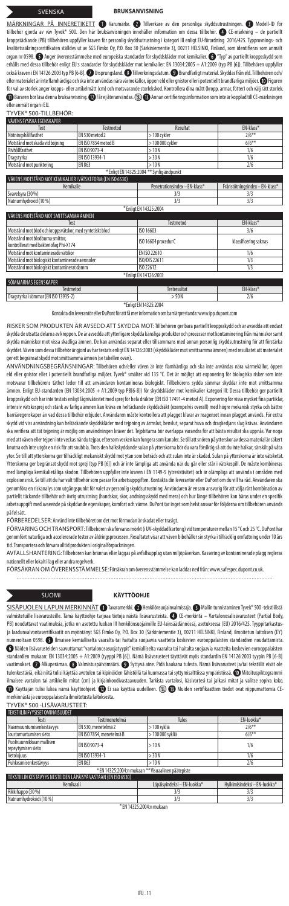### SVENSKA **BRUKSANVISNING**

MÄRKNINGAR PÅ INNERETIKETT @ Varumärke. @ Tillverkare av den personliga skyddsutrustningen. @ Modell-ID för tillbehör gjorda av väv Tyvek" 500. Den här bruksanvisningen innehäller information om dessa tillbehör. ۞ CE-märkning — de partiellt<br>kroppstäckande (PB) tillbehören uppfyller kraven för personlig skyddsutrustning i kategor kvalitetssäkringscertifikaten ställdes ut av SGS Fimko Oy, P.O. Box 30 (Särkiniementie 3), 00211 HELSINKI, Finland, som identifieras som anmält organ nr 0598.  $\bullet$  Anger överensstämmelse med europeiska standarder för skyddskläder mot kemikalier.  $\bullet$  "Typ" av partiellt kroppsskydd som erhålls med dessa tillbehör enligt EU:s standarder för skyddskläder mot kemikalier: EN 13034:2005 + A1:2009 (typ PB [6]). Tillbehören uppfyller också kraven i EN 14126:2003 typ PB [6-B]. 1 Ursprungsland. **@** Tillverkningsdatum. **@** Brandfarligt material. Skyddas från eld. Tillbehören och, ellermaterialet är inte flamhärdiga och ska inte användas nära värmekällor, öppen eld eller gnistor eller i potentiellt brandfarliga miljöer. (U) Figuren<br>för val av storlek anger kropps- eller artikelmått (cm) och motsvara  $\bm{0}$  Bäraren bör läsa denna bruksanvisning.  $\bm{0}$  Får ej återanvändas.  $\circledR$  Annan certifieringsinformation som inte är kopplad till CE-märkningen er<br>anmält organ i EU.

| TYVEK® 500-TILLBEHÖR:                                                    |                     |                                           |                                |
|--------------------------------------------------------------------------|---------------------|-------------------------------------------|--------------------------------|
| VÄVENS FYSISKA EGENSKAPER                                                |                     |                                           |                                |
| Test                                                                     | <b>Testmetod</b>    | Resultat                                  | EN-klass*                      |
| Nötningshållfasthet                                                      | EN 530 metod 2      | > 100 cykler                              | $2/6***$                       |
| Motstånd mot skada vid böjning                                           | EN ISO 7854 metod B | > 100 000 cykler                          | $6/6***$                       |
| Rivhållfasthet                                                           | EN ISO 9073-4       | >10N                                      | 1/6                            |
| Dragstyrka                                                               | EN ISO 13934-1      | > 30 N                                    | 1/6                            |
| Motstånd mot punktering                                                  | FN 863              | >10N                                      | 2/6                            |
|                                                                          |                     | * Enligt EN 14325:2004 ** Synlig ändpunkt |                                |
| VÄVENS MOTSTÅND MOT KEMIKALIER I VÄTSKEFORM (EN ISO 6530)                |                     |                                           |                                |
| Kemikalie                                                                |                     | Penetrationsindex - EN-klass*             | Frånstötningsindex - EN-klass* |
| Svavelsyra (30 %)                                                        |                     | 3/3                                       | 3/3                            |
| Natriumhydroxid (10%)                                                    |                     | 3/3                                       | 3/3                            |
|                                                                          |                     | * Enligt EN 14325:2004                    |                                |
| VÄVENS MOTSTÅND MOT SMITTSAMMA ÄMNEN                                     |                     |                                           |                                |
| Test                                                                     |                     | Testmetod                                 | EN-klass*                      |
| Motstånd mot blod och kroppsvätskor, med syntetiskt blod                 |                     | ISO 16603                                 | 3/6                            |
| Motstånd mot blodburna smittor.<br>kontrollerat med bakteriofag Phi-X174 |                     | ISO 16604 procedur C                      | klassificering saknas          |
| Motstånd mot kontaminerade vätskor                                       |                     | EN ISO 22610                              | 1/6                            |
| Motstånd mot biologiskt kontaminerade aerosoler                          |                     | ISO/DIS 22611                             | 1/3                            |
| Motstånd mot biologiskt kontaminerat damm                                |                     | ISO 22612                                 | 1/3                            |
|                                                                          |                     | * Enligt EN 14126:2003                    |                                |
| SÖMMARNAS EGENSKAPER                                                     |                     |                                           |                                |
| Tortmotod                                                                |                     | Toetzacultat                              | $EMLlace*$                     |

Testmetod Testresultat EN-klass\* Dragstyrka i sömmar (EN ISO 13935-2) >50N 2/6 \*Enligt EN 14325:2004

takta din leverantör eller DuPont för att få mer information om barriärprestanda: www.ipp.dup

RISKER SOM PRODUKTEN ÄR AVSEDD ATT SKYDDA MOT: Tillbehören ger bara partiellt kroppsskydd och är avsedda att endast skydda de utsatta delarna av kroppen. De är avsedda att ytterligare skydda känsliga produkter och processer mot kontaminering från människor samt skydda människor mot vissa skadliga ämnen. De kan användas separat eller tillsammans med annan personlig skyddsutrustning för att förstärka skyddet. Väven som dessa tillbehör är gjord av har testats enligt EN 14126:2003 (skyddskläder mot smittsamma ämnen) med resultatet att materialet ger ett begränsat skydd mot smittsamma ämnen (se tabellen ovan).

ANVÄNDNINGSBEGRÄNSNINGAR: Tillbehören och/eller väven är inte flamhärdiga och ska inte användas nära värmekällor, öppen eld eller gnistor eller i potentiellt brandfarliga miljöer. Tyvek® smälter vid 135 °C. Det är möjligt att exponering för biologiska risker som inte motsvarar tillbehörens täthet leder till att användaren kontamineras biologiskt. Tillbehörens sydda sömmar skyddar inte mot smittsamma<br>ämnen. Enligt EU-standarden (EN 13034:2005 + A1:2009 typ PB[6-B]) för skyddskläder mot kroppsskydd och har inte testats enligt lågnivåtestet med sprej för hela dräkter (EN ISO 17491-4 metod A). Exponering för vissa mycket fina partiklar, intensiv vätskesprej och stänk av farliga ämnen kan kräva en heltäckande skyddsdräkt (exempelvis overall) med högre mekanisk styrka och bättre barriäregenskaper än vad dessa tillbehör erbjuder. Användaren måste kontrollera att plagget klarar av reagenset innan plagget används. För extra<br>skydd vid viss användning kan heltäckande skyddskläder med tejpning av ärmslu ska verifiera att tät tejpning är möjlig om användningen kräver det. Tejpbitarna bör överlappa varandra för att bästa resultat ska uppnås. Var noga med att väven eller tejpen inte veckas när du tejpar, eftersom vecken kan fungera som kanaler. Se till att snören på ytterskor av dessa material är säkert knutna och inte utgör en risk för att snubbla. Trots den halkskyddande sulan på ytterskorna bör du vara försiktig så att du inte halkar, särskilt på våta ytor. Se till att ytterskorna ger tillräckligt mekaniskt skydd mot ytan som beträds och att sulan inte är skadad. Sulan på ytterskorna är inte vätsketät. Ytterskorna ger begränsat skydd mot sprej (typ PB [6]) och är inte lämpliga att använda när du går eller står i vätskespill. De måste kombineras med lämpliga kemikalietåliga skodon. Tillbehören uppfyller inte kraven i EN 1149-5 (ytresistivitet) och är olämpliga att använda i områden med explosionsrisk. Se till att du har valt tillbehör som passar för arbetsuppgiften. Kontakta din leverantör eller DuPont om du vill ha råd. Användaren ska genomföra en riskanalys som utgångspunkt för valet av personlig skyddsutrustning. Användaren är ensam ansvarig för att välja rätt kombination av partiellt täckande tillbehör och övrig utrustning (handskar, skor, andningsskydd med mera) och hur länge tillbehören kan bäras under en specifik<br>Dettallt täckande tillbehör och övrig utrustning (handskar, skor, andningssky arbetsuppgift med avseende på skyddande egenskaper, komfort och värme. DuPont tar inget som helst ansvar för följderna om tillbehören används på fel sätt

FORBEREDELSER: Använd inte tillbehöret om det mot förmodan är skadat eller trasigt.<br>FÖRVARING OCH TRANSPORT: Tillbehören ska förvaras mörkt (i UV-skyddad kartong) vid temperaturer mellan 15 °C och 25 °C. DuPont har genomfört naturliga och accelererade tester av åldringsprocessen. Resultatet visar att väven bibehåller sin styrka i tillräcklig omfattning under 10års tid. Transportera och förvara alltid produkten i originalförpackningen.

AVFALLSHANTERING: Tillbehören kan brännas eller läggas på avfallsupplag utan miljöpåverkan. Kassering av kontaminerade plagg regleras ellt eller lokalt i lag eller andra regelverk

FÖRSÄKRAN OM ÖVERENSSTÄMMELSE: Försäkran om överensstämmelse kan laddas ned från: www.safespec.dupont.co.uk.

. . . . . . . . . . . . . . . . . . .

SUOMI **KÄYTTÖOHJE**

TYVEK® 500 -LISÄVARUSTEET:

S<u>ISÄPUOLEN LAPUN MERKINNÄT</u> • Tavaramerkki. Ø Henkilönsuojainvalmistaja. ● Mallin tunnistaminen Tyvek® 500 -tekstiilistä<br>valmistetuille lisävarusteille. Tämä käyttöohje tarjoaa tietoja näistä lisävarusteista. ● CE-merkint valmistetuille lisävarusteille. Tämä käyttöohje tarjoaa tietoja näistä lisävarusteista. CE-merkintä – Vartalonosalisävarusteet (Partial Body, PB) noudattavat vaatimuksia, jotka on asetettu luokan III henkilönsuojaimille EU-lainsäädännössä, asetuksessa (EU) 2016/425. Tyyppitarkastusja laadunvalvontasertifikaatit on myöntänyt SGS Fimko Oy, P.O. Box 30 (Särkiniementie 3), 00211 HELSINKI, Finland, ilmoitetun laitoksen (EY) meroltaan 0598.  $\bigcirc$  Ilmaisee kemialliselta vaaralta tai haitalta suojaavia vaatteita koskevien eurooppalaisten standardien noudattamista. Näiden lisävarusteiden saavuttamat "vartalonosasuojatyypit" kemialliselta vaaralta tai haitalta suojaavia vaatteita koskevien eurooppalaisten standardien mukaan: EN 13034:2005 + A1:2009 (tyyppi PB [6]). Nämä lisävarusteet täyttävät myös standardin EN 14126:2003 tyypin PB [6-B] vaatimukset.  $\bullet$  Alkuperämaa.  $\bullet$  Valmistuspäivämäärä.  $\bullet$  Syttyvä aine. Pidä kaukana tulesta. Nämä lisävarusteet ja/tai tekstiilit eivät ole tulenkestäviä, eikä niitä tulisi käyttää avotulen tai kipinöiden lähistöllä tai kuumassa tai syttymisalttiissa ympäristössä. Mitoituspiktogrammi ilmaisee vartalon tai artikkelin mitat (cm) ja kirjainkoodivastaavuuden. Tarkista vartalosi, käsivartesi tai jalkasi mitat ja valitse sopiva koko.<br>10 Käyttäjän tulisi lukea nämä käyttöohjeet. 10 Ei saa käyttää uudelleen. ® merkinnästä ja eurooppalaisesta ilmoitetusta laitoksesta.

TEKSTIILIN FYYSISET OMINAISUUDET Testi Testimenetelmä Tulos EN-luokka<sup>\*</sup><br>Senkestävyys EN-530, menetelmä 2 > 100 sykliä 2/6<sup>\*\*</sup> 2/6<sup>\*\*</sup> Naarmuuntumisenkestävyys Joustomurtumisen sieto EN ISO 7854, menetelmä B > 100 000 sykliä 6/6\*\* Puolisuunnikkaan mallisen repeytymisen sieto EN ISO 9073-4 > 10 N 1/6 Vetolujuus EN ISO 13934-1 > 30 N 1/6 Puhkeamisenkestävyys EN 863 > 10 N 2/6 \* EN 14325:2004:n mukaan \*\* Visuaalinen päätepiste TEKSTIILIN KESTÄVYYS NESTEIDEN LÄPÄISYÄ VASTAAN (EN ISO 6530) Kemikaali Läpäisyindeksi – EN-luokka\* Hylkimisindeksi – EN-luokka\* Rikkihappo (30 %) Natriumhydroksidi (10 %) 3/3 3/3

\* EN 14325:2004:n mukaan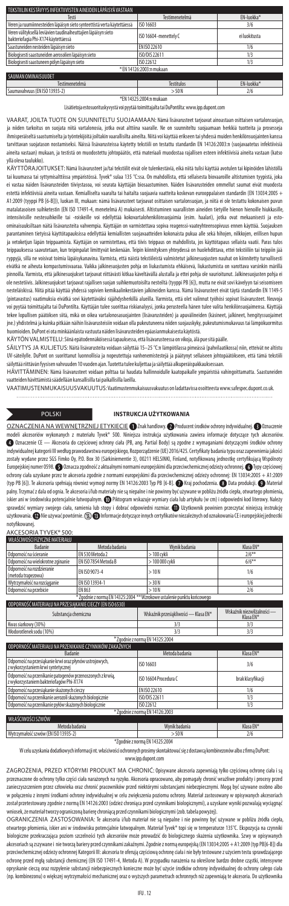| TEKSTIII IN KESTÄVYYS INFEKTIIVISTEN AINEIDEN I ÄPÄISYÄ VASTAAN                                       |                       |                        |  |  |
|-------------------------------------------------------------------------------------------------------|-----------------------|------------------------|--|--|
| Testi                                                                                                 | Testimenetelmä        | FN-luokka <sup>*</sup> |  |  |
| Veren ja ruumiinnesteiden läpäisyn sieto synteettistä verta käytettäessä                              | ISO 16603             | 3/6                    |  |  |
| Veren välityksellä leviävien taudinaiheuttajien läpäisyn sieto<br>bakteriofagia Phi-X174 käytettäessä | ISO 16604-menettely C | ei luokitusta          |  |  |
| Saastuneiden nesteiden läpäisyn sieto                                                                 | EN ISO 22610          | 1/6                    |  |  |
| Biologisesti saastuneiden aerosolien läpäisyn sieto                                                   | ISO/DIS 22611         | 1/3                    |  |  |
| Biologisesti saastuneen pölyn läpäisyn sieto                                                          | ISO 22612             | 1/3                    |  |  |
| * EN 14126:2003:n mukaan                                                                              |                       |                        |  |  |
| SAUMAN OMINAISUUDET                                                                                   |                       |                        |  |  |
| Testimenetelmä                                                                                        | Testitulos            | FN-luokka <sup>*</sup> |  |  |

Saumavahvuus (EN ISO 13935-2) **Saumavahvuus (EN 2014)** 

### \*EN 14325:2004:n mukaan

Lisätietoja estosuorituskyvystä voi pyytää toimittajalta tai DuPontilta: www.ipp.dupont.com

VAARAT, JOILTA TUOTE ON SUUNNITELTU SUOJAAMAAN: Nämä lisävarusteet tarjoavat ainoastaan osittaisen vartalonsuojan, ja niiden tarkoitus on suojata niitä vartalonosia, jotka ovat alttiina vaaralle. Ne on suunniteltu suojaamaan herkkiä tuotteita ja prosesseja ihmisperäiseltä saastumiselta ja työntekijöitä joiltakin vaarallisilta aineilta. Niitä voi käyttää erikseen tai yhdessä muiden henkilönsuojainten kanssa tarvittavan suojatason nostamiseksi. Näissä lisävarusteissa käytetty tekstiili on testattu standardin EN 14126:2003:n (suojavaatetus infektiivisiä aineita vastaan) mukaan, ja testistä on muodostettu johtopäätös, että materiaali muodostaa rajallisen esteen infektiivisiä aineita vastaan (katso yllä oleva taulukko).

KÄYTTÖRAJOITUKSET: Nämä lisävarusteet ja/tai tekstiilit eivät ole tulenkestäviä, eikä niitä tulisi käyttää avotulen tai kipinöiden lähistöllä tai kuumassa tai syttymisalttiissa ympäristössä. Tyvek® sulaa 135 °C:ssa. On mahdollista, että sellaisesta biovaaroille altistumisen tyypistä, joka ei vastaa näiden lisävarusteiden tiiviystasoa, voi seurata käyttäjän biosaastuminen. Näiden lisävarusteiden ommellut saumat eivät muodosta estettä infektiivisiä aineita vastaan. Kemialliselta vaaralta tai haitalta suojaavia vaatteita koskevan eurooppalaisen standardin (EN 13034:2005 + A1:2009 (tyyppi PB [6-B])), luokan III, mukaan: nämä lisävarusteet tarjoavat osittaisen vartalonsuojan, ja niitä ei ole testattu kokonaisen puvun matalatasoisen suihketestin (EN ISO 17491-4, menetelmä A) mukaisesti. Altistuminen vaarallisten aineiden tietyille hienon hienoille hiukkasille, intensiivisille nestesuihkeille tai -roiskeille voi edellyttää kokovartalohenkilönsuojaimia (esim. haalari), jotka ovat mekaanisesti ja estoominaisuuksiltaan näitä lisävarusteita vahvempia. Käyttäjän on varmistettava sopiva reagenssi-vaateyhteensopivuus ennen käyttöä. Suojauksen parantaminen tietyissä käyttötapauksissa edellyttää kemiallisten suojavaatteiden kokonaista pukua alle sekä hihojen, nikkojen, erillisen hupun<br>Is veselestyn täsän toimaanoista. Käyttään on varmistottava lottä tiivis toimaa .<br>Ja vetoketjun läpän teippaamista. Käyttäjän on varmistettava, että tiivis teippaus on mahdollista, jos käyttötapaus sellaista vaatii. Paras tu teippauksessa saavutetaan, kun teipinpalat limittyvät keskenään. Teipin kiinnityksen yhteydessä on huolehdittava, ettei tekstiiliin tai teippiin jää ryppyjä, sillä ne voisivat toimia läpäisykanavina. Varmista, että näistä tekstiileistä valmistetut jalkinesuojusten nauhat on kiinnitetty turvallisesti eivätkä ne aiheuta kompastumisvaaraa. Vaikka jalkinesuojusten pohja on liukastumista ehkäisevä, liukastumista on varottava varsinkin märillä pinnoilla. Varmista, että jalkinesuojukset tarjoavat riittävästi kitkaa käveltävällä alustalla ja ettei pohja ole vaurioitunut. Jalkinesuojusten pohja ei ole nestetiivis. Jalkinesuojukset tarjoavat rajallisen suojan suihkemuotoisilta nesteiltä (tyyppi PB [6]), mutta ne eivät sovi kävelyyn tai seisomiseen nesteläiskissä. Niitä pitää käyttää yhdessä sopivien kemikaalinkestävien jalkineiden kanssa. Nämä lisävarusteet eivät täytä standardin EN 1149-5 (pintavastus) vaatimuksia eivätkä sovi käytettäväksi räjähdysherkillä alueilla. Varmista, että olet valinnut työhösi sopivat lisävarusteet. Neuvoja voi pyytää toimittajalta tai DuPontilta. Käyttäjän tulee suorittaa riskianalyysi, jonka perusteella hänen tulee valita henkilönsuojaimensa. Käyttäjä tekee lopullisen päätöksen siitä, mikä on oikea vartalonosasuojainten (lisävarusteiden) ja apuvälineiden (käsineet, jalkineet, hengityssuojaimet jne.) yhdistelmä ja kuinka pitkään näihin lisävarusteisiin voidaan olla pukeutuneena niiden suojauskyky, pukeutumismukavuus tai lämpökuormitus huomioiden. DuPont ei ota minkäänlaista vastuuta näiden lisävarusteiden epäasianmukaisesta käytöstä.

KÄYTÖN VALMISTELU: Siinä epätodennäköisessä tapauksessa, että lisävarusteessa on vikoja, älä pue sitä päälle.

SÄILYTYS JA KULJETUS: Näitä lisävarusteita voidaan säilyttää 15–25 °C:n lämpötilassa pimeässä (pahvilaatikossa) niin, etteivät ne altistu UV-säteilylle. DuPont on suorittanut luonnollisia ja nopeutettuja vanhenemistestejä ja päätynyt sellaiseen johtopäätökseen, että tämä tekstiili säilyttää riittävän fyysisen vahvuuden 10 vuoden ajan. Tuotetta tulee kuljettaa ja säilyttää alkuperäispakkauksessaan.

HÄVITTÄMINEN: Nämä lisävarusteet voidaan polttaa tai haudata hallinnoidulle kaatopaikalle ympäristöä vahingoittamatta. Saastuneiden vaatteiden hävittämistä säädellään kansallisilla tai paikallisilla laeilla.

VAATIMUSTENMUKAISUUSVAKUUTUS: Vaatimustenmukaisuusvakuutus on ladattavissa osoitteesta www.safespec.dupont.co.uk. . . . . . . . . . . . . . . . . . .

### POLSKI **INSTRUKCJA UŻYTKOWANIA**

OZNACZENIA NA WEWNĘTRZNEJ ETYKIECIE (D Znak handlowy. @ Producent środków ochrony indywidualnej. @ Oznaczenie<br>modeli akcesoriów wykonanych z materiału Tyvek® 500. Niniejsza instrukcja użytkowania zawiera informacje dotyczą modeli akcesoriów wykonanych z materiału Tyvek® 500. Niniejsza instrukcja użytkowania zawiera informacje dotyczące<br>© Oznaczenie CF — Akcesoria do cześciowei ochrony ciała (PB. ang. Partial Body) sa zgodne z wymaganiami dot – Akcesoria do częściowej ochrony ciała (PB, ang. Partial Body) są zgodne z wymaganiami dotyczącymi środków ochrony indywidualnej kategorii III według prawodawstwa europejskiego, Rozporządzenie (UE) 2016/425. Certyfikaty badania typu oraz zapewnienia jakości<br>zostały wydane przez SGS Fimko Oy, P.O. Box 30 (Särkiniementie 3), 00211 HELSIN Europejskiej numer 0598. @ Oznacza zgodność z aktualnymi normami europejskimi dla przeciwchemicznej odzieży ochronnej. @ Typy częściow ochrony ciała uzyskane przez te akcesoria zgodnie z normami europejskimi dla przeciwchemicznej odzieży ochronnej: EN 13034:2005 + A1:2009 (typ PB [6]). Te akcesoria spełniają również wymogi normy EN 14126:2003 Typ PB [6-B].  $\bullet$  Kraj pochodzenia.  $\bullet$  Data produkcji.  $\bullet$  Materiał palny. Trzymać zdala od ognia. Te akcesoria i/lub materiały nie są niepalne i nie powinny być używane w poliżu żódła ciepła, otwartego płomienia,<br>iskier ani w środowisku potencjalnie łatwopalnym. �� Piłkogram wskazuje wym użytkowania.  $\bullet$  Nie używać powtórnie.  $\circledast$  Informacje dotyczące innych certyfikatów niezależnych od oznakowania CE i europejskiej jednostl

notyfikowanej. AKCESORIA TYVEK® 500:

| WŁAŚCIWOŚCI FIZYCZNE MATERIAŁU                                         |                      |                 |           |  |
|------------------------------------------------------------------------|----------------------|-----------------|-----------|--|
| Badanie                                                                | Metoda badania       | Wynik badania   | Klasa FN* |  |
| Odporność na ścieranie                                                 | FN 530 Metoda 2      | $>100$ cvkli    | $2/6***$  |  |
| Odporność na wielokrotne zginanie                                      | EN ISO 7854 Metoda B | > 100 000 cvkli | $6/6***$  |  |
| Odporność na rozdzieranie<br>(metoda trapezowa)                        | FN ISO 9073-4        | >10N            | 1/6       |  |
| Wytrzymałość na rozciąganie                                            | FN ISO 13934-1       | > 30 N          | 1/6       |  |
| Odporność na przebicie                                                 | EN 863               | >10N            | 2/6       |  |
| * Zgodnie z norma EN 14325:2004 ** Wzrokowe ustalenie punktu końcowego |                      |                 |           |  |
| ODPORNOŚĆ MATERIAŁU NA PRZESIĄKANIE CIECZY (EN ISO 6530)               |                      |                 |           |  |

| Substancja chemiczna                                                                                 | Wskaźnik przesiąkliwości - Klasa EN* | Wskaźnik niezwilżalności —<br>Klasa EN* |
|------------------------------------------------------------------------------------------------------|--------------------------------------|-----------------------------------------|
| Kwas siarkowy (30%)                                                                                  | 3/3                                  | 3/3                                     |
| Wodorotlenek sodu (10%)                                                                              | 3/3                                  | 3/3                                     |
|                                                                                                      | * Zgodnie z normą EN 14325:2004      |                                         |
| ODPORNOŚĆ MATERIAŁU NA PRZENIKANIE CZYNNIKÓW ZAKAŹNYCH                                               |                                      |                                         |
| <b>Badanie</b>                                                                                       | Metoda badania                       | Klasa EN*                               |
| Odporność na przesiąkanie krwi oraz płynów ustrojowych,<br>z wykorzystaniem krwi syntetycznej        | ISO 16603                            | 3/6                                     |
| Odporność na przenikanie patogenów przenoszonych z krwią,<br>z wykorzystaniem bakteriofagów Phi-X174 | ISO 16604 Procedura C                | brak klasyfikacji                       |
| Odporność na przesiąkanie skażonych cieczy                                                           | FN ISO 22610                         | 1/6                                     |
| Odporność na przenikanie aerozoli skażonych biologicznie                                             | ISO/DIS 22611                        | 1/3                                     |

### Odporność na przenikanie pyłów skażonych biologicznie ISO 22612 1/3 \* Zgodnie z normą EN 14126:2003 AŚCIWOŚCI SZWÓW

Metoda badania Wynik badania Klasa EN\*

Wytrzymałość szwów (EN ISO 13935-2) > 50 N 2/6 mą EN 14325:2004

W celu uzyskania dodatkowych informacji nt. właściwości ochronnych prosimy skontaktować się z dostawcą kombinezonów albo z firmą DuPont:

www.ipp.dupont.com

ZAGROŻENIA, PRZED KTÓRYMI PRODUKT MA CHRONIĆ: Opisywane akcesoria zapewniają tylko częściową ochronę ciała i są przeznaczone do ochrony tylko części ciała narażonych na ryzyko. Akcesoria opracowano, aby pomagały chronić wrażliwe produkty i procesy przed zanieczyszczeniem przez człowieka oraz chronić pracowników przed niektórymi substancjami niebezpiecznymi. Mogą być używane osobno albo w połączeniu z innymi środkami ochrony indywidualnej w celu zwiększenia poziomu ochrony. Materiał zastosowany w opisywanych akcesoriach został przetestowany zgodnie z normą EN 14126:2003 (odzież chroniąca przed czynnikami biologicznymi), a uzyskane wyniki pozwalają wyciągnąć

wniosek, że materiał tworzy ograniczoną barierę chroniącą przed czynnikami biologicznymi (zob. tabela powyżej).<br>OGRANICZENIA ZASTOSOWANIA: Te akcesoria i/lub materiał nie są niepalne i nie powinny być używane w pobliżu źr otwartego płomienia, iskier ani w środowisku potencjalnie łatwopalnym. Materiał Tyvek® topi się w temperaturze 135°C. Ekspozycja na czynniki biologiczne przekraczająca poziom szczelności tych akcesoriów może prowadzić do biologicznego skażenia użytkownika. Szwy w opisyw akcesoriach są zszywane i nie tworzą bariery przed czynnikami zakaźnymi. Zgodnie z normą europejską (EN 13034:2005 + A1:2009 (typPB[6-B]) dla przeciwchemicznej odzieży ochronnej Kategorii III: akcesoria te oferują częściową ochronę ciała i nie były testowane z użyciem testu sprawdzającego ochronę przed mgłą substancji chemicznej (EN ISO 17491-4, Metoda A). W przypadku narażenia na określone bardzo drobne cząstki, intensywne opryskanie cieczą oraz rozpylenie substancji niebezpiecznych konieczne może być użycie środków ochrony indywidualnej do ochrony całego ciała (np. kombinezonu) o większej wytrzymałości mechanicznej oraz o wyższych parametrach ochronnych niż zapewniają te akcesoria. Doużytkownika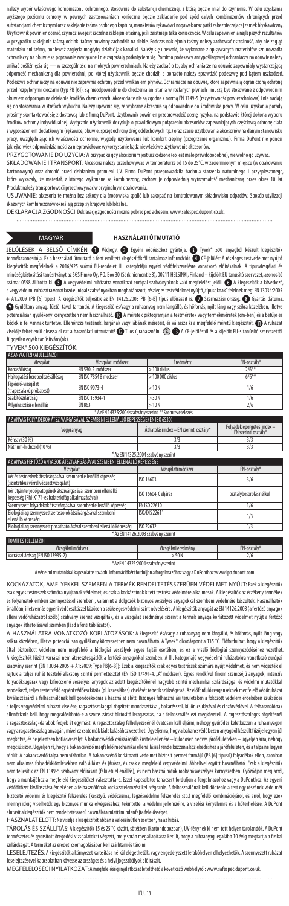należy wybór właściwego kombinezonu ochronnego, stosownie do substancji chemicznej, z którą będzie miał do czynienia. W celu uzyskania wyższego poziomu ochrony w pewnych zastosowaniach konieczne będzie zakładanie pod spód całych kombinezonów chroniących przed substancjami chemicznymi oraz zaklejanie taśmą osobnego kaptura, mankietów rękawów i nogawek oraz patki zabezpieczającej zamek błyskawiczny. Użytkownik powinien ocenić, czy możliwe jest szczelne zaklejenie taśmą, jeśli zaistnieje taka konieczność. W celu zapewnienia najlepszych rezultatów w przypadku zaklejania taśmą odcinki taśmy powinny zachodzić na siebie. Podczas naklejania taśmy należy zachować ostrożność, aby nie zagiąć materiału ani taśmy, ponieważ zagięcia mogłyby działać jak kanaliki. Należy się upewnić, że wykonane z opisywanych materiałów sznurowadła<br>ochraniaczy na obuwie są poprawnie zawiązane i nie zagrażają potknięciem się. Pomimo unikać pośliźnięcia się — w szczególności na mokrych powierzchniach. Należy zadbać o to, aby ochraniacze na obuwie zapewniały wystarczającą odporność mechaniczną dla powierzchni, po której użytkownik będzie chodził, a ponadto należy sprawdzić podeszwę pod kątem uszkodzeń.<br>Podeszwa ochraniaczy na obuwie nie zapewnia ochrony przed wnikaniem płynów. Ochraniacze n przed rozpylonymi cieczami (typ PB [6]), są nieodpowiednie do chodzenia ani stania w rozlanych płynach i muszą być stosowane z odpowiednim obuwiem odpornym na działanie środków chemicznych. Akcesoria te nie są zgodne z normą EN 1149-5 (rezystywność powierzchniowa) i nie nadają się do stosowania w strefach wybuchu. Należy upewnić się, że wybrane akcesoria są odpowiednie do środowiska pracy. W celu uzyskania porady prosimy skontaktować się z dostawcą lub z firmą DuPont. Użytkownik powinien przeprowadzić ocenę ryzyka, na podstawie której dokona wyboru środków ochrony indywidualnej. Wyłącznie użytkownik decyduje o prawidłowym połączeniu akcesoriów zapewniających częściową ochronę ciała z wyposażeniem dodatkowym (rękawice, obuwie, sprzęt ochrony dróg oddechowych itp.) oraz czasie użytkowania akcesoriów na danym stanowisku pracy, uwzględniając ich właściwości ochronne, wygodę użytkowania lub komfort cieplny (przegrzanie organizmu). Firma DuPont nie ponosi

jakiejkolwiek odpowiedzialności za nieprawidłowe wykorzystanie bądź niewłaściwe użytkowanie akcesoriów. PRZYGOTOWANIE DO UŻYCIA: W przypadku gdy akcesorium jest uszkodzone (co jest mało prawdopodobne), nie wolno go używać.

SKŁADOWANIE I TRANSPORT: Akcesoria należy przechowywać w temperaturze od 15 do 25°C, w zaciemnionym miejscu (w opakowaniu 10 nowym) oraz chronić przed działaniem promieni UV. Firma DuPont przeprowadziła badania starzenia naturalnego i przyspiesz które wykazały, że materiał, z którego wykonane są kombinezony, zachowuje odpowiednią wytrzymałość mechaniczną przez okres 10 lat. Produkt należy transportować i przechowywać w oryginalnym opakowaniu.

USUWANIE: akcesoria te można bez szkody dla środowiska spalić lub zakopać na kontrolowanym składowisku odpadów. Sposób utylizacji

skażonych kombinezonów określają przepisy krajowe lub lokalne. DEKLARACJA ZGODNOŚCI: Deklarację zgodności można pobrać pod adresem: www.safespec.dupont.co.uk.

### MAGYAR **HASZNÁLATI ÚTMUTATÓ**

JELÖLÉSEK A BELSŐ CÍMKÉN  $\bullet$  Védjegy.  $\bullet$  Egyéni védőeszköz gyártója.  $\bullet$  Tyvek® 500 anyagból készült kiegészítők termékazonosítója. Ez a használati útmutató a fent említett kiegészítőkről tartalmaz információt. ● CE-jelölés: A részleges testvédelmet nyújtó kiegészítők megfelelnek a 2016/425 számú EU-rendelet III. kategóriájú egyéni védőfelszerelésre vonatkozó előírásainak. A típusvizsgálati és<br>minőségbiztosítási tanúsítványt az SGS Fimko Oy, P.O. Box 30 (Särkiniementie 3), 0 minőségbiztosítási tanúsítványt az SGS Fimko Oy, P.O. Box 30 (Särkiniementie 3), 00211 HELSINKI, Finland – kijelölt EU tanúsító szervezet, azonosító száma: 0598 állította ki.  $\bigcirc$  A vegyvédelmi ruházatra vonatkozó európai szabványoknak való megfelelést jelöli.  $\bigcirc$  A kiegészítők a következő, avegyvédelmi ruházatra vonatkozó európai szabványokban meghatározott, részleges testvédelmet nyújtó, itpusoknak "felelnek meg: EN 13034:2005<br>+ A1:2009 (PB [6] típus). A kiegészítők teljesítik az EN 14126:2003 PB [6-B] típu Gyúlékony anyag. Tűztől távol tartandó. A kiegészítő és/vagy a ruhaanyag nem lángálló, és hőforrás, nyílt láng vagy szikra közelében, illetve potenciálisan gyúlékony környezetben nem használható. **(D)** A méretek piktogramján a testméretek vagy termékméretek (cm-ben) és a betűjeles<br>kódok is fel vannak tüntetve. Ellenőrizze testének, karjának vagy lábának méreteit viselője feltétlenül olvassa el ezt a használati útmutatót! @ Tilos újrahasználni.  $\mathbb Q$  @ A CE-jelöléstől és a kijelölt EU-s tanúsító szervezettől

független egyéb tanúsítvány(ok).<br><u>TYVEK® 500 KIEGÉSZÍTŐK:</u>

| AZ ANYAG FIZIKAI JELLEMZOI                            |                       |                  |             |
|-------------------------------------------------------|-----------------------|------------------|-------------|
| Vizsgálat                                             | Vizsgálati módszer    | Eredmény         | EN-osztály* |
| Kopásállóság                                          | EN 530.2. módszer     | $>100$ ciklus    | $2/6***$    |
| Hajtogatási berepedezésállóság                        | EN ISO 7854 B módszer | $>100000$ ciklus | $6/6***$    |
| Tépőerő-vizsgálat<br>(trapéz alakú próbatest)         | FN ISO 9073-4         | >10N             | 1/6         |
| Szakítószilárdság                                     | FN ISO 13934-1        | > 30 N           | 1/6         |
| Átlyukasztási ellenállás                              | EN 863                | >10N             | 2/6         |
| * Az EN 14325:2004 szabvány szerint **Szemrevételezés |                       |                  |             |

| I AZ ANYAG FOLYADEKOK ATSZIVARGASAVAL SZEMBENI ELLENALLO KEPESSEGE (EN ISO 6530)                                    |                                         |                                                    |  |
|---------------------------------------------------------------------------------------------------------------------|-----------------------------------------|----------------------------------------------------|--|
| Vegyi anyag                                                                                                         | Áthatolási index – EN szerinti osztály* | Folyadéklepergetési index-<br>EN szerinti osztály* |  |
| Kénsav (30 %)                                                                                                       | 3/3                                     | 3/3                                                |  |
| Nátrium-hidroxid (10 %)                                                                                             | 3/3                                     | 3/3                                                |  |
|                                                                                                                     | * Az EN 14325:2004 szabvány szerint     |                                                    |  |
| AZ ANYAG FERTŐZŐ ANYAGOK ÁTSZIVÁRGÁSÁVAL SZEMBENI ELLENÁLLÓ KÉPESSÉGE                                               |                                         |                                                    |  |
| Vizsgálat                                                                                                           | Vizsgálati módszer                      | EN-osztály*                                        |  |
| Vér és testnedvek átszivárgásával szembeni ellenálló képesség<br>(szintetikus vérrel végzett vizsgálat)             | ISO 16603                               | 3/6                                                |  |
| Vér útján terjedő patogének átszivárgásával szembeni ellenálló<br>képesség (Phi-X174-es bakteriofág alkalmazásával) | ISO 16604. Celiárás                     | osztálybesorolás nélkül                            |  |
| Szennyezett folyadékok átszivárgásával szembeni ellenálló képesség                                                  | FN ISO 22610                            | 1/6                                                |  |
| Biológiailag szennyezett aeroszolok átszivárgásával szembeni<br>ellenálló képesség                                  | ISO/DIS 22611                           | 1/3                                                |  |
| Biológiailag szennyezett por áthatolásával szembeni ellenálló képesség                                              | ISO 22612                               | 1/3                                                |  |
| * Az EN 14126:2003 szabvány szerint                                                                                 |                                         |                                                    |  |

| TOMITES JELLEMZOI                 |                  |             |
|-----------------------------------|------------------|-------------|
| sgálati módszer<br>Vızs           | sgálati eredmény | EN-osztály* |
| Varrásszilárdság (EN ISO 13935-2) | $-50N$           | 2/6         |

\*Az EN 14325:2004 szabvány szerint

A védelmi mutatókkal kapcsolatos további információkért forduljon a forgalmazóhoz vagy a DuPonthoz: www.ipp.dupont.com

KOCKÁZATOK, AMELYEKKEL SZEMBEN A TERMÉK RENDELTETÉSSZERŰEN VÉDELMET NYÚJT: Ezek a kiegészítők csak egyes testrészek számára nyújtanak védelmet, és csak a kockázatnak kitett testrész védelmére alkalmasak. A kiegészítők az érzékeny termékek és folyamatok emberi szennyezéssel szembeni, valamint a dolgozók bizonyos veszélyes anyagokkal szembeni védelmére készültek. Használhatók önállóan, illetve más egyéni védőeszközzel közösen a szükséges védelmi szint növelésére. A kiegészítők anyagát az EN 14126:2003 (a fertőző anyagok elleni védőruházatról szóló) szabvány szerint vizsgálták, és a vizsgálat eredménye szerint a termék anyaga korlátozott védelmet nyújt a fertőző anyagok áthatolásával szemben (lásd a fenti táblázatot).

A HASZNÁLATRA VONATKOZÓ KORLÁTOZÁSOK: A kiegészítő és/vagy a ruhaanyag nem lángálló, és hőforrás, nyílt láng vagy szikra közelében, illetve potenciálisan gyúlékony környezetben nem használható. A Tyvek® olvadáspontja 135 °C. Előfordulhat, hogy a kiegészítők<br>által biztosított védelem nem medfelelő a biológiai veszélvek egyes faitái ese által biztosított védelem nem megfelelő a biológiai veszélyek egyes fajtái esetében, és ez a viselő biológiai szennyeződéséhez A kiegészítők fűzött varrásai nem áteresztésgátlók a fertőző anyagokkal szemben. A III. kategóriájú vegyvédelmi ruházatokra vonatkozó európai szabvány szerint (EN 13034:2005 + A1:2009; Type PB[6-B]): Ezek a kiegészítők csak egyes testrészek számára nyújt védelmet, és nem végezték el rajtuk a teljes ruhát tesztelő alacsony szintű permettesztet (EN ISO 17491-4, "A" módszer). Egyes rendkívül finom szemcséjű anyagok, intenzív folyadéksugarak vagy kifröccsenő veszélyes anyagok az adott kiegészítőkénél nagyobb szintű mechanikai szilárdsággal és védelmi mutatókkal ndelkező, teljes testet védő egyéni védőeszközök (pl. kezeslábas) viselését tehetik szükségessé. Az előforduló reagenseknek megfelelő védőruházat kiválasztásáról a felhasználónak kell gondoskodnia a használat előtt. Bizonyos felhasználási területeken a fokozott védelem érdekében szükséges a teljes vegyvédelmi ruházat viselése, ragasztószalaggal rögzített mandzsettával, bokarésszel, külön csuklyával és cipzárvédővel. A felhasználó ellenőriznie kell, hogy megvalósítható-e a szoros zárást biztosító leragasztás, ha a felhasználás ezt megköveteli. A ragasztószalagos rögzítésnél<br>a ragasztószalag-darabok fedjék át egymást. A ragasztószalag felhelyezésénél vagy a ragasztószalag anyagán, mivel ez csatornák kialakulásához vezethet. Ügyeljen rá, hogy a bakancsvédők ezen anyagból készült fűzője legyen jól megkötve, és ne jelentsen botlásveszélyt. A bakancsvédők csúszásgátló kivitele ellenére – különösen nedves járófelületeken – ügyeljen arra, nehogy megcsússzon. Ügyeljen rá, hogy a bakancsvédő megfelelő mechanikai ellenállással rendelkezzen a közlekedéshez a járófelületen, ésatalpa ne legyen sérült. A bakancsvédő talpa nem vízhatlan. A bakancsvédő korlátozott védelmet biztosít permet formájú (PB [6] típusú) folyadékok ellen, azonban nem alkalmas folyadékkiömlésekben való állásra és járásra, és csak a megfelelő vegyvédelmi lábbelivel együtt használható. Ezek a kiegészítők nem teljesítik az EN 1149-5 szabvány előírásait (felületi ellenállás), és nem használhatók robbanásveszélyes környezetben. Győződjön meg arról, hogy a munkájához a megfelelő kiegészítőket választotta-e. Ezzel kapcsolatos tanácsért forduljon a forgalmazóhoz vagy a DuPonthoz. Az egyéni védőöltözet kiválasztása érdekében a felhasználónak kockázatelemzést kell végeznie. A felhasználónak kell döntenie a test egy részének védelmét biztosító védelmi és kiegészítő felszerelés (kesztyű, védőcsizma, légzésvédelmi felszerelés stb.) megfelelő kombinációjáról, és arról, hogy ezek mennyi ideig viselhetők egy bizonyos munka elvégzéséhez, tekintettel a védelmi jellemzőire, a viselési kényelemre és a hőterhelésre. A DuPont .<br>ít a kiegészítők nem rendeltetésszerű használata miatti mindenfajta felelősséget.

HASZNÁLAT ELŐTT: Ne viselje a kiegészítőt abban a valószínűtlen esetben, ha az hibás.

TÁROLÁS ÉS SZÁLLÍTÁS: A kiegészítők 15 és 25 °C között, sötétben (kartondobozban), UV-fénynek ki nem tett helyen tárolandók. A DuPont természetes és gyorsított öregedési vizsgálatokat végzett, mely során megállapításra került, hogy a ruhaanyag legalább 10 évig megtartja a fizikai szilárdságát. A terméket az eredeti csomagolásában kell szállítani és tárolni.

LESELEJTEZÉS: A kiegészítők a környezet károsítása nélkül elégethetők, vagy engedélyezett lerakóhelyen elhelyezhetők. A szennyezett ruházat leselejtezésével kapcsolatban kövesse az országos és a helyi jogszabályok előírásait.

MEGFELELŐSÉGI NYILATKOZAT: A megfelelőségi nyilatkozat letölthető a következő webhelyről: www.safespec.dupont.co.uk.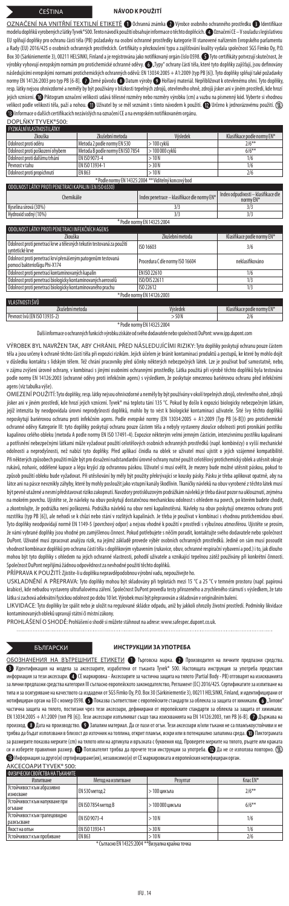### ČEŠTINA **NÁVOD K POUŽITÍ**

OZNAČENÍ NA VNITŘNÍ TEXTILNÍ ETIKETĚ © Ochranná známka © Výrobce osobního ochranného prostředku ● Identifika modelu doplňků vyrobených zlatky Tyvek"500. Tento návod k použití obsahuje informace o těchto doplňcích. (DOznačení CE—V souladu s legislativou<br>EU splňují doplňky pro ochranu částí těla (PB) požadavky na osobní ochranné pr a Rady (EU) 2016/425 o osobních ochranných prostředcích. Certifikáty o přezkoušení typu a zajišťování kvality vydala společnost SGS Fimko Oy, P.O. Box 30 (Särkiniementie 3), 00211 HELSINKI, Finland aje registrována jako notifikovaný orgán číslo 0598. Tyto certifikáty potvrzují skutečnost, že výrobky vyhovují evropským normám pro protichemické ochranné oděvy. ۞, ľypy" ochrany části těla, které tyto doplňky zajištují, jsou dehnovány<br>následujícími evropskými normami protichemických ochranných oděvů: EN 13034:2005 normy EN 14126:2003 pro typ PB [6-B].  $\bullet$  Země původu  $\bullet$  Datum výroby  $\bullet$  Hořlavý materiál. Nepřibližovat k otevřenému ohni. Tyto doplňky resp. látky nejsou ohnivzdorné a neměly by být používány v blízkosti tepelných zdrojů, otevřeného ohně, zdrojů jisker ani v jiném prostředí, kde hrozí<br>jejich vznícení. �� Piktogram označení velikosti udává tělesné rozměry .<br>rosti udává tělesné rozměry nebo rozměry výrobku (cm) a vazb elikost podle velikosti těla, paží a nohou. ۞ Uživatel by se měl seznámit s tímto návodem k použití. ۞ Určeno k jednorázovému použití. ۞ Informace odalších certifikacích nezávislých na označení CE a na evropském notifikovaném orgánu.

| DOPLNKY TYVEK®500:                                   |                                  |                 |                             |  |
|------------------------------------------------------|----------------------------------|-----------------|-----------------------------|--|
| FYZIKÁI NÍVI ASTNOSTI I ÁTKY                         |                                  |                 |                             |  |
| <b>Zkouška</b>                                       | Zkušební metoda                  | Výsledek        | Klasifikace podle normy EN* |  |
| Odolnost proti oděru                                 | Metoda 2 podle normy EN 530      | > 100 cvklů     | $2/6***$                    |  |
| Odolnost proti poškození ohvbem                      | Metoda B podle normy EN ISO 7854 | > 100 000 cvklů | $6/6**$                     |  |
| Odolnost proti dalšímu trhání                        | FN ISO 9073-4                    | >10N            | 1/6                         |  |
| Peynost y tahu                                       | FN ISO 13934-1                   | > 30 N          | 1/6                         |  |
| Odolnost proti propíchnutí                           | FN 863                           | >10N            | 2/6                         |  |
| * Podle normy EN 14325:2004 ** Viditelný koncový bod |                                  |                 |                             |  |

| ODOLNOST LÁTKY PROTI PENETRACI KAPALIN (EN ISO 6530)                                         |                                             |                                                  |  |  |
|----------------------------------------------------------------------------------------------|---------------------------------------------|--------------------------------------------------|--|--|
| Chemikálie                                                                                   | Index penetrace - klasifikace dle normy EN* | Index odpudivosti - klasifikace dle<br>normy EN* |  |  |
| Kyselina sírová (30%)                                                                        | 3/3                                         | 3/3                                              |  |  |
| Hydroxid sodný (10%)                                                                         | 3/3                                         | 3/3                                              |  |  |
|                                                                                              | * Podle normy EN 14325:2004                 |                                                  |  |  |
| ODOLNOST LÁTKY PROTI PENETRACI INFEKČNÍCH AGENS                                              |                                             |                                                  |  |  |
| <b>Zkouška</b>                                                                               | Zkušební metoda                             | Klasifikace podle normy EN*                      |  |  |
| Odolnost proti penetraci krve a tělesných tekutin testovaná za použití<br>syntetické krve    | ISO 16603                                   | 3/6                                              |  |  |
| Odolnost proti penetraci krví přenášeným patogenům testovaná<br>pomocí bakteriofágu Phi-X174 | Procedura C dle normy ISO 16604             | neklasifikováno                                  |  |  |
| Odolnost proti penetraci kontaminovaných kapalin                                             | EN ISO 22610                                | 1/6                                              |  |  |
| Odolnost proti penetraci biologicky kontaminovaných aerosolů                                 | ISO/DIS 22611                               | 1/3                                              |  |  |
| Odolnost proti penetraci biologicky kontaminovaného prachu                                   | ISO 22612                                   | 1/3                                              |  |  |
|                                                                                              | * Podle normy EN 14126:2003                 |                                                  |  |  |
| VLASTNOSTIŠVŮ                                                                                |                                             |                                                  |  |  |
| Zkučehní metoda                                                                              | Wiclodok                                    | Klarifikaçe nedle nermy EN*                      |  |  |

Zkušební metoda Výsledek Klasifikace podle normy EN\* Pevnost švů (ENISO13935-2) > 50N 2/6 \*Podle normy EN14325:2004

Další informace oochranných funkcích výrobku získáte od svého dodavatele nebo společnosti DuPont: www.ipp.dupont.com

VÝROBEK BYL NAVRŽEN TAK, ABY CHRÁNIL PŘED NÁSLEDUJÍCÍMI RIZIKY: Tyto doplňky poskytují ochranu pouze částem těla a jsou určeny k ochraně těchto částí těla při expozici rizikům. Jejich účelem je bránit kontaminaci produ<br>V důsledku kontaktu s lidským tělem. Též chrání pracovníky před účinky některých nebezpečných látek. Lze je pou v důsledku kontaktu s lidským tělem. Též chrání pracovníky před účinky některých nebezpečných látek. Lze je používat buď samo v zájmu zvýšení úrovně ochrany, v kombinaci s jinými osobními ochrannými prostředky. Látka použitá při výrobě těchto doplňků byla testována podle normy EN 14126:2003 (ochranné oděvy proti infekčním agens) s výsledkem, že poskytuje omezenou bariérovou ochranu před infekčními ens (viz tabulka výše)

OMEZENI POUZITI: Tyto doplňky, resp. látky nejsou ohnivzdorné a neměly by být používány v okolí tepelných zdrojů, otevřeného ohně, zdrojů<br>jisker ani v jiném prostředí, kde hrozí jejich vznícení. Tyvek® má teplotu tání 135 jejíž intenzita by neodpovídala úrovni neprodyšnosti doplňků, mohlo by to vést k biologické kontaminaci uživatele. Šité švy těchto doplňků neposkytují bariérovou ochranu proti infekčním agens. Podle evropské normy (EN 13034:2005 + A1:2009 (Typ PB [6-B])) pro protichemické ochranné oděvy Kategorie III: tyto doplňky poskytují ochranu pouze částem těla a nebyly vystaveny zkoušce odolnosti proti pronikání postřiku kapalinou celého obleku (metoda A podle normy EN ISO 17491-4). Expozice některým velmi jemným částicím, intenzivnímu postřiku kapalinami a potřísnění nebezpečnými látkami může vyžadovat použití celotělových osobních ochranných prostředků (např. kombinézy) o vyšší mechanické odolnosti a neprodyšnosti, než nabízí tyto doplňky. Před aplikací činidla na oblek se uživatel musí ujistit o jejich vzájemné kompatibilitě. Při některých způsobech použití může být pro dosažení nadstandardní úrovně ochrany nutné použít celotělový protichemický oblek a utěsnit okraje rukávů, nohavic, oddělené kapuce a légu kryjící zip ochrannou páskou. Uživatel si musí ověřit, že mezery bude možné utěsnit páskou, pokud to způsob použití obleku bude vyžadovat. Při utěsňování by měly být použity překrývající se kousky pásky. Pásku je třeba aplikovat opatrně, aby na látce ani na pásce nevznikly záhyby, které by mohly posloužit jako vstupní kanály škodlivin. Tkaničky návleků na obuv vyrobené ztěchto látek musí být pevně utažené a nesmí představovat riziko zakopnutí. Navzdory protiskluzovým podrážkám návleků je třeba dávat pozor na uklouznutí, zejména na mokrém povrchu. Ujistěte se, že návleky na obuv poskytují dostatečnou mechanickou odolnost sohledem na povrch, po kterém budete chodit, a zkontrolujte, že podrážka není poškozená. Podrážka návleků na obuv není kapalinotěsná. Návleky na obuv poskytují omezenou ochranu proti rozstřiku (typ PB [6]), ale nehodí se k chůzi nebo stání v rozlitých kapalinách. Je třeba je používat v kombinaci s vhodnou protichemickou obuví. Tyto doplňky neodpovídají normě EN 1149-5 (povrchový odpor) a nejsou vhodné kpoužití v prostředí s výbušnou atmosférou. Ujistěte se prosím, že vámi vybrané doplňky jsou vhodné pro zamýšlenou činnost. Pokud potřebujete s něčím poradit, kontaktujte svého dodavatele nebo společnost<br>DuPont. Uživatel musí zpracovat analýzu rizik, na iejímž základě provede výběr oso DuPont. Uživatel musí zpracovat analýzu rizik, na jejímž základě provede výběr osobních ochranných prostředků. Jedině on sám musí pos vhodnost kombinace doplňků pro ochranu částí těla sdoplňkovým vybavením (rukavice, obuv, ochranné respirační vybavení apod.) i to, jak dlouho mohou být tyto doplňky s ohledem na jejich ochranné vlastnosti, pohodlí uživatele a vznikající tepelnou zátěž používány při konkrétní činnosti. Společnost DuPont nepřijímá žádnou odpovědnost za nevhodné použití těchto doplňků.

PŘÍPRAVA K POUŽITÍ: Zjistíte-li udoplňku nepravděpodobnou výrobní vadu, nepoužívejte ho.

USKLADNĚNÍ A PŘEPRAVA: Tyto doplňky mohou být skladovány při teplotách mezi 15 °C a 25 °C v temném prostoru (např. papírová krabice), kde nebudou vystaveny ultrafialovému záření. Společnost DuPont provedla testy přirozeného a zrychleného stárnutí svýsledkem, že tato látka si zachová adekvátní fyzickou odolnost po dobu 10let. Výrobek musí být přepravován askladován voriginálním balení.

LIKVIDACE: Tyto doplňky lze spálit nebo je uložit na regulované skládce odpadu, aniž by jakkoli ohrozily životní prostředí. Podmínky likvidace kontaminovaných obleků upravují státní či místní zákony.

PROHLÁŠENÍ O SHODĚ: Prohlášení oshodě si můžete stáhnout na adrese: www.safespec.dupont.co.uk.

### БЪЛГАРСКИ **ИНСТРУКЦИИ ЗА УПОТРЕБА**

<u>ОБОЗНАЧЕНИЯ НА ВЪТРЕШНИТЕ ЕТИКЕТИ</u> ● Търговска марка. ● Производител на личните предпазни средства.<br>● Идентификация на модела за аксесоарите, изработени от тъканта Tyvek® 500. Настоящата инструкция за употреба предостав информация за тези аксесоари. CE маркировка - Аксесоарите за частична защита на тялото (Partial Body - PB) отговарят на изискванията чни предпазни средства категория III съгласно европейското законодателство, Регламент (EC) 2016/425. Сертификатите за изпитване на типа и за осигуряване на качеството са издадени от SGS Fimko Oy, P.O. Box 30 (Särkiniementie 3), 00211 HELSINKI, Finland, и идентифицирани от нотифициран орган на ЕО с номер 0598. О Показва съответствие с европейските стандарти за облекла за защита от химикали. О "Типове частична защита на тялото, постигани чрез тези аксесоари, дефинирани от европейските стандарти за облекла за защита от химикали: EN 13034:2005 + A1:2009 (тип PB [6]). Тези аксесоари изпълняват също така изискванията на EN 14126:2003, тип PB [6-B]. Държава на произход. Дата на производство. Запалим материал. Да се пази от огън. Тези аксесоари и/или тъкани не са пламъкоустойчиви и не .<br>ябва да бъдат използвани в близост до източник на топлина, открит пламък, искри или в потенциално запалима среда. **Ф** Пиктограмата за размерите показва мерките (cm) на тялото или на артикула и връзката с буквения код. Проверете мерките натялото, ръцете или краката .<br>и изберете правилния размер. ����� Ползвателят трябва да прочете тези инструкции за употреба. ������ а не се използва повторно. ② Информация за друго(и) сертифициране(ия), независимо(и) от CE маркировката и европейския нотифициран орган.

### АКСЕСОАРИ TYVEK® 500:

| ФИЗИЧЕСКИ СВОЙСТВА НА ТЪКАНИТЕ                    |                            |                    |                      |
|---------------------------------------------------|----------------------------|--------------------|----------------------|
| Изпитване                                         | Метод на изпитване         | <b>Резултат</b>    | Клас EN <sup>*</sup> |
| Устойчивост към абразивно<br>износване            | <b>EN 530 метод 2</b>      | > 100 цикъла       | $7/6***$             |
| Устойчивост към напукване при<br>огъване          | <b>EN ISO 7854 метод В</b> | $>100\,000$ цикъла | $6/6**$              |
| Устойчивост към трапецовидно<br>разкъсване        | FN ISO 9073-4              | >10N               | 1/6                  |
| Якост на опън                                     | FN ISO 13934-1             | > 30 N             | 1/6                  |
| Устойчивост към пробиване                         | EN 863                     | >10N               | 2/6                  |
| * Съгласно EN 14325:2004 ** Визуална крайна точка |                            |                    |                      |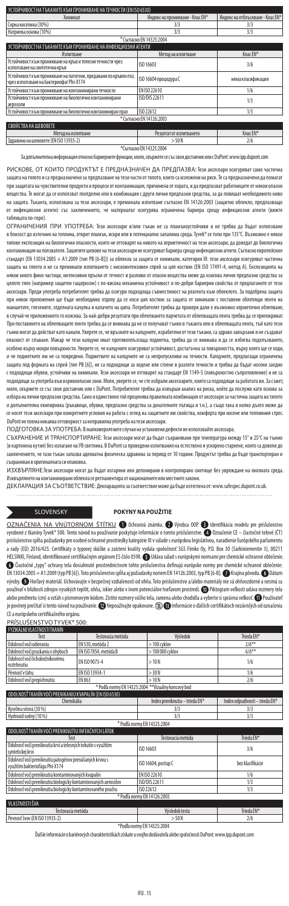| УСТОЙЧИВОСТ НА ТЪКАНИТЕ КЪМ ПРОНИКВАНЕ НА ТЕЧНОСТИ (EN ISO 6530)                                            |                                 |                                  |  |  |
|-------------------------------------------------------------------------------------------------------------|---------------------------------|----------------------------------|--|--|
| Химикал                                                                                                     | Индекс на проникване - Клас EN* | Индекс на отблъскване - Клас EN* |  |  |
| Сярна киселина (30%)                                                                                        | 3/3                             | 3/3                              |  |  |
| Натриева основа (10%)                                                                                       | 3/3                             | 3/3                              |  |  |
|                                                                                                             | * Съгласно EN 14325:2004        |                                  |  |  |
| УСТОЙЧИВОСТ НА ТЪКАНИТЕ КЪМ ПРОНИКВАНЕ НА ИНФЕКЦИОЗНИ АГЕНТИ                                                |                                 |                                  |  |  |
| Изпитване                                                                                                   | Метод на изпитване              | Клас EN*                         |  |  |
| Устойчивост към проникване на кръв и телесни течности чрез<br>използване на синтетична кръв                 | ISO 16603                       | 3/6                              |  |  |
| Устойчивост към проникване на патогени, предавани по кръвен път,<br>чрез използване на бактериофаг Phi-X174 | ISO 16604 процедура С           | няма класификация                |  |  |
| Устойчивост към проникване на контаминирани течности                                                        | FN ISO 22610                    | 1/6                              |  |  |
| Устойчивост към проникване на биологично контаминирани<br>аерозоли                                          | ISO/DIS 22611                   | 1/3                              |  |  |
| Устойчивост към проникване на биологично контаминиран прах                                                  | ISO 22612                       | 1/3                              |  |  |
|                                                                                                             | * Съгласно EN 14126:2003        |                                  |  |  |
| СВОЙСТВА НА ШЕВОВЕТЕ                                                                                        |                                 |                                  |  |  |
| Метод на изпитване                                                                                          | Резултат от изпитването         | Клас EN*                         |  |  |
| Здравина на шевовете (EN ISO 13935-2)                                                                       | >50N                            | 2/6                              |  |  |
|                                                                                                             | $+C_1$ FM 14335-3004            |                                  |  |  |

Съгласно EN 14325:20\*<br>1980 относно бариерните функции, моля, свържет

а информация относно бариерните функции, моля, свържете се със своя доставчик или с DuPont: www.ipp.dup

РИСКОВЕ, ОТ КОИТО ПРОДУКТЪТ Е ПРЕДНАЗНАЧЕН ДА ПРЕДПАЗВА: Тези аксесоари осигуряват само части защита на тялото и са предназначени за предпазване на тези части от тялото, които са изложени на риск. Те са предназначени да помагат при защитата на чувствителни продукти и процеси от контаминация, причинена от хората, и да предпазват работниците от някои опасни вещества. Те могат да се използват поотделно или в комбинация с други лични предпазни средства, за да повишат необходимото ниво на защита. Тъканта, използвана за тези аксесоари, е преминала изпитване съгласно EN 14126:2003 (защитно облекло, предпазващо от инфекциозни агенти) със заключението, че материалът осигурява ограничена бариера срещу инфекциозни агенти (вижте таблицата по-горе).<br>ОГРАНИЧЕНИЯ ПРИ УПОТРЕБА: Тези аксесоари и/или тъкан не са пламъкоустойч

ОГРАНИЧЕНИЯ ПРИ УПОТРЕБА: Тези аксесоари и/или тъкан не са пламъкоустойчиви и не трябва да бъдат използвани<br>в близост до източник на топлина, открит пламък, искри или в потенциално западпуеса. ТучеК се топи при 135°С. Въз контаминация на ползвателя. Зашитите шевове на тези аксесоари не осигуряват бариера срещу инфекциозни агенти. Съгласно европейск стандарт (EN 13034:2005 + A1:2009 (тип PB [6-B])) за облекла за защита от химикали, категория III: тези аксесоари осигуряват частична защита на тялото и не са преминали изпитването с нискоинтензивен спрей за цял костюм (EN ISO 17491-4, метод А). Експозицията на .<br>кои много фини частици, интензивни пръски от течност и разливи от опасни вещества може да изисква лични предпазни средства за цялото тяло (например защитен гащеризон) с по-висока механична устойчивост и по-добри бариерни свойства от предлаганите от тези аксесоари. Преди употреба потребителят трябва да осигури подходяща съвместимост на реагента към облеклото. За подобрена защита при някои приложения ще бъде необходимо отдолу да се носи цял костюм за защита от химикали с поставени облепящи ленти на .<br>аншетите, глезените, отделната качулка и капачето на ципа. Потребителят трябва да провери дали е възможно херметично облепване в случай че приложението го изисква. За най-добри резултати при облепването парчетата от облепващата лента трябва да се припокриват. При поставянето на облепващите ленти трябва да се внимава да не се получават гънки в тъканта или в облепващата лента, тъй като тези гънки могат да действат като канали. Уверете се, че връзките на калцуните, изработени от тези тъкани, са здраво завързани и не създават опасност от спъване. Макар че тези калцуни имат противоплъзгаща подметка, трябва да се внимава и да се избягва подхлъзването, особено върху мокри повърхности. Уверете се, че калцуните осигуряват устойчивост, достатъчна за повърхността, върху която ще се ходи, и че подметките им не са повредени. Подметките на калцуните не са непропускливи на течности. Калцуните, предлагащи ограничена защита под формата на спрей (тип PB [6]), не са подходящи за ходене или стоене в разлети течности и трябва да бъдат носени заедно с подходящи обувки, устойчиви на химикали. Тези аксесоари не отговарят на стандарт EN 1149-5 (повърхностно съпротивление) и не са подходящи за употреба във взривоопасни зони. Моля, уверете се, че сте избрали аксесоарите, които са подходящи за работата ви. За съвет, моля, свържете се със своя доставчик или с DuPont. Потребителят трябва да извърши анализ на риска, който да послужи като основа за избора на лични предпазни средства. Само и единствено той преценява правилната комбинация от аксесоари за частична защита на тялото и допълнителна екипировка (ръкавици, обувки, предпазни средства за дихателните пътища и т.н.), а също така и колко дълго може да се носят тези аксесоари при конкретните условия на работа с оглед на защитните им свойства, комфорта при носене или топлинния стрес. DuPont не поема никаква отговорност за неправилна употреба на тези аксесоари.

ПОДГОТОВКА ЗА УПОТРЕБА: В малковероятните случаи на установени дефекти не използвайте аксесоара.

СЪХРАНЕНИЕ И ТРАНСПОРТИРАНЕ: Тези аксесоари могат да бъдат съхранявани при температура между 15° и 25℃ на тът (в картонена кутия) без излагане на УВ светлина. В DuPont са проведени изпитвания на естествено и ускорено стареене, които са довели до заключението, че тази тъкан запазва адекватна физическа здравина за период от 10 години. Продуктът трябва да бъде транспортиран и съхраняван в оригиналната си опаковка.

ИЗХВЪРЛЯНЕ:Тези аксесоари могат да бъдат изгаряни или депонирани в контролирано сметище без увреждане на околната среда. Изхвърлянето на контаминирани облекла се регламентира от националните или местните закони.

ДЕКЛАРАЦИЯ ЗА СЪОТВЕТСТВИЕ: Декларацията за съответствие може да бъде изтеглена от: www.safespec.dupont.co.uk.

### SLOVENSKY **POKYNY NA POUŽITIE**

OZNAČENIA NA VNÚTORNOM ŠTÍTKU @ Ochranná známka. @ Výrobca 00P. @ Identifikácia modelu pre príslušenstvo vyrobené z tkaniny Tyvek® 500. Tento návod na používanie poskytuje informácie o tomto príslušenstve. ۞ Označenie CE — čiastočné telové (CT)<br>príslušenstvo spĺňa požiadavky pre osobné ochranné prostriedky kategórie III v súl a rady (EÚ) 2016/425. Certifikáty o typovej skúške a zaistení kvality vydala spoločnosť SGS Fimko Oy, P.O. Box 30 (Särkiniementie 3), 00211 HELSINKI, Finland, identifikované certifikačným orgánom ES číslo 0598. <br />
Udáva súlad s európskymi normami pre chemické ochranné oblečenie  $\bullet$  Čiastočné "typy" ochrany tela dosiahnuté prostredníctvom tohto príslušenstva definujú európske normy pre chemické ochranné oblečenie: EN 13034:2005 + A1:2009 (typ PB [6]). Toto príslušenstvo spĺňa aj požiadavky noriem EN 14126:2003, typ PB [6-B].  $\bullet$  Krajina pôvodu.  $\bullet$  Dátum výroby.  $\bullet$  Horľavý materiál. Uchovávajte v bezpečnej vzdialenosti od ohňa. Toto príslušenstvo a/alebo materiály nie sú ohňovzdorné a nesmú sa používať v blízkosti zdrojov vysokých teplôt, ohňa, iskier alebo v inom potenciálne horľavom prostredí. @ Piktogram veľkosti udáva rozmery tela .<br>alebo predmetu (cm) a vzťah s písmenovým kódom. Zistite rozmery vášho tela, ramena alebo chodidla a vyberte si správnu veľkosť. ۞ Používateľ je povinný prečítať si tento návod na používanie. @Nepoužívajte opakovane. **\@**Informácie o ďalších certifikátoch nezávislých od označenia CE a európskeho certifikačného orgánu.

### PRÍSLUŠENSTVO TYVEK® 500:

| FYZIKÁLNEVLASTNOSTITKANÍN                           |                       |                  |            |
|-----------------------------------------------------|-----------------------|------------------|------------|
| Test                                                | Testovacia metóda     | Výsledok         | Trieda EN* |
| Odolnosť voči odieraniu                             | EN 530, metóda 2      | $>100$ cyklov    | $2/6***$   |
| Odolnosť voči praskaniu v ohvboch                   | EN ISO 7854, metóda B | $>100000$ cyklov | $6/6**$    |
| Odolnosť voči lichobežníkovému<br>roztrhnutiu       | FN ISO 9073-4         | >10N             | 1/6        |
| Peynost'y tahu                                      | EN ISO 13934-1        | $>$ 30 N         | 1/6        |
| Odolnosť voči prepichnutiu                          | EN 863                | >10N             | 2/6        |
| * Podľa normy EN 14325:2004 ** Vizuálny koncový bod |                       |                  |            |

| ODOLNOSŤ TKANÍN VOČI PRENIKANIU KVAPALÍN (EN ISO 6530). |                                |  |  |
|---------------------------------------------------------|--------------------------------|--|--|
| <b>hemikália</b>                                        | Index odpudivosti – trieda EN* |  |  |
| Kyselina sírová (30 %)                                  |                                |  |  |
| Hydroxid sodný (10 %)                                   |                                |  |  |

|                                                   | * Podľa normy EN 14325:2004                                                       |                   |            |
|---------------------------------------------------|-----------------------------------------------------------------------------------|-------------------|------------|
| ODOLNOSŤ TKANÍN VOČI PRENIKNUTIU INFEKČNÝCH LÁTOK |                                                                                   |                   |            |
|                                                   | Test                                                                              | Testovacia metóda | Trieda FN* |
|                                                   | Odolnosť voči preniknutiu krvi a telesných tekutín s využitím<br>svntetickej krvi | ISO 16603         | 3/6        |

| Odolnosť voči preniknutiu patogénov prenášaných krvou s<br>využitím bakteriofágu Phi-X174 | ISO 16604, postup C | bez klasifikácie |  |
|-------------------------------------------------------------------------------------------|---------------------|------------------|--|
| Odolnosť voči preniknutiu kontaminovaných kvapalín                                        | FN ISO 22610        | 1/6              |  |
| Odolnosť voči preniknutiu biologicky kontaminovaných aerosólov                            | ISO/DIS 22611       | 1/3              |  |
| Odolnosť voči preniknutiu biologicky kontaminovaného prachu                               | ISO 22612           | 1/3              |  |
| * Podľa normy EN 14126:2003                                                               |                     |                  |  |
| VI ASTNOSTI ŠVA                                                                           |                     |                  |  |
| Testovacia metóda                                                                         | Výslednk testu      | Trieda FN*       |  |

| Testovacia metóda             | Výsledok testu | Trieda EN* |
|-------------------------------|----------------|------------|
| Pevnosť švov (EN ISO 13935-2) | $-50N$         | 2/6        |
| *Podľa normy EN 14325:2004    |                |            |

Ďalšie informácie o bariérových charakteristikách získate u svojho dodávateľa alebo spoločnosti DuPont: www.ipp.dupont.com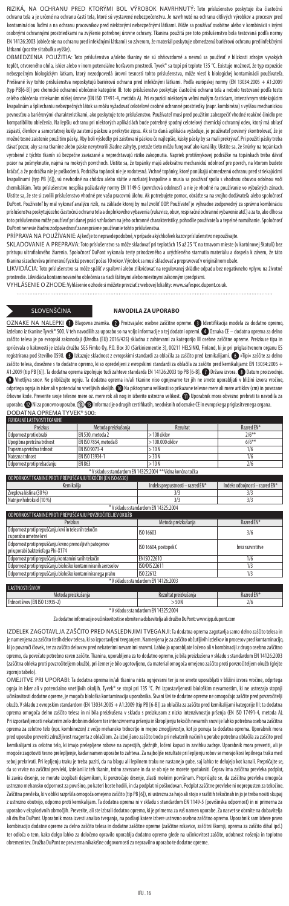RIZIKÁ, NA OCHRANU PRED KTORÝMI BOL VÝROBOK NAVRHNUTÝ: Toto príslušenstvo poskytuje iba čiastočnú ochranu tela a je určené na ochranu častí tela, ktoré sú vystavené nebezpečenstvu. Je navrhnuté na ochranu citlivých výrobkov a procesov pred kontamináciou ľuďmi a na ochranu pracovníkov pred niektorými nebezpečnými látkami. Môže sa používať osobitne alebo v kombinácii s inými osobnými ochrannými prostriedkami na zvýšenie potrebnej úrovne ochrany. Tkanina použitá pre toto príslušenstvo bola testovaná podľa normy EN 14126:2003 (oblečenie na ochranu pred infekčnými látkami) so záverom, že materiál poskytuje obmedzenú bariérovú ochranu pred infekčnými látkami (pozrite si tabuľku vyššie).

OBMEDZENIA POUŽITIA: Toto príslušenstvo a/alebo tkaniny nie sú ohňovzdorné a nesmú sa používať v blízkosti zdrojov vysokých teplôt, otvoreného ohňa, iskier alebo v inom potenciálne horľavom prostredí. Tyvek® sa topí pri teplote 135 °C. Existuje možnosť, že typ expozície nebezpečným biologickým látkam, ktorý nezodpovedá úrovni tesnosti tohto prislušenstva, môže viesť k biologickej kontaminácii používateľa.<br>Prešívané švy tohto príslušenstva neposkytujú bariérovú ochranu pred infekčnými látk (typ PB[6-B]) pre chemické ochranné oblečenie kategórie III: toto príslušenstvo poskytuje čiastočnú ochranu tela a nebolo testované podľa testu celého oblečenia striekaním nízkej úrovne (EN ISO 17491-4, metóda A). Pri expozícii niektorým veľmi malým časticiam, intenzívnym striekajúcim kvapalinám a špliechaniu nebezpečných látok sa môžu vyžadovať celotelové osobné ochranné prostriedky (napr. kombinéza) s vyššou mechanickou pevnosťou a bariérovými charakteristikami, ako poskytuje toto príslušenstvo. Používateľ musí pred použitím zabezpečiť vhodné reakčné činidlo pre kompatibilitu oblečenia. Na lepšiu ochranu pri niektorých aplikáciách bude potrebný spodný celotelový chemický ochranný odev, ktorý má oblasť zápästí, členkov a samostatnej kukly zaistenú páskou a prekrytie zipsu. Ak si to daná aplikácia vyžaduje, je používateľ povinný skontrolovať, že je možné tesné zaistenie použitím pásky. Aby boli výsledky pri zaisťovaní páskou čo najlepšie, kúsky pásky by sa mali prekrývať. Pri použití pásky treba dávať pozor, aby sa na tkanine alebo páske nevytvorili žiadne záhyby, pretože tieto môžu fungovať ako kanáliky. Uistite sa, že šnúrky na topánkach vyrobené z týchto tkanín sú bezpečne zaviazané a nepredstavujú riziko zakopnutia. Napriek protišmykovej podrážke na topánkach treba dávať pozor na pošmyknutie, najmä na mokrých povrchoch. Uistite sa, že topánky majú adekvátnu mechanickú odolnosť pre povrch, na ktorom budete kráčať, a že podrážka nie je poškodená. Podrážka topánok nie je vodotesná. Vrchné topánky, ktoré ponúkajú obmedzenú ochranu pred striekajúcimi kvapalinami (typ PB [6]), sú nevhodné na chôdzu alebo státie v rozliatej kvapaline a musia sa používať spolu s vhodnou obuvou odolnou voči chemikáliám. Toto príslušenstvo nespĺňa požiadavky normy EN 1149-5 (povrchová odolnosť) a nie je vhodné na používanie vo výbušných zónach. Uistite sa, že ste si zvolili príslušenstvo vhodné pre vašu pracovnú úlohu. Ak potrebujete pomoc, obráťte sa na svojho dodávateľa alebo spoločnosť DuPont. Používateľ by mal vykonať analýzu rizík, na základe ktorej by mal zvoliť OOP. Používateľ je výhradne zodpovedný za správnu kombináciu príslušenstva poskytujúceho čiastočnú ochranu tela a doplnkového vybavenia (rukavice, obuv, respiračné ochranné vybavenie atď.) a za to, ako dlho sa .<br>toto príslušenstvo môže používať pri danej práci vzhľadom na jeho ochranné charakteristiky, pohodlie používateľa a tepelné namáhanie. Spoločnosť<br>DuPont nenesie žiadnu zodnovednosť za nesprávne noužívanie tohto príslušens ont nenesie žiadnu zodpovednosť za nesprávne používanie tohto príslušenstva.

PRÍPRAVA NA POUŽÍVANIE: Aj keď je to nepravdepodobné, v prípade akýchkoľvek kazov príslušenstvo nepoužívajte.

SKLADOVANIE A PREPRAVA: Toto príslušenstvo sa môže skladovať pri teplotách 15 až 25 °C na tmavom mieste (v kartónovej škatuli) bez prístupu ultrafialového žiarenia. Spoločnosť DuPont vykonala testy prirodzeného a urýchleného starnutia materiálu a dospela k záveru, že táto tkanina si zachováva primeranú fyzickú pevnosť počas 10 rokov. Výrobok sa musí skladovať a prepravovať v originálnom obale.

LIKVIDÁCIA: Toto príslušenstvo sa môže spáliť v spaľovni alebo zlikvidovať na regulovanej skládke odpadu bez negatívneho vplyvu na životné stredie. Likvidácia kontaminovaného oblečenia sa riadi štátnymi alebo miestnymi zákonnými predpismi.

VYHLÁSENIE O ZHODE: Vyhlásenie o zhode si môžete prevziať z webovej lokality: www.safespec.dupont.co.uk.

### SLOVENŠČINA **NAVODILA ZA UPORABO**

OZNAKE NA NALEPKI 1 Blagovna znamka. 2 Proizvajalec osebne zaščitne opreme. i Identifikacija modela za dodatno opremo, izdelano iz tkanine Tyvek® 500. V teh navodilih za uporabo so na voljo informacije o tej dodatni opremi. ● Oznaka CE – dodatna oprema za delno zaščito telesa je po evropski zakonodaji (Uredba (EU) 2016/425) skladna z zahtevami za kategorijo III osebne zaščitne opreme. Preizkuse tipa in spričevala o kakovosti je izdala družba SGS Fimko Oy, P.O. Box 30 (Särkiniementie 3), 00211 HELSINKI, Finland, ki je pri priglasitvenem organu ES registrirana pod številko 0598. **O** Izkazuje skladnost z evropskimi standardi za oblačila za zaščito pred kemikalijami. **O** »Tipi« zaščite za delno zaščito telesa, dosežene s to dodatno opremo, ki so opredeljeni z evropskimi standardi za oblačila za zaščito pred kemikalijami: EN 13034:2005 +<br>A1:2009 (tip PB [6]). Ta dodatna oprema izpolnjuje tudi zahteve standarda EN Vnetljiva snov. Ne približujte ognju. Ta dodatna oprema in/ali tkanine niso ognjevarne ter jih ne smete uporabljati v bližini izvora vročine, odprtega ognja in isker ali v potencialno vnetljivih okoljih. @ Na piktogramu velikosti so prikazane telesne mere ali mere artiklov (cm) in povezane črkovne kode. Preverite svoje telesne mere oz. mere rok ali nog in izberite ustrezno velikost. Uporabnik mora obvezno prebrati ta navodila za uporabo.  $\bullet$  Ni za ponovno uporabo.  $\circledast$  Informacije o drugih certifikatih, neodvisnih od oznake CE in evropskega priglasitvenega organa. DODATNA OPREMA TYVEK® 500:

| <b>FIZIKALNE LASTNOSTITKANINE</b>                          |                       |                   |            |
|------------------------------------------------------------|-----------------------|-------------------|------------|
| Preizkus                                                   | Metoda preizkušanja   | Rezultat          | Razred EN* |
| Odpornost proti obrabi                                     | EN 530, metoda 2      | $>100$ ciklov     | $2/6***$   |
| Upogibna pretržna trdnost                                  | EN ISO 7854, metoda B | $>100.000$ ciklov | $6/6***$   |
| Trapezna pretržna trdnost                                  | FN ISO 9073-4         | >10N              | 1/6        |
| Natezna trdnost                                            | FN ISO 13934-1        | > 30 N            | 1/6        |
| Odpornost proti prebadaniu                                 | EN 863                | >10N              | 2/6        |
| *V skladu s standardom EN 14325:2004 ** Vidna končna točka |                       |                   |            |

| ODPORNOST TKANINE PROTI PREPUŠČANJU TEKOČIN (EN ISO 6530)                                     |                                      |                                |  |
|-----------------------------------------------------------------------------------------------|--------------------------------------|--------------------------------|--|
| Kemikalija                                                                                    | Indeks prepustnosti - razred EN*     | Indeks odbojnosti - razred EN* |  |
| Žveplova kislina (30 %)                                                                       | 3/3                                  | 3/3                            |  |
| Natriiev hidroksid (10 %)                                                                     | 3/3                                  | 3/3                            |  |
|                                                                                               | *V skladu s standardom EN 14325:2004 |                                |  |
| ODPORNOST TKANINE PROTI PREPUŠČANJU POVZROČITELJEV OKUŽB                                      |                                      |                                |  |
| Preizkus                                                                                      | Metoda preizkušania                  | Razred EN*                     |  |
| Odpornost proti prepuščanju krvi in telesnih tekočin<br>z uporabo umetne krvi                 | ISO 16603                            | 3/6                            |  |
| Odpornost proti prepuščanju krvno prenosljivih patogenov<br>pri uporabi bakteriofaga Phi-X174 | ISO 16604, postopek C                | brez razvrstitve               |  |
| Odpornost proti prepuščanju kontaminiranih tekočin                                            | FN ISO 22610                         | 1/6                            |  |
| Odpornost proti prepuščanju biološko kontaminiranih aerosolov                                 | ISO/DIS 22611                        | 1/3                            |  |
| Odpornost proti prepuščanju biološko kontaminiranega prahu                                    | ISO 22612                            | 1/3                            |  |
| *V skladu s standardom EN 14126:2003                                                          |                                      |                                |  |
| LASTNOSTI ŠIVOV                                                                               |                                      |                                |  |
| Metoda preizkušania                                                                           | Rezultat preizkušania                | Razred EN*                     |  |

Trdnost šivov (EN ISO 13935-2) > 50 N 2/6 \* V skladu s standardom EN 14325:2004

Za dodatne informacije o učinkovitosti se obrnite na dobavitelja ali družbo DuPont: www.ipp.dupont.com

IZDELEK ZAGOTAVLJA ZAŠČITO PRED NASLEDNJIMI TVEGANJI: Ta dodatna oprema zagotavlja samo delno zaščito telesa in imenjena za zaščito tistih delov telesa, ki so izpostavljeni tveganjem. Namenjena je za zaščito občutljivih izdelkov in procesov pred kontaminacijo, ki jo povzroči človek, ter za zaščito delavcev pred nekaterimi nevarnimi snovmi. Lahko jo uporabljate ločeno ali v kombinaciji z drugo osebno zaščitno opremo, da povečate potrebno raven zaščite. Tkanina, uporabljena za to dodatno opremo, je bila preizkušena v skladu s standardom EN 14126:2003 (zaščitna obleka proti povzročiteljem okužb), pri čemer je bilo ugotovljeno, da material omogoča omejeno zaščito proti povzročiteljem okužb (glejte zgornjo tabelo).

OMEJITVE PRI UPORABI: Ta dodatna oprema in/ali tkanina nista ognjevarni ter ju ne smete uporabljati v bližini izvora vročine, odprtega<br>ognja in isker ali v potencialno vnetljivih okoljih. Tyvek® se stopi pri 135 °C. Pri iz učinkovitosti dodatne opreme, je mogoča biološka kontaminacija uporabnika. Šivani šivi te dodatne opreme ne omogočajo zaščite pred povzročitelji okužb. V skladu z evropskim standardom (EN 13034:2005 + A1:2009 (tip PB [6-B]) za oblačila za zaščito pred kemikalijami kategorije III: ta dodatna oprema omogoča delno zaščito telesa in ni bila preizkušena v skladu s preizkusom z nizko intenzivnostjo pršenja (EN ISO 17491-4, metoda A). Pri izpostavljenosti nekaterim zelo drobnim delcem ter intenzivnemu pršenju in škropljenju tekočih nevarnih snovi je lahko potrebna osebna zaščitna oprema za celotno telo (npr. kombinezon) z večjo mehansko trdnostjo in mejno zmogljivostjo, kot jo ponuja ta dodatna oprema. Uporabnik mora pred uporabo preveriti združljivost reagenta z oblačilom. Za izboljšano zaščito bodo pri nekaterih načinih uporabe potrebna oblačila za zaščito pred kemikalijami za celotno telo, ki imajo prelepljene robove na zapestjih, gležnjih, ločeni kapuci in zavihku zadrge. Uporabnik mora preveriti, ali je mogoče zagotoviti tesno prelepljenje, kadar namen uporabe to zahteva. Za najboljše rezultate pri lepljenju robov se morajo kosi lepilnega traku med seboj prekrivati. Pri lepljenju traku je treba paziti, da na blagu ali lepilnem traku ne nastanejo gube, saj lahko te delujejo kot kanali. Prepričajte se, da so vrvice na zaščitni prevleki, izdelani iz teh tkanin, trdno zavezane in da se ob nje ne morete spotakniti. Čeprav ima zaščitna prevleka podplat, ki zavira drsenje, se morate izogibati dejavnikom, ki povzročajo drsenje, zlasti mokrim površinam. Prepričajte se, da zaščitna prevleka omogoča ustrezno mehansko odpornost za površino, po kateri boste hodili, in da podplat ni poškodovan. Podplat zaščitne prevleke ni neprepusten za tekočine. Zaščitna prevleka, ki v obliki razpršila omogoča omejeno zaščito (tip PB [6]), ni ustrezna za hojo ali stojo v razlitih tekočinah in jo je treba nositi skupaj z ustrezno obutvijo, odporno proti kemikalijam. Ta dodatna oprema ni v skladu s standardom EN 1149-5 (površinska odpornost) in ni primerna za uporabo v eksplozivnih območjih. Preverite, ali ste izbrali dodatno opremo, ki je primerna za vaš namen uporabe. Za nasvet se obrnite na dobavitelja ali družbo DuPont. Uporabnik mora izvesti analizo tveganja, na podlagi katere izbere ustrezno osebno zaščitno opremo. Uporabnik sam izbere pravo kombinacijo dodatne opreme za delno zaščito telesa in dodatne zaščitne opreme (zaščitne rokavice, zaščito zaščito dihal ipd.)<br>ter odloča o tem, kako dolgo lahko za določeno opravilo uporablja dodatno opremo glede na učinko obremenitev. Družba DuPont ne prevzema nikakršne odgovornosti za nepravilno uporabo te dodatne opreme.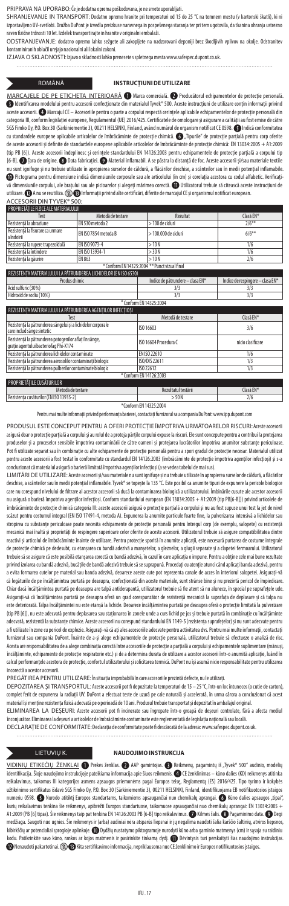PRIPRAVA NA UPORABO: Če je dodatna oprema poškodovana, je ne smete uporabljati.

SHRANJEVANJE IN TRANSPORT: Dodatno opremo hranite pri temperaturi od 15 do 25 °C na temnem mestu (v kartonski škatli), ki ni izpostavljeno UV-svetlobi. Družba DuPont je izvedla preizkuse naravnega in pospešenega staranja ter pri tem ugotovila, da tkanina ohranja ustrezno raven fizične trdnosti 10 let. Izdelek transportirajte in hranite v originalni embalaži.

ODSTRANJEVANJE: dodatno opremo lahko sežgete ali zakopljete na nadzorovani deponiji brez škodljivih vplivov na okolje. Odstranitev kontaminiranih oblačil urejajo nacionalni ali lokalni zakoni.

IZJAVA O SKLADNOSTI: Izjavo o skladnosti lahko prenesete s spletnega mesta www.safespec.dupont.co.uk.

**INSTRUCȚIUNI DE UTILIZARE** 

MARCAJELE DE PE ETICHETA INTERIOARĂ ( Marca comercială. <sup>2</sup> Producătorul echipamentelor de protecție personală **International Confects Confectional Confectionate din materialul Tyvek® 500. Aceste instructiuni de utilizare contin informatii privind** aceste accesorii. Marcajul CE – Accesoriile pentru o parte a corpului respectă cerinţele aplicabile echipamentelor de protecţie personală din categoria III, conform legislaţiei europene, Regulamentul (UE) 2016/425. Certificatele de omologare și asigurare a calităţii au fost emise de către SGS Fimko Oy, P.O. Box 30 (Särkiniementie 3), 00211 HELSINKI, Finland, având numărul de organism notificat CE 0598. Indică conformitatea cu standardele europene aplicabile articolelor de îmbrăcăminte de protecţie chimică. "Tipurile" de protecţie parţială pentru corp oferite de aceste accesorii și definite de standardele europene aplicabile articolelor de îmbrăcăminte de protecție chimică: EN 13034:2005 + A1:2009<br>(tip PB [6]). Aceste accesorii îndeplinesc și cerințele standardului EN 14126:200 [6-B]. Țara de origine. Data fabricaţiei. Material inflamabil. A se păstra la distanţă de foc. Aceste accesorii și/sau materiale textile nu sunt ignifuge și nu trebuie utilizate în apropierea surselor de căldură, a flăcărilor deschise, a scânteilor sau în medii potențial inflamabile Pictograma pentru dimensiune indică dimensiunile corporale sau ale articolului (în cm) și corelaţia acestora cu codul alfabetic. Verificaţivă dimensiunile corpului, ale brațului sau ale picioarelor și alegeți mărimea corectă. W Utilizatorul trebuie să citească aceste instrucțiuni de utilizare. **@** A nu se reutiliza. **(2) @** Informații privind alte certificări, diferite de marcajul CE și organismul notificat european.

ACCESORII DIN TYVEK® 500:

| <b>PROPRIFTATILE FIZICE ALE MATERIALULUI</b>                    |                       |           |  |
|-----------------------------------------------------------------|-----------------------|-----------|--|
| Metodă de testare                                               | Rezultat              | Clasă FN* |  |
| FN 530 metoda 2                                                 | $>100$ de cicluri     | $2/6***$  |  |
| FN ISO 7854 metoda B                                            | $>100.000$ de cicluri | $6/6**$   |  |
| FN ISO 9073-4                                                   | >10N                  | 1/6       |  |
| FN ISO 13934-1                                                  | > 30 N                | 1/6       |  |
| EN 863                                                          | >10N                  | 2/6       |  |
| * Conform EN 14325:2004 ** Punct vizual final                   |                       |           |  |
| REZISTENTA MATERIALULUI LA PĂTRUNDEREA LICHIDELOR (EN ISO 6530) |                       |           |  |
|                                                                 |                       |           |  |

Produs chimic **Indice de pătrundere – clasa EN\*** Indice de respingere – clasa EN\* Acid sulfuric (30%) 3/3 3/3 Hidroxid de sodiu (10%) 3/3 3/3

| T Conform FN 14325:2004                                                                         |                       |                   |  |
|-------------------------------------------------------------------------------------------------|-----------------------|-------------------|--|
| REZISTENTA MATERIALULUI LA PĂTRUNDEREA AGENTILOR INFECTIOSI                                     |                       |                   |  |
| Test                                                                                            | Metodă de testare     | Clasă EN*         |  |
| Rezistentă la pătrunderea sângelui și a lichidelor corporale<br>care includ sânge sintetic      | ISO 16603             | 3/6               |  |
| Rezistentă la pătrunderea patogenilor aflati în sânge,<br>gratie agentului bacteriofag Phi-X174 | ISO 16604 Procedura C | nicio clasificare |  |
| Rezistentă la pătrunderea lichidelor contaminate                                                | FN ISO 22610          | 1/6               |  |
| Rezistentă la pătrunderea aerosolilor contaminati biologic                                      | ISO/DIS 22611         | 1/3               |  |
| Rezistentă la pătrunderea pulberilor contaminate biologic                                       | ISO 22612             | 1/3               |  |
| * Conform EN 14126:2003                                                                         |                       |                   |  |

RIETĂȚII E CUSĂTURILOR Metodă de testare Rezultatul testării Clasă EN\* Rezistenţa cusăturilor (EN ISO 13935-2) > 50 N 2/6

\*Conform EN 14325:2004

Pentru mai multe informații privind performanța barierei, contactați furnizorul sau compania DuPont: www.ipp.dupont.com

PRODUSUL ESTE CONCEPUT PENTRU A OFERI PROTECȚIE ÎMPOTRIVA URMĂTOARELOR RISCURI: Aceste accesorii asigură doar o protecţie parţială a corpului și au rolul de a proteja părţile corpului expuse la riscuri. Ele sunt concepute pentru a contribui la protejarea produselor și a proceselor sensibile împotriva contaminării de către oameni și protejarea lucrătorilor împotriva anumitor substanțe periculoase. Contaminării de către contaminator substanțe periculoase. Contaminării de căt Pot fi utilizate separat sau în combinaţie cu alte echipamente de protecţie personală pentru a spori gradul de protecţie necesar. Materialul utilizat pentru aceste accesorii a fost testat în conformitate cu standardul EN 14126:2003 (îmbrăcăminte de protecţie împotriva agenţilor infecţioși) și s-a concluzionat că materialul asigură o barieră limitată împotriva agenţilor infecţioși (a se vedea tabelul de mai sus).

LIMITARI DE UTILIZARE: Aceste accesorii și/sau materiale nu sunt ignifuge și nu trebuie utilizate în apropierea surselor de căldură, a flăcărilor<br>deschise, a scânteilor sau în medii potențial inflamabile. Tyvek® se topește care nu corespund nivelului de filtrare al acestor accesorii să ducă la contaminarea biologică a utilizatorului. Îmbinările cusute ale acestor acces nu asigură o barieră împotriva agenţilor infecţioși. Conform standardului european (EN 13034:2005 + A1:2009 (tip PB[6-B])) privind articolele de îmbrăcăminte de protecție chimică categoria III: aceste accesorii asigură o protecție parțială a corpului și nu au fost supuse unui test la jet de nivel scăzut pentru costumul integral (EN ISO 17491-4, metoda A). Expunerea la anumite particule foarte fine, la pulverizarea intensivă a lichidelor s stropirea cu substanţe periculoase poate necesita echipamente de protecţie personală pentru întregul corp (de exemplu, salopete) cu rezistenţă mecanică mai înaltă și proprietăți de respingere superioare celor oferite de aceste accesorii. Utilizatorul trebuie să asigure compatibilitatea dintre reactivi și articolul de îmbrăcăminte înainte de utilizare. Pentru protecție sporită în anumite aplicații, este necesară purtarea de costume integrale de protecţie chimică pe dedesubt, cu etanșarea cu bandă adezivă a manșetelor, a gleznelor, a glugii separate și a clapetei fermoarului. Utilizatorul trebuie să se asigure că este posibilă etanșarea corectă cu bandă adezivă, în cazul în care aplicația o impune. Pentru a obține cele mai bune rezultațe privind izolarea cu bandă adezivă, bucăţile de bandă adezivă trebuie să se suprapună. Procedaţi cu atenţie atunci când aplicaţi banda adezivă, pentru a evita formarea cutelor pe material sau banda adezivă, deoarece aceste cute pot reprezenta canale de acces în interiorul salopetei. Asiguraţi-vă că legăturile de pe încălțămintea purtată pe deasupra, confecționată din aceste materiale, sunt strânse bine și nu prezintă pericol de împiedicare Chiar dacă încălțămintea purtată pe deasupra are talpă antiderapantă, utilizatorul trebuie să fie atent să nu alunece, în special pe suprafețele ude Asiguraţi-vă că încălţămintea purtată pe deasupra oferă un grad corespunzător de rezistenţă mecanică la suprafaţa de deplasare și că talpa nu este deteriorată. Talpa încălțămintei nu este etanșă la lichide. Deoarece încălțămintea purtată pe deasupra oferă o protecție limitată la pulverizare<br>(tip PB [6]), nu este adecvată pentru deplasarea sau staționarea în zone .<br>ecvată, rezistentă la substanțe chimice. Aceste accesorii nu corespund standardului EN 1149-5 (rezistența suprafețelor) și nu sunt adecvate pentru a fiutilizate în zone cu pericol de explozie. Asigurați-vă că ați ales accesoriile adecvate portru at mortem maimulte informații, contactați<br>furnizorul sau compania DuPont. Înainte de a-și alege echipamentele de protecție Acesta are responsabilitatea de a alege combinaţia corectă între accesoriile de protecţie a parţială a corpului și echipamentele suplimentare (mănuși, încălţăminte, echipamente de protecţie respiratorie etc.) și de a determina durata de utilizare a acestor accesorii într-o anumită aplicaţie, luând în calcul performanţele acestora de protecţie, confortul utilizatorului și solicitarea termică. DuPont nu își asumă nicio responsabilitate pentru utilizarea incorectă a acestor accesorii.

PREGĂTIREA PENTRU UTILIZARE: În situaţia improbabilă în care accesoriile prezintă defecte, nu le utilizaţi.

DEPOZITAREA ȘI TRANSPORTUL: Aceste accesorii pot fi depozitate la temperaturi de 15 – 25°C, într-un loc întunecos (o cutie de carton), complet ferit de expunerea la radiaţii UV. DuPont a efectuat teste de uzură pe cale naturală și accelerată, în urma cărora a concluzionat că acest rial își menține rezistența fizică adecvată pe o perioadă de 10 ani. Produsul trebuie transportat și depozitat în ambalajul original.

ELIMINAREA LA DEȘEURI: Aceste accesorii pot fi incinerate sau îngropate într-o groapă de deșeuri controlate, fără a afecta mediul înconjurător. Eliminarea la deșeuri a articolelor de îmbrăcăminte contaminate este reglementată de legislaţia naţională sau locală.

DECLARAȚIE DE CONFORMITATE: Declaraţia de conformitate poate fi descărcată de la adresa: www.safespec.dupont.co.uk.

### LIETUVIŲ K. **NAUDOJIMO INSTRUKCIJA**

VIDINIŲ ETIKEČIŲ ŽENKLAI © Prekės ženklas. ۞ AAP gamintojas. ۞ Reikmenų, pagamintų iš "Tyvek® 500" audinio, modelių identifikacija. Šioje naudojimo instrukcijoje pateikiama informacija apie šiuos reikmenis. <a> CE ženklinimas – kūno dalies (KD) reikmenys atitinka reikalavimus, taikomus III kategorijos asmens apsaugos priemonėms pagal Europos teisę, Reglamentą (ES) 2016/425. Tipo tyrimo ir kokybės užtikrinimo sertifikatus išdavė SGS Fimko Oy, P.O. Box 30 (Särkiniementie 3), 00211 HELSINKI, Finland, identifikuojama EB notifikuotosios įstaigos numeriu 0598. Nurodo atitiktį Europos standartams, taikomiems apsaugančiai nuo chemikalų aprangai. Kūno dalies apsaugos "tipai", kurių reikalavimus tenkina šie reikmenys, apibrėžti Europos standartuose, taikomuose apsaugančiai nuo chemikalų aprangai: EN 13034:2005 + A1:2009 (PB [6] tipas). Šie reikmenys taip pat tenkina EN 14126:2003 PB [6-B] tipo reikalavimus.  $\bullet$  Kilmės šalis.  $\bullet$  Pagaminimo data.  $\bullet$  Degi medžiaga. Saugoti nuo ugnies. Šie reikmenys ir (arba) audiniai nėra atsparūs liepsnai ir jų negalima naudoti šalia karščio šaltinių, atviros liepsnos, kibirkščių ar potencialiai sprogioje aplinkoje.  $\textcircled{\textsc{v}}$  Dydžių nustatymo piktogramoje nurodyti kūno arba gaminio matmenys (cm) ir sąsaja su raidi kodu. Patikrinkite savo kūno, rankos ar kojos matmenis ir pasirinkite tinkamą dydį. **D** Dėvintysis turi perskaityti šias naudojimo instrukcijas  $\bullet$  Nenaudoti pakartotinai.  $\circledR$ Kita sertifikavimo informacija, nepriklausoma nuo CE ženklinimo ir Europos notifikuotosios įstaigos.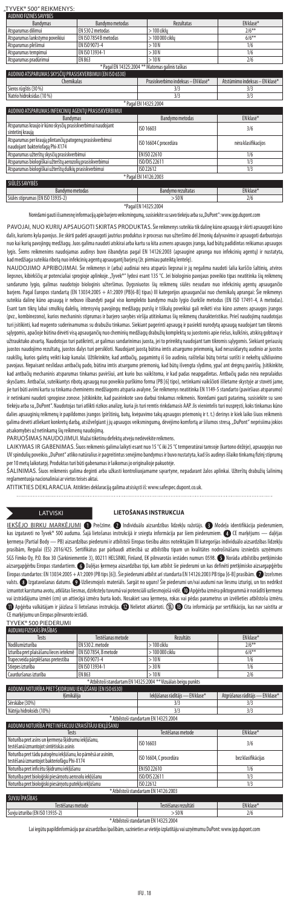# "TYVEK® 500" REIKMENYS:<br>LAUDINIO FIZINĖS SAVYBĖS

| <b>Bandymas</b>                                          | Bandymo metodas       | <b>Rezultatas</b> | FN klasė* |
|----------------------------------------------------------|-----------------------|-------------------|-----------|
| Atsparumas dilimui                                       | EN 530 2 metodas      | $>100$ ciklu      | $2/6***$  |
| Atsparumas lankstymo poveikiui                           | FN ISO 7854 B metodas | > 100 000 ciklu   | $6/6**$   |
| Atsparumas plėšimui                                      | FN ISO 9073-4         | >10N              | 1/6       |
| Atsparumas tempimui                                      | FN ISO 13934-1        | > 30 N            | 1/6       |
| Atsparumas pradūrimui                                    | EN 863                | >10N              | 2/6       |
| * Pagal EN 14325:2004 ** Matomas galinis taškas          |                       |                   |           |
| AUDINIO ATSPARUMAS SKYSČIU PRASISKVERBIMUI (EN ISO 6530) |                       |                   |           |
|                                                          |                       |                   |           |

| Chemikalas                                                                                   | Prasiskverbimo indeksas – EN klase™ | Atstumimo indeksas – EN klase' |  |
|----------------------------------------------------------------------------------------------|-------------------------------------|--------------------------------|--|
| Sieros rūgštis (30 %)                                                                        | 3/3                                 | 3/3                            |  |
| Natrio hidroksidas (10 %)                                                                    | 3/3                                 | 3/3                            |  |
|                                                                                              | * Pagal EN 14325:2004               |                                |  |
| AUDINIO ATSPARUMAS INFEKCINIU AGENTŲ PRASISKVERBIMUI                                         |                                     |                                |  |
| <b>Bandymas</b>                                                                              | <b>Bandymo metodas</b>              | EN klasė*                      |  |
| Atsparumas kraujo ir kūno skysčių prasiskverbimui naudojant<br>sintetinį kraują              | ISO 16603                           | 3/6                            |  |
| Atsparumas per kraują plintančių patogenų prasiskverbimui<br>naudojant bakteriofaga Phi-X174 | ISO 16604 C procedūra               | nėra klasifikacijos            |  |
| Atsparumas užterštų skysčių prasiskverbimui                                                  | FN ISO 22610                        | 1/6                            |  |
| Atsparumas biologiškai užterštų aerozolių prasiskverbimui                                    | ISO/DIS 22611                       | 1/3                            |  |
| Atsparumas biologiškai užterštų dulkių prasiskverbimui                                       | ISO 22612                           | 1/3                            |  |
| * Pagal EN 14126:2003                                                                        |                                     |                                |  |
| SIŪLĖS SAVYBĖS                                                                               |                                     |                                |  |
| <b>Bandymo metodas</b>                                                                       | Bandymo rezultatas                  | EN klasė*                      |  |

Siūlės stiprumas (EN ISO 13935-2) > 50 N \*Pagal EN 14325:2004

Norėdami gauti išsamesnę informaciją apie barjero veiksmingumą, susisiekite su savo tiekėju arba su "DuPont": www.ipp.dupont.com PAVOJAI, NUO KURIŲ APSAUGOTI SKIRTAS PRODUKTAS. Šie reikmenys suteikia tik dalinę kūno apsaugą ir skirti apsaugoti kūno

dalis, kurioms kyla pavojus. Jie skirti padėti apsaugoti jautrius produktus ir procesus nuo užteršimo dėl žmonių dalyvavimo ir apsaugoti darbuotojus nuo kai kurių pavojingų medžiagų. Juos galima naudoti atskirai arba kartu su kita asmens apsaugos įranga, kad būtų padidintas reikiamas apsaugos lygis. Šiems reikmenims naudojamas audinys buvo išbandytas pagal EN 14126:2003 (apsauginė apranga nuo infekcinių agentų) ir nustatyta, sadmedžiaga suteikia ribotą nuo infekcinių agentų apsaugantį barjerą (žr. pirmiau pateiktą lentelę).<br>d

NAUDOJIMO APRIBOJIMAI. Sie reikmenys ir (arba) audiniai nėra atsparūs liepsnai ir jų negalima naudoti šalia karščio šaltinių, atviros<br>liepsnos, kibirkščių ar potencialiai sprogioje aplinkoje. "Tyvek®" lydosi esant 135 °C. sandarumo lygio, galimas naudotojo biologinis užteršimas. Dygsniuotos šių reikmenų siūlės nesudaro nuo infekcinių agentų apsaugančio barjero. Pagal Europos standartą (EN 13034:2005 + A1:2009 (PB[6-B] tipas) III kategorijos apsaugančiai nuo chemikalų aprangai: Šie reikmenys suteikia dalinę kūno apsaugą ir nebuvo išbandyti pagal viso komplekto bandymo mažo lygio čiurkšle metodus (EN ISO 17491-4, A metodas). Esant tam tikrų labai smulkių dalelių, intensyvių pavojingų medžiagų purslų ir tiškalų poveikiui gali reikėti viso kūno asmens apsaugos įrangos (pvz., kombinezono), kurios mechaninis stiprumas ir barjero savybės viršija atitinkamas šių reikmenų charakteristikas. Prieš naudojimą naudotojas turi įsitikinti, kadreagento suderinamumas su drabužiu tinkamas. Siekiant pagerinti apsaugą ir pasiekti nurodytą apsaugą naudojant tam tikromis sąlygomis, apačioje būtina dėvėti visą apsaugančių nuo cheminių medžiagų drabužių komplektą su juostomis apie riešus, kulkšnis, atskirą gobtuvą ir .<br>Tauktuko atvartą. Naudotojas turi patikrinti, ar galimas sandarinimas juosta, jei to prireiktų naudojant tam tikromis sąlygomis. Siekiant geriau juostos naudojimo rezultatų, juostos dalys turi persikloti. Naudojant juostą būtina imtis atsargumo priemonių, kad nesusidarytų audinio ar juostos raukšlių, kurios galėtų veikti kaip kanalai. Užtikrinkite, kad antbačių, pagamintų iš šio audinio, raišteliai būtų tvirtai surišti ir nekeltų užkliuvimo mavo martas gavojaus antbačių pado, būtina imtis atsargumo priemonių, kad būtų išvengta slydimo, ypač ant drėgnų paviršių. Įsitikinkite,<br>viaus. Nepaisant neslidaus antbačių pado, būtina imtis atsargumo priemonių, kad būtų kad antbačių mechaninis atsparumas tinkamas paviršiui, ant kurio bus vaikštoma, ir kad padas neapgadintas. Antbačių padas nėra nepralaidus skysčiams. Antbačiai, suteikiantys ribotą apsaugą nuo poveikio purškimo forma (PB [6] tipo), netinkami vaikščioti išlietame skystyje ar stovėti jame, jie turi būti avimi kartu su tinkama cheminėms medžiagoms atsparia avalyne. Šie reikmenys neatitinka EN 1149-5 standarto (paviršiaus atsparumo) ir netinkami naudoti sprogiose zonose. Įsitikinkite, kad pasirinkote savo darbui tinkamus reikmenis. Norėdami gauti patarimą, susisiekite su savo tiekėju arba su "DuPont". Naudotojas turi atlikti rizikos analizę, kuria jis turi remtis rinkdamasis AAP. Jis vienintelis turi nuspręsti, koks tinkamas kūno dalies apsauginių reikmenų ir papildomos įrangos (pirštinių, batų, kvėpavimo takų apsaugos priemonių ir t. t.) derinys ir kiek laiko šiuos reikmenis galima dėvėti atliekant konkretų darbą, atsižvelgiant į jų apsaugos veiksmingumą, dėvėjimo komfortą ar šilumos stresą. "DuPont" neprisiima jokios atsakomybės už netinkamą šių reikmenų naudojimą.

PARUOŠIMAS NAUDOJIMUI. Mažai tikėtinu defektų atveju nedėvėkite reikmens.

LAIKYMAS IR GABENIMAS. Šiuos reikmenis galima laikyti esant nuo 15 °C iki 25 °C temperatūrai tamsoje (kartono dėžėje), apsaugojus nuo UV spindulių poveikio. "DuPont" atliko natūralius ir pagreitintus senėjimo bandymus ir buvo nustatyta, kad šis audinys išlaiko tinkamą fizinį stiprumą

per 10 metų laikotarpį. Produktas turi būti gabenamas ir laikomas jo originalioje pakuotėje.<br>ŠALINIMAS. Šiuos reikmenis galima deginti arba užkasti kontroliuojamame savartyne, nepadarant žalos aplinkai. Užterštų drabužių š .<br>ŠALINIMAS. Šiuos reikmenis galima deginti arba užkasti kontroliuojama reglamentuoja nacionaliniai ar vietos teisės aktai.

ATITIKTIES DEKLARACIJA. Atitikties deklaraciją galima atsisiųsti iš: www.safespec.dupont.co.uk.

### LATVISKI **LIETOŠANAS INSTRUKCIJA**

IEKŠĒJO BIRKU MARĶĒJUMI **O** Prečzīme. **O** Individuālo aizsardzības līdzekļu ražotājs. **O** Modeļa identifikācija pieder kas izgatavoti no Tyvek® 500 auduma. Šajā lietošanas instrukcijā ir sniegta informācija par šiem piederumiem. ● CE marķējums — daļējas ķermeņa (Partial Body — PB) aizsardzības piederumi ir atbilstoši Eiropas tiesību aktos noteiktajām III kategorijas individuālo aizsardzības līdzekļu prasībām, Regulai (ES) 2016/425. Sertifikātus par pārbaudi attiecībā uz atbilstību tipam un kvalitātes nodrošināšanu izsniedzis uzņēmums SGS Fimko Oy, P.O. Box 30 (Särkiniementie 3), 00211 HELSINKI, Finland, EK pilnvarotās iestādes numurs 0598. < Norāda atbilstību pretķīmisko aizsargapģērbu Eiropas standartiem. ۞ Daļējas ķermeņa aizsardzības tipi, kam atbilst šie piederumi un kas definēti pretķīnisko aizsargapģērbu<br>Eiropas standartos: EN 13034:2005 + A1:2009 (PB tips [6]). Šie piederumi atbilst valsts. <sup>1</sup> Izgatavošanas datums. 1 Uzliesmojošs materiāls. Sargāt no uguns! Šie piederumi un/vai audumi nav liesmu izturīgi, un tos nedrīkst izmantot karstuma avotu, atklātas liesmas, dzirksteļu tuvumā vai potenciāli uzliesmojošā vidē. @ Apģērba izmēra piktogrammā ir norādīti ķermeņa<br>vai izstrādājuma izmēri (cm) un attiecīgā izmēra burta kods. Nosakiet sava ķer  $\bm{0}$  Apģērba valkātājam ir jāizlasa šī lietošanas instrukcija.  $\bm{0}$  Nelietot atkārtoti.  $\otimes$   $\bm{0}$  Cita informācija par sertifikāciju, kas nav saistīta ar CEmarķējumu un Eiropas pilnvaroto iestādi.

| TYVEK® 500 PIEDERUMI                                                                                       |                       |                                                                 |                                 |
|------------------------------------------------------------------------------------------------------------|-----------------------|-----------------------------------------------------------------|---------------------------------|
| AUDUMU FIZISKĀS ĪPAŠĪBAS                                                                                   |                       |                                                                 |                                 |
| Tests                                                                                                      | Testēšanas metode     | Rezultāts                                                       | FN klase*                       |
| Nodilumizturība                                                                                            | EN 530 2. metode      | $>100$ ciklu                                                    | $2/6***$                        |
| Izturība pret plaisāšanu lieces ietekmē                                                                    | EN ISO 7854, B metode | > 100 000 ciklu                                                 | $6/6***$                        |
| Trapecveida pārplēšanas pretestība                                                                         | FN ISO 9073-4         | >10N                                                            | 1/6                             |
| Stiepes izturība                                                                                           | EN ISO 13934-1        | > 30N                                                           | 1/6                             |
| Caurduršanas izturība                                                                                      | FN 863                | >10N                                                            | 2/6                             |
|                                                                                                            |                       | * Atbilstoši standartam EN 14325:2004 ** Vizuālais beigu punkts |                                 |
| AUDUMU NOTURĪBA PRET ŠĶIDRUMU IEKLŪŠANU (EN ISO 6530)                                                      |                       |                                                                 |                                 |
| Kimikālija                                                                                                 |                       | lekļūšanas rādītājs — EN klase*                                 | Atgrūšanas rādītājs - EN klase* |
| Sērskābe (30%)                                                                                             |                       | 3/3                                                             | 3/3                             |
| Nātrija hidroksīds (10%)                                                                                   |                       | 3/3                                                             | 3/3                             |
|                                                                                                            |                       | * Atbilstoši standartam EN 14325:2004                           |                                 |
| AUDUMU NOTURĪBA PRET INFEKCIJU IZRAISĪTĀJU IEKLŪŠANU                                                       |                       |                                                                 |                                 |
| Tests                                                                                                      |                       | Testēšanas metode                                               | EN klase*                       |
| Noturība pret asins un kermeņa šķidrumu iekļūšanu,<br>testēšanā izmantojot sintētiskās asinis              |                       | ISO 16603                                                       | 3/6                             |
| Noturība pret tādu patogēnu iekļūšanu, ko pārnēsā ar asinīm,<br>testēšanā izmantojot bakteriofāgu Phi-X174 |                       | ISO 16604, C procedūra                                          | bez klasifikācijas              |
| Noturība pret inficētu šķidrumu iekļūšanu                                                                  |                       | FN ISO 22610                                                    | 1/6                             |
| Noturība pret bioloģiski piesāmotu aerosolu iekļūšanu                                                      |                       | ISO/DIS 22611                                                   | 1/3                             |
| Noturība pret bioloģiski piesāmotu putekļu iekļūšanu                                                       |                       | ISO 22612                                                       | 1/3                             |
| * Atbilstoši standartam EN 14126:2003                                                                      |                       |                                                                 |                                 |
| ŠUVJU ĪPAŠĪBAS                                                                                             |                       |                                                                 |                                 |
| Testēšanas metode                                                                                          |                       | Testēšanas rezultāti                                            | EN klase*                       |
| ਢ<br><b><i>CHARLES CARDS</i></b>                                                                           |                       |                                                                 |                                 |

Šuvju izturība (ENISO 13935-2) >50N 2/6 \*Atbilstoši standartam EN14325:2004

Lai iegūtu papildinformāciju par aizsardzības īpašībām, sazinieties ar vietējo izplatītāju vai uzņēmumu DuPont: www.ipp.dupont.com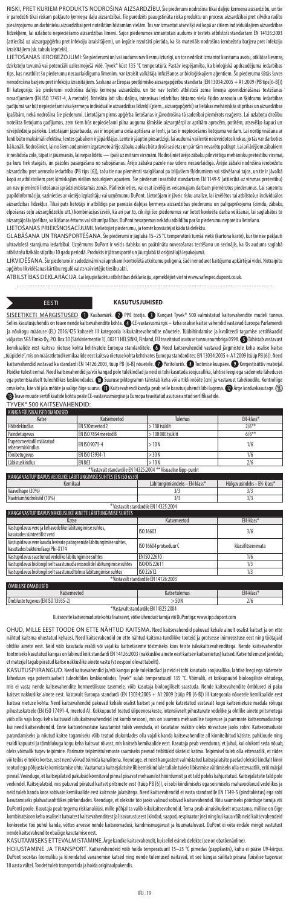RISKI, PRET KURIEM PRODUKTS NODROŠINA AIZSARDZĪBU. Šie piederumi nodrošina tikai daļēju ķermeņa aizsardzību, un tie ir paredzēti tikai riskam pakļauto ķermeņa daļu aizsardzībai. Tie paredzēti paaugstināta riska produktu un procesu aizsardzībai pret cilvēku radīto piesārņojumu un darbinieku aizsardzībai pret noteiktām bīstamām vielām. Tos var izmantot atsevišķi vai kopā ar citiem individuālajiem aizsardzības līdzekļiem, lai uzlabotu nepieciešamo aizsardzības līmeni. Šajos piederumos izmantotais audums ir testēts atbilstoši standartam EN 14126:2003 (attiecībā uz aizsargapģērbu pret infekciju izraisītājiem), un iegūtie rezultāti pierāda, ka šis materiāls nodrošina ierobežotu barjeru pret infekciju izraisītājiem (sk. tabulu iepriekš).

LIETOŠANAS IEROBEŽOJUMI: Šie piederumi un/vai audums nav liesmu izturīgi, un tos nedrīkst izmantot karstuma avotu, atklātas liesmas, dzirksteļu tuvumā vai potenciāli uzliesmojošā vidē. Tyvek® kūst 135 °C temperatūrā. Pastāv iespējamība, ka bioloģiskā apdraudējuma iedarbības tips, kas neatbilst šo piederumu necaurlaidīguma līmenim, var izraisīt valkātāja inficēšanos ar bioloģiskajiem aģentiem. Šo piederumu šūtās šuves nenodrošina barjeru pret infekciju izraisītājiem. Saskaņā ar Eiropas pretķīmisko aizsargapģērbu standarta (EN 13034:2005 + A1:2009 (PB tips[6-B])) III kategoriju: šie piederumi nodrošina daļēju ķermeņa aizsardzību, un tie nav testēti atbilstoši zema līmeņa apsmidzināšanas testēšanas nosacījumiem (EN ISO 17491-4, A metode). Noteiktu ļoti sīku daļiņu, intensīvas iedarbības bīstamo vielu šķidro aerosolu un šķidrumu iedarbības gadījumā var būt nepieciešami visa ķermeņa individuālie aizsardzības līdzekļi (piem., aizsargapģērbi) ar lielākas mehāniskās stiprības un aizsardzības īpašībām, nekā nodrošina šie piederumi. Lietotājam pirms apģērba lietošanas ir jānodrošina tā saderībai piemērots reaģents. Lai uzlabotu drošību noteikta lietojuma gadījumos, zem tiem būs nepieciešami pilna auguma ķīmiskie aizsargtērpi ar aptītām aprocēm, potītēm, atsevišķo kapuci un rāvējslēdzēja pārloku. Lietotājam jāpārbauda, vai ir iespējama cieša aptīšana ar lenti, ja tas ir nepieciešams lietojuma veidam. Lai nostiprināšana ar lenti būtu maksimāli efektīva, lentes gabaliem ir jāpārklājas. Lente ir jāaptin piesardzīgi, lai audumā vai lentē neizveidotos krokas, jo tās var darboties kā kanāli. Nodrošiniet, lai no šiem audumiem izgatavoto ārējo zābaku auklas būtu droši sasietas un pār tām nevarētu paklupt. Lai arī ārējiem zābakiem ir neslīdoša zole, tāpat ir jāuzmanās, lai nepaslīdētu— īpaši uz mitrām virsmām. Nodrošiniet ārējo zābaku pilnvērtīgu mehānisku pretestību virsmai, pa kuru tiek staigāts, un pazoles pasargāšanu no sabojāšanas. Ārējo zābaku pazole nav ūdens necaurlaidīga. Ārējie zābaki nodrošina ierobežotu aizsardzību pret aerosolu iedarbību (PB tips [6]), taču tie nav piemēroti staigāšanai pa izlijušiem šķidrumiem vai stāvēšanai tajos, un tie ir jāvalkā kopā ar atbilstošiem pret ķīmiskajām vielām noturīgiem apaviem. Šie piederumi neatbilst standartam EN 1149-5 (attiecībā uz virsmas pretestību) un nav piemēroti lietošanai sprādzienbīstamās zonās. Pārliecinieties, vai esat izvēlējies veicamajam darbam piemērotus piederumus. Lai saņemtu papildinformāciju, sazinieties ar vietējo izplatītāju vai uzņēmumu DuPont. Lietotājam ir jāveic risku analīze, lai izvēlētos tai atbilstošus individuālos aizsardzības līdzekļus. Tikai pats lietotājs ir atbildīgs par pareizās daļējas ķermeņa aizsardzības piederumu un palīgaprīkojuma (cimdu, zābaku,<br>elpošanas ceļu aizsarglīdzekļu utt.) kombinācijas izvēli, kā arī par to, cik aizsargājošās īpašības, valkāšanas ērtums vai siltumīpašības. DuPont neuzņemas nekādu atbildību par šo piederumu nepareizu lietošanu. LIETOŠANAS PRIEKŠNOSACĪJUMI. Nelietojiet piederumu, ja tomēr konstatējat kādu tā defektu.

GLABASANA UN TRANSPORTESANA. Sie piederumi ir jāglabā 15–25 °C temperatūrā tumšā vietā (kartona kastē), kur tie nav pakļauti<br>ultravioletā starojuma iedarbībai. Uzņēmums DuPont ir veicis dabisku un paātrinātu novecošanas te atbilstošu fizikālo stiprību 10gadu periodā. Produkts ir jātransportē un jāuzglabā tā oriģinālajā iepakojumā.

LIKVIDĒŠANA. Šie piederumi ir sadedzināmi vai aprokami kontrolētā atkritumu poligonā, šādi nenodarot kaitējumu apkārtējai videi. Notraipītu apģērbu likvidēšanas kārtību regulē valsts vai vietējie tiesību akti.

ATBILSTĪBAS DEKLARĀCIJA. Lai lejupielādētu atbilstības deklarāciju, apmeklējiet vietni www.safespec.dupont.co.uk. . . . . . . . . . . . . 

### EESTI **KASUTUSJUHISED**

SISEETIKETI MÄRGISTUSED ( Kaubamärk. @ PPE tootja. @ Kangast Tyvek® 500 valmistatud kaitsevahendite mudeli tunnus Selleskasutusjuhendis on teave nende kaitsevahendite kohta. CE-vastavusmärgis – keha osalise kaitse vahendid vastavad Euroopa Parlamendi ja nõukogu määruse (EL) 2016/425 kohaselt III kategooria isikukaitsevahendite nõuetele. Tüübihindamise ja kvaliteedi tagamise sertifikaadid väljastas SGS Fimko Oy, P.O. Box 30 (Särkiniementie 3), 00211 HELSINKI, Finland, EÜ teavitatud asutuse tunnusnumbriga 0598. Tähistab vastavust kemikaalide eest kaitsva riietuse kohta kehtivatele Euroopa standarditele. @ Need kaitsevahendid vastavad järgmistele keha osalise kaitse "tüüpidele", mis on määratletud kemikaalide eest kaitsva riietuse kohta kehtivates Euroopa standardites: EN 13034:2005 + A1:2009 (tüüp PB [6]). Need kaitsevahendid vastavad ka standardi EN 14126:2003, tüüp PB (6-B) nõuetele. ● ♪ Päritoluriik. ● ♪ Dotmise kuupäev, ● 》Kergestisüttiv materjal.<br>Hoidke tulest eemal. Need kaitsevahendid ja/või kangad pole tulekindid ja meid ma keha, käe või jala mõõte ja valige õige suurus.  $\bf{0}$  Kaitsevahendi kandja peab selle kasutusjuhendi läbi lugema.  $\bf{0}$  Ärge korduvkasutage.  $\mathbb{Q}$  Teave muude sertifikaatide kohta peale CE-vastavusmärgise ja Euroopa teavitatud asutuse antud sertifikaatide. .<br>YVEK® 500 KAITSEVAHENDID:

| KANGA FUUSIKALISED OMADUSED                                                                            |                                      |                                                             |                            |  |
|--------------------------------------------------------------------------------------------------------|--------------------------------------|-------------------------------------------------------------|----------------------------|--|
| Katse                                                                                                  | Katsemeetod                          | <b>Tulemus</b>                                              | EN-klass*                  |  |
| <b>H</b> õõrdekindlus                                                                                  | FN 530 meetod 2                      | $>100$ tsüklit                                              | $7/6***$                   |  |
| Paindetugevus                                                                                          | FN ISO 7854 meetod B                 | $>100000$ tsüklit                                           | $6/6***$                   |  |
| Trapetsmeetodil määratud<br>rebenemiskindlus                                                           | FN ISO 9073-4                        | >10N                                                        | 1/6                        |  |
| Tõmbetugevus                                                                                           | FN ISO 13934-1                       | > 30 N                                                      | 1/6                        |  |
| Läbistuskindlus                                                                                        | EN 863                               | >10N                                                        | 2/6                        |  |
|                                                                                                        |                                      | *Vastavalt standardile EN 14325:2004 **Visuaalne lõpp-punkt |                            |  |
| KANGA VASTUPIDAVUS VEDELIKE LÄBITUNGIMISE SUHTES (EN ISO 6530)                                         |                                      |                                                             |                            |  |
| Kemikaal                                                                                               |                                      | Läbitungimisindeks - EN-klass*                              | Hülgavusindeks - EN-klass* |  |
| Väävelhape (30%)                                                                                       |                                      | 3/3                                                         | 3/3                        |  |
| Naatriumhüdroksiid (10%)                                                                               |                                      | 3/3                                                         | 3/3                        |  |
|                                                                                                        | *Vastavalt standardile EN 14325:2004 |                                                             |                            |  |
| KANGA VASTUPIDAVUS NAKKUSLIKE AINETE LÄBITU <u>NGIMISE SUHTES</u>                                      |                                      |                                                             |                            |  |
| Katse                                                                                                  |                                      | Katsemeetod                                                 | EN-klass*                  |  |
| Vastupidavus vere ja kehavedelike läbitungimise suhtes,<br>kasutades sünteetilist verd                 |                                      | ISO 16603                                                   | 3/6                        |  |
| Vastupidavus vere kaudu levivate patogeenide läbitungimise suhtes,<br>kasutades bakteriofaagi Phi-X174 |                                      | ISO 16604 protseduur C                                      | klassifitseerimata         |  |
| Vastupidavus saastunud vedelike läbitungimise suhtes                                                   |                                      | EN ISO 22610                                                | 1/6                        |  |
| Vastupidavus bioloogiliselt saastunud aerosoolide läbitungimise suhtes                                 |                                      | ISO/DIS 22611                                               | 1/3                        |  |
| Vastupidavus bioloogiliselt saastunud tolmu läbitungimise suhtes                                       |                                      | ISO 22612                                                   | 1/3                        |  |
| *Vastavalt standardile EN 14126:2003                                                                   |                                      |                                                             |                            |  |
| <b>ÕMBLUSE OMADUSED</b>                                                                                |                                      |                                                             |                            |  |
| Katsemeetod                                                                                            |                                      | Katse tulemus                                               | EN-klass*                  |  |

Õmbluste tugevus (EN ISO 13935-2) > 50 N 2/6 \*Vastavalt standardile EN 14325:2004

Kui soovite kaitseomaduste kohta lisateavet, võtke ühendust tarnija või DuPontiga: www.ipp.dupont.com

OHUD, MILLE EEST TOODE ON ETTE NÄHTUD KAITSMA. Need kaitsevahendid pakuvad kehale ainult osalist kaitset ja on ette nähtud kaitsma ohustatud kehaosi. Need kaitsevahendid on ette nähtud kaitsma tundlikke tooteid ja protsesse inimreostuse eest ning töötajaid ohtlike ainete eest. Neid võib kasutada eraldi või vajaliku kaitsetaseme tõstmiseks koos teiste isikukaitsevahenditega. Nende kaitsevahendite tootmiseks kasutatud kangas on läbinud kõik standardi EN 14126:2003 (nakkuslike ainete eest kaitsev kaitseriietus) katsed. Katse tulemusel järeldub, etmaterjal tagab piiratud kaitse nakkuslike ainete vastu (vt eespool olevat tabelit).

KASUTUSPIIRANGUD. Need kaitsevahendid ja/või kangas pole tulekindlad ja neid ei tohi kasutada soojusallika, lahtise leegi ega sädemete läheduses ega potentsiaalselt tuleohtlikes keskkondades. Tyvek® sulab temperatuuril 135 °C. Võimalik, et kokkupuutel bioloogiliste ohtudega mis ei vasta nende kaitsevahendite hermeetilisuse tasemele, võib kasutaja bioloogiliselt saastuda. Nende kaitsevahendite õmblused ei paku kaitset nakkuslike ainete eest. Vastavalt Euroopa standardi (EN 13034:2005 + A1:2009 (tüüp PB [6-B]) III kategooria nõuetele kemikaalide eest kaitsva riietuse kohta: Need kaitsevahendid pakuvad kehale osalist kaitset ja neid pole katsetatud vastavalt kogu kaitseriietuse madala rõhuga pihustuskatsele (EN ISO 17491-4, meetod A). Kokkupuutel teatud ülipeenosakeste, intensiivselt pihustuvate vedelike ja ohtlike ainete pritsmetega võib olla vaja kogu keha kaitsvaid isikukaitsevahendeid (nt kombinesoon), mis on suurema mehaanilise tugevuse ja paremate kaitseomadustega kui need kaitsevahendid. Enne kaitserõivastuse kasutamist tuleb veenduda, et kasutatav reaktiiv oleks rõivastuse jaoks sobiv. Kaitseomaduste parandamiseks ja nõutud kaitse tagamiseks võib teatud olukordades olla vajalik kanda kaitsevahendite all kinniteibitud kätiste, pahkluude ning<br>eraldi kapuutsi ja tõmblukuga kogu keha kaitsvat rõivast, mis kaitseb kemikaali oleks võimalik tugev teipimine. Parimate teipimistulemuste saamiseks peavad teibitükid üksteist katma. Teipimisel tuleb olla ettevaatlik, et riides või teibis ei tekiks kortse, sest need võivad toimida kanalitena. Veenduge, et neist kangastest valmistatud kaitsejalatsite paelad oleksid kindlalt kinni seotud ega põhjustaks komistamise ohtu. Vaatamata kaitsejalatsite libisemiskindlale tallale tuleks libisemise vältimiseks olla ettevaatlik, eriti märjal pinnal. Veenduge, et kaitsejalatsid pakuksid kõnnitaval pinnal piisavat mehaanilist hõõrdumist ja et tald poleks kahjustatud. Kaitsejalatsite tald pole veekindel. Kaitsejalatsid, mis pakuvad piiratud kaitset pritsmete eest (tüüp PB [6]), ei sobi kõndimiseks ega seismiseks mahavoolanud vedelikes ja neid tuleb kanda koos sobivate kemikaalide eest kaitsvate jalatsitega. Need kaitsevahendid ei vasta standardile EN 1149-5 (pindtakistus) ega sobi kasutamiseks plahvatusohtlikes piirkondades. Veenduge, et oleksite töö jaoks valinud sobivad kaitsevahendid. Nõu saamiseks pöörduge tarnija või DuPonti poole. Kasutaja peab tegema riskianalüüsi, mille põhjal ta valib isikukaitsevahendid. Tema peab ainuisikuliselt otsustama, milline on õige kombinatsioon keha osaliselt katvatest kaitsevahenditest ja lisavarustusest (kindad, saapad, respiraator jne) ning kui kaua võib neid kaitsevahendeid konkreetse töö puhul kanda, võttes arvesse nende kaitseomadusi, kandmismugavust ja kuumataluvust. DuPont ei võta endale mingit vastutust nde kaitsevahendite ebaõige kasutamise eest.

KASUTAMISEKS ETTEVALMISTAMINE. Ärge kandke kaitsevahendit, kui sellel esineb defekte (see on ebatõenãoline).<br>HOIUSTAMINE JA TRANSPORT. Kaitsevahendeid võib hoida temperatuuril 15–25 °C pimedas (pappkastis), kuhu ei pääse U DuPont sooritas loomuliku ja kiirendatud vananemise katsed ning nende tulemused näitavad, et see kangas säilitab piisava füüsilise tugevuse 10aasta vältel. Toodet tuleb transportida ja hoida originaalpakendis.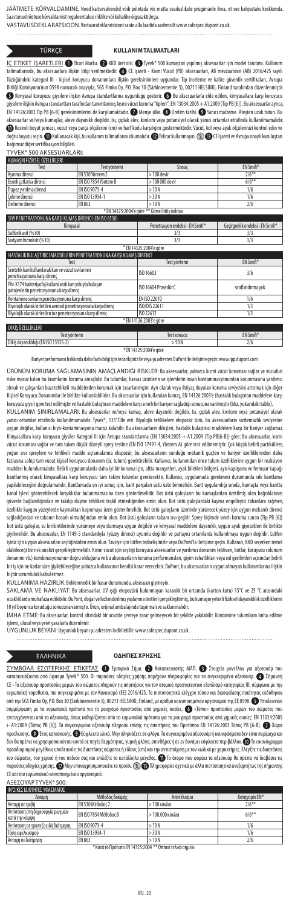JÄÄTMETE KÕRVALDAMINE. Need kaitsevahendid võib põletada või matta seaduslikule prügimäele ilma, et see kahjustaks keskkon Saastunud riietuse kõrvaldamist reguleeritakse riiklike või kohalike õigusaktidega.

VASTAVUSDEKLARATSIOON. Vastavusdeklaratsiooni saate alla laadida aadressilt www.safespec.dupont.co.uk.

### TÜRKÇE **KULLANIM TALIMATLARI**

İÇ ETIKET İŞARETLERI 1 Ticari Marka. 2 KKD üreticisi. 1 Tyvek® 500 kumaştan yapılmış aksesuarlar için model tanıtımı. Kulla talimatlarında, bu aksesuarlara ilişkin bilgi verilmektedir. CE işareti - Kısmi Vücut (PB) aksesuarları, AB mevzuatının (AB) 2016/425 sayılı Tüzüğündeki kategori III - kişisel koruyucu donanımlara ilişkin gereksinimlere uygundur. Tip inceleme ve kalite güvenlik sertifikaları, Avrupa Birliği Komisyonu'nun 0598 numaralı onayıyla, SGS Fimko Oy, P.O. Box 30 (Särkiniementie 3), 00211 HELSINKI, Finland tarafından düzenlenmiştir. Kimyasal koruyucu giysilere ilişkin Avrupa standartlarına uygunluğu gösterir. Bu aksesuarlarla elde edilen, kimyasallara karşı koruyucu giysilere ilişkin Avrupa standartları tarafından tanımlanmış kısmi vücut koruma "tipleri": EN 13034:2005 + A1:2009 (Tip PB [6]). Buaksesuarlar ayrıca, EN 14126:2003 Tip PB [6-B] gereksinimlerini de karşılamaktadır. Menşe ülke. Üretim tarihi. Yanıcı malzeme. Ateşten uzak tutun. Bu aksesuarlar ve/veya kumaşlar, aleve dayanıklı değildir. Isı, çıplak alev, kıvılcım veya potansiyel olarak yanıcı ortamlar etrafında kullanılmamalıdır.<br>❶ Resimli boyut şeması, vücut veya parça ölçülerini (cm) ve harf kodu doğru boyutu seçin. �� Kullanacak kişi, bu kullanım talimatlarını okumalıdır. �� Tekrar kullanmayın. ② �� CE işareti ve Avrupa onaylı kuruluştan bağımsız diğer sertifikasyon bilgileri.

### TYVEK® 500 AKSESUARLARI:

| KUMASIN FIZIKSEL OZELLIKLERI |                      |                 |                   |
|------------------------------|----------------------|-----------------|-------------------|
| Test                         | Test vöntemi         | Sonuc           | <b>EN Sinifi*</b> |
| Asınma direnci               | FN 530 Yöntem 2      | $>100$ devir    | $2/6***$          |
| Esnek catlama direnci        | EN ISO 7854 Yöntem B | $>100000$ devir | $6/6**$           |
| Trapez vırtılma direnci      | FN ISO 9073-4        | >10N            | 1/6               |
| Cekme direnci                | FN ISO 13934-1       | > 30 N          | 1/6               |
| Delinme direnci              | EN 863               | >10N            | 2/6               |
|                              |                      |                 |                   |

| * EN 14325:2004'e göre ** Görsel bitis noktası                     |                                  |  |  |  |
|--------------------------------------------------------------------|----------------------------------|--|--|--|
| SIVI PENETRASYONUNA KARSI KUMAS DİRENCİ (EN ISO 6530)              |                                  |  |  |  |
| Penetrasvon endeksi - EN Sınıfı*                                   | Gecirgenlik endeksi - EN Sınıfı* |  |  |  |
| 3/3                                                                | 3/3                              |  |  |  |
| 3/3                                                                | 3/3                              |  |  |  |
| * EN 14325:2004'e göre                                             |                                  |  |  |  |
| HASTALIK BULASTIRICI MADDELERİN PENETRASYONUNA KARŞI KUMAŞ DİRENCİ |                                  |  |  |  |
| Test vöntemi                                                       | EN Sınıfı*                       |  |  |  |
| ISO 16603                                                          | 3/6                              |  |  |  |
| ISO 16604 Prosedür C                                               | sınıflandırma yok                |  |  |  |
| FN ISO 22610                                                       | 1/6                              |  |  |  |
| ISO/DIS 22611                                                      | 1/3                              |  |  |  |
| ISO 22612                                                          | 1/3                              |  |  |  |
| * EN 14126:2003'e aöre                                             |                                  |  |  |  |
| DİKİŞ ÖZELLİKLERİ                                                  |                                  |  |  |  |
| <b>Test sonucu</b>                                                 | EN Sınıfı*                       |  |  |  |
|                                                                    |                                  |  |  |  |

Dikiş dayanıklılığı (EN ISO 13935-2) > 50 N 2/6 \*EN 14325:2004'e göre

Bariyer performansı hakkında daha fazla bilgi için tedarikçiniz ile veya şu adresten DuPont ile iletişime geçin: www.ipp.dupont.com

ÜRÜNÜN KORUMA SAĞLAMASININ AMAÇLANDIĞI RİSKLER: Bu aksesuarlar, yalnızca kısmi vücut koruması sağlar ve vücu riske maruz kalan bu kısımlarını koruma amaçlıdır. Bu tulumlar, hassas ürünlerin ve işlemlerin insan kontaminasyonundan korunmasına yardımcı olmak ve çalışanları bazı tehlikeli maddelerden korumak için tasarlanmıştır. Ayrı olarak veya ihtiyaç duyulan koruma seviyesini artırmak için diğer Kişisel Koruyucu Donanımlar ile birlikte kullanılabilirler. Bu aksesuarlar için kullanılan kumaş, EN 14126:2003'e (hastalık bulaştıran maddelere karşı .<br>ruyucu giysi) göre test edilmiştir ve hastalık bulaştıran maddelere karşı sınırlı bir bariyer sağladığı sonucuna varılmıştır (bkz. yukarıdaki tablo).

KULLANIM SINIRLAMALARI: Bu aksesuarlar ve/veya kumaş, aleve dayanıklı değildir. Isı, çıplak alev, kıvılcım veya potansiyel olarak yanıcı ortamlar etrafında kullanılmamalıdır. Tyvek®, 135°C'de erir. Biyolojik tehlikelere ekspozür türü, bu aksesuarların sızdırmazlık seviyesine .<br>uygun değilse, kullanıcı biyo-kontaminasyona maruz kalabilir. Bu aksesuarların dikişleri, hastalık bulaştırıcı maddelere karşı bir bariyer sağlamaz Kimyasallara karşı koruyucu giysiler Kategori III için Avrupa standartlarına (EN 13034:2005 + A1:2009 (Tip PB[6-B]) göre: Bu aksesuarlar, kısmi vücut koruması sağlar ve tam takım düşük düzeyli sprey testine (EN ISO 17491-4, Yöntem A) göre test edilmemiştir. Çok küçük belirli partiküllere, yoğun sıvı spreylere ve tehlikeli madde sıçramalarına ekspozür, bu aksesuarların sunduğu mekanik güçten ve bariyer özelliklerinden daha fazlasına sahip tam vücut kişisel koruyucu donanım (ör. tulum) gerektirebilir. Kullanıcı, kullanımdan önce tulum özelliklerine uygun bir reaksiyon maddesi bulundurmalıdır. Belirli uygulamalarda daha iyi bir koruma için, altta manşetleri, ayak bilekleri bölgesi, ayrı kapüşonu ve fermuar kapağı bantlanmış olarak kimyasallara karşı koruyucu tam takım tulumlar gerekecektir. Kullanıcı, uygulamada gerekmesi durumunda sıkı bantlama yapılabileceğini doğrulamalıdır. Bantlamada en iyi sonuç için, bant parçaları üstü üste binmelidir. Bant uygulandığı sırada, kumaşta veya bantta kanal işlevi gösterebilecek kırışıklıklar bulunmamasına özen gösterilmelidir. Bot üstü galoşların bu kumaşlardan üretilmiş olan bağcıklarının güvenle bağlandığından ve takılıp düşme tehlikesi teşkil etmediğinden emin olun. Bot üstü galoşlardaki kayma engelleyici tabanlara rağmen, özellikle kaygan yüzeylerde kaymaktan kaçınmaya özen gösterilmelidir. Bot üstü galoşların üzerinde yürünecek yüzey için uygun mekanik direnci sağladığından ve tabanın hasarlı olmadığından emin olun. Bot üstü galoşların tabanı sıvı geçirir. Sprey biçimde sınırlı koruma sunan (Tip PB [6]) bot üstü galoşlar, su birikintilerinde yürümeye veya durmaya uygun değildir ve kimyasal maddelere dayanıklı, uygun ayak giyecekleri ile birlikte giyilmelidir. Bu aksesuarlar, EN 1149-5 standardıyla (yüzey direnci) uyumlu değildir ve patlayıcı ortamlarda kullanılmaya uygun değildir. Lütfen işiniz için uygun aksesuarları seçtiğinizden emin olun. Tavsiye için lütfen tedarikçinizle veya DuPont'la iletişime geçin. Kullanıcı, KKD seçerken temel alabileceği bir risk analizi gerçekleştirmelidir. Kısmi vücut için seçtiği koruyucu aksesuarlar vardımcı donanım<br>donanımı vb.) kombinasyonunun doğru olduğuna ve bu aksesuarların koruma performansları, giyim rahatlıkları ve .<br>nun doğru olduğuna ve bu aksesuarların koruma performansları, giyim rahatlıkları veya ısıl gerilimleri açısından belirli bir iş için ne kadar süre giyilebileceğine yalnızca kullanıcının kendisi karar verecektir. DuPont, bu aksesuarların uygun olmayan kullanımlarına ilişkin hiçbir sorumluluk kabul etmez.

KULLANIMA HAZIRLIK: Beklenmedik bir hasar durumunda, aksesuarı giymeyin.

SAKLAMA VE NAKLİYAT: Bu aksesuarlar, UV ışığı ekspozürü bulunmayan karanlık bir ortamda (karton kutu) 15°C ve 25 °C arasındaki sıcaklıklarda muhafaza edilebilir. DuPont, doğal ve hızlandırılmış yaşlanma testleri gerçekleştirmiş, bu kumaşın yeterli fiziksel dayanıklılık özelliklerini 10 yıl boyunca koruduğu sonucuna varmıştır. Ürün, orijinal ambalajında taşınmalı ve saklanmalıdır.

İMHA ETME: Bu aksesuarlar, kontrol altındaki bir arazide çevreye zarar gelmeyecek bir şekilde yakılabilir. Kontamine tulumların imha edilme işlemi, ulusal veya yerel yasalarla düzenlenir. UYGUNLUK BEYANI: Uygunluk beyanı şu adresten indirilebilir: www.safespec.dupont.co.uk.

 $\cdots$ 

### ΕΛΛΗΝΙΚΑ **ΟΔΗΓΊΕΣ ΧΡΗΣΗΣ**

ΣΥΜΒΟΛΑ ΕΣΩΤΕΡΙΚΗΣ ΕΤΙΚΕΤΑΣ ۞ Εμπορικό Σήμα. ۞ Κατασκευαστής ΜΑΠ. ۞ Στοιχεία μοντέλου για αξεσουάρ που<br>κατασκευάζονται από ύφασμα Tyvek® 500. Οι παρούσες οδηγίες χρήσης παρέχουν πληροφορίες για τα συγκεκριμένα αξεσουάρ. ۞ 500. Οι παρούσες οδηγίες χρήσης παρέχουν πληροφορίες για τα συγκεκριμένα αξεσουάρ. <br/> Σήμανση CE - Τα αξεσουάρ προστασίας μερών του σώματος πληρούν τις απαιτήσεις για τον ατομικό προστατευτικό εξοπλισμό κατηγορίας III, σύμφωνα με την<br>ευρωπαϊκή νομοθεσία, πιο συγκεκριμένα με τον Κανονισμό (EE) 2016/425. Τα πιστοποι από την SGS Fimko Oy, P.O. Box 30 (Särkiniementie 3), 00211 HELSINKI, Finland, με αριθμό κοινοποιημένου οργανισμού της ΕΕ 0598. <sup>6</sup> Υποδεικνύει συμμόρφωση με τα ευρωπαϊκά πρότυπα για το ρουχισμό προστασίας από χημικές ουσίες. ۞ «Τύποι» προστασίας μερών του σώματος ποι επιτυγχάνονται από τα αξεσουάρ, όπως καθορίζονται από τα ευρωπαϊκά πρότυπα για το ρουχισμό προστασίας από χημικές ουσίες: EN 13034:2005<br>+ A1:2009 (Τύπος PB [6]). Τα συγκεκριμένα αξεσουάρ πληρούν επίσης τις απαιτήσεις του προέλευσης. Έτος κατασκευής. Εύφλεκτο υλικό. Μην πλησιάζετε σε φλόγα. Τα συγκεκριμένα αξεσουάρ ή και υφάσματα δεν είναι πυρίμαχα και δεν θα πρέπει να χρησιμοποιούνται κοντά σε πηγές θερμότητας, γυμνή φλόγα, σπινθήρες ή σε εν δυνάμει εύφλεκτο περιβάλλον. Το εικονόγραμμα προσδιορισμού μεγέθους υποδεικνύει τις διαστάσεις σώματος ή είδους (cm) και την αντιστοίχιση με τον κωδικό με χαρακτήρες. Ελέγξτε τις διαστάσεις του σώματος, του χεριού ή του ποδιού σας και επιλέξτε το κατάλληλο μέγεθος. Το άτομο που φοράει τα αξεσουάρ θα πρέπει να διαβάσει τις παρούσες οδηγίες χρήσης. �� Μην επαναχρησιμοποιείτε το προϊόν. ۞ �� Πληροφορίες σχετικά με άλλα πιστοποιητικά ανεξαρτήτως της σήμανσης CE και του ευρωπαϊκού κοινοποιημένου οργανισμού.

ΑΞΕΣΟΥΑΡ TYVEK® 500:

| ΟΥΣΙΚΕΣ ΙΛΙΟΤΗΤΕΣ ΥΦΑΣΜΑΤΟΣ                             |                       |                   |               |
|---------------------------------------------------------|-----------------------|-------------------|---------------|
| <b>Докши</b>                                            | Μέθοδος δοκιμής       | Αποτέλεσμα        | Κατηγορία ΕΝ* |
| Αντοχή σε τριβή                                         | ΕΝ 530 Μέθοδος 2      | $>100$ κύκλοι     | $2/6***$      |
| Αντίσταση στη δημιουργία ρωγμών<br>κατά την κάμψη       | ΕΝ ISO 7854 Μέθοδος Β | $>100.000$ κύκλοι | $6/6**$       |
| Αντίσταση σε τραπεζοειδή διάτμηση                       | FN ISO 9073-4         | >10N              | 1/6           |
| Τάση εφελκυσμού                                         | FN ISO 13934-1        | >30N              | 1/6           |
| Αντοχή σε διάτρηση                                      | EN 863                | >10N              | 2/6           |
| * Κατά το Πρότυπο EN 14325:2004 ** Οπτικό τελικό σημείο |                       |                   |               |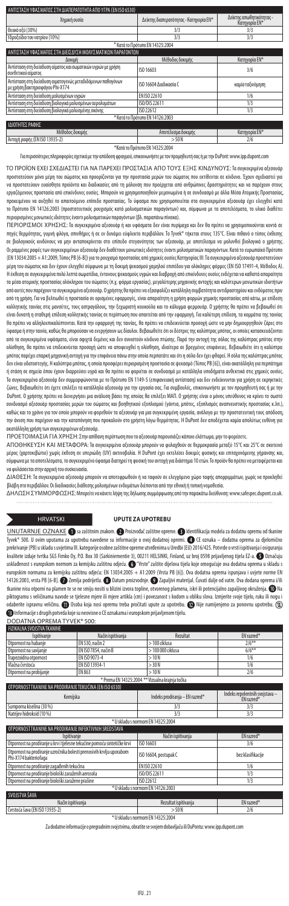| ΑΝΤΙΣΤΑΣΗ ΥΦΑΣΜΑΤΟΣ ΣΤΗ ΔΙΑΠΕΡΑΤΟΤΗΤΑ ΑΠΟ ΥΓΡΑ (ΕΝ ISO 6530)<br>Χημική ουσία                   | Δείκτης διαπερατότητας - Κατηγορία ΕΝ* | Δείκτης απωθητικότητας -<br>Κατηγορία ΕΝ* |  |  |  |
|------------------------------------------------------------------------------------------------|----------------------------------------|-------------------------------------------|--|--|--|
| Θειικό οξύ (30%)                                                                               | 3/3                                    | 3/3                                       |  |  |  |
| Υδροξείδιο του νατρίου (10%)                                                                   | 3/3                                    | 3/3                                       |  |  |  |
|                                                                                                | * Κατά το Πρότυπο ΕΝ 14325:2004        |                                           |  |  |  |
| ΓΑΣΗ ΥΦΑΣΜΑΤΟΣ ΣΤΗ ΔΙΕΙΣΔΥΣΗ ΜΟΛΥΣΜΑΤΙΚΩΝ ΠΑΡΑΓΟΝΤΩΝ                                           |                                        |                                           |  |  |  |
| Δοκιμή                                                                                         | Μέθοδος δοκιμής                        | Κατηγορία ΕΝ*                             |  |  |  |
| Αντίσταση στη διείσδυση αίματος και σωματικών υγρών με χρήση<br>συνθετικού αίματος             | ISO 16603                              | 3/6                                       |  |  |  |
| Αντίσταση στη διείσδυση αιματογενώς μεταδιδόμενων παθογόνων<br>με χρήση βακτηριοφάγου Phi-X174 | 150 16604 Διαδικασία Ο                 | καμία ταξινόμηση                          |  |  |  |
| Αντίσταση στη διείσδυση μολυσμένων υγρών                                                       | FN ISO 22610                           | 1/6                                       |  |  |  |
| Αντίσταση στη διείσδυση βιολογικά μολυσμένων αερολυμάτων                                       | ISO/DIS 22611                          | 1/3                                       |  |  |  |
| Αντίσταση στη διείσδυση βιολογικά μολυσμένης σκόνης                                            | ISO 22612                              | 1/3                                       |  |  |  |
| * Κατά το Πρότυπο ΕΝ 14126:2003                                                                |                                        |                                           |  |  |  |
| ΙΔΙΟΤΗΤΕΣ ΡΑΦΗΣ                                                                                |                                        |                                           |  |  |  |
| Μέθοδος δοκιμής                                                                                | Αποτέλεσμα δοκιμής                     | Κατηγορία ΕΝ*                             |  |  |  |
| Αντοχή ραφής (EN ISO 13935-2)                                                                  | >50N                                   | 2/6                                       |  |  |  |
|                                                                                                | *Κατά το Ποότυπο FN 14325:2004         |                                           |  |  |  |

Για περισσότερες πληροφορίες σχετικά με την απόδοση φραγμού, επικοινωνήστε με τον προμηθευτή σας ή με την DuPont: www.ipp.dupont.com

ΤΟ ΠΡΟΪΟΝ ΕΧΕΙ ΣΧΕΔΙΑΣΤΕΙ ΓΙΑ ΝΑ ΠΑΡΕΧΕΙ ΠΡΟΣΤΑΣΙΑ ΑΠΟ ΤΟΥΣ ΕΞΗΣ ΚΙΝΔΥΝΟΥΣ: Τα συγκεκριμένα αξεσουάρ προστατεύουν μόνο μέρη του σώματος και προορίζονται για την προστασία μερών του σώματος που εκτίθενται σε κίνδυνο. Έχουν σχεδιαστεί για να προστατεύουν ευαίσθητα προϊόντα και διαδικασίες από τη μόλυνση που προέρχεται από ανθρώπινες δραστηριότητες και να παρέχουν στους εργαζόμενους προστασία από επικίνδυνες ουσίες. Μπορούν να χρησιμοποιηθούν μεμονωμένα ή σε συνδυασμό με άλλα Μέσα Ατομικής Προστασίας, προκειμένου να αυξηθεί το απαιτούμενο επίπεδο προστασίας. Το ύφασμα που χρησιμοποιείται στα συγκεκριμένα αξεσουάρ έχει ελεγχθεί κατά το Πρότυπο EN 14126:2003 (προστατευτικός ρουχισμός κατά μολυσματικών παραγόντων) και, σύμφωνα με τα αποτελέσματα, το υλικό διαθέτει .<br>περισμένες μονωτικές ιδιότητες έναντι μολυσματικ

ΠΕΡΙΟΡΙΣΜΟΙ ΧΡΗΣΗΣ: Τα συγκεκριμένα αξεσουάρ ή και υφάσματα δεν είναι πυρίμαχα και δεν θα πρέπει να χρησιμοποιούνται κοντά σε<br>πηγές θερμότητας, γυμνή φλόγα, σπινθήρες ή σε εν δυνάμει εύφλεκτο περιβάλλον. Το Tyvek® τήκεται σε βιολογικούς κινδύνους να μην ανταποκρίνεται στο επίπεδο στεγανότητας των αξεσουάρ, με αποτέλεσμα να μολυνθεί βιολογικά ο χρήστης. Οιραμμένες ραφές των συγκεκριμένων αξεσουάρ δεν διαθέτουν μονωτικές ιδιότητες έναντι μολυσματικών παραγόντων. Κατά το ευρωπαϊκό Πρότυπο (EN 13034:2005 + A1:2009, Τύπος PB [6-B]) για το ρουχισμό προστασίας από χημικές ουσίες Κατηγορίας III: Τα συγκεκριμένα αξεσουάρ προστατεύουν μέρη του σώματος και δεν έχουν ελεγχθεί σύμφωνα με τη δοκιμή ψεκασμού χαμηλού επιπέδου για ολόκληρες φόρμες (EN ISO 17491-4, Μέθοδος Α). Η έκθεση σε συγκεκριμένα πολύ λεπτά σωματίδια, έντονους ψεκασμούς υγρών και διαβροχή από επικίνδυνες ουσίες ενδέχεται να καθιστά απαραίτητα τα μέσα ατομικής προστασίας ολόκληρου του σώματος (π.χ. φόρμα εργασίας), μεγαλύτερης μηχανικής αντοχής και καλύτερων μονωτικών ιδιοτήτων από αυτές που παρέχουν τα συγκεκριμένα αξεσουάρ. Ο χρήστης θα πρέπει να εξασφαλίζει κατάλληλη συμβατότητα αντιδραστηρίου και ενδύματος πριν από τη χρήση. Για να βελτιωθεί η προστασία σε ορισμένες εφαρμογές, είναι απαραίτητη η χρήση φορμών χημικής προστασίας από κάτω, με επίδεση κολλητικής ταινίας στις μανσέτες, τους αστραγάλους, την ξεχωριστή κουκούλα και το κάλυμμα φερμουάρ. Ο χρήστης θα πρέπει να βεβαιωθεί ότι είναι δυνατή η σταθερή επίδεση κολλητικής ταινίας σε περίπτωση που απαιτείται από την εφαρμογή. Για καλύτερη επίδεση, τα κομμάτια της ταινίας θα πρέπει να αλληλοεπικαλύπτονται. Κατά την εφαρμογή της ταινίας, θα πρέπει να επιδεικνύεται προσοχή ώστε να μην δημιουργηθούν ζάρες στο ύφασμα ή στην ταινία, καθώς θα μπορούσαν να ενεργήσουν ως δίαυλοι. Βεβαιωθείτε ότι οι δέστρες της καλύπτρας μπότας, οι οποίες κατασκευάζονται από τα συγκεκριμένα υφάσματα, είναι σφιχτά δεμένες και δεν συνιστούν κίνδυνο πτώσης. Παρά την αντοχή της σόλας της καλύπτρας μπότας στην ολίσθηση, θα πρέπει να επιδεικνύεται προσοχή ώστε να αποφευχθεί η ολίσθηση, ιδιαίτερα σε βρεγμένες επιφάνειες. Βεβαιωθείτε ότι η καλύπτρα μπότας παρέχει επαρκή μηχανική αντοχή για την επιφάνεια πάνω στην οποία περπατάτε και ότι η σόλα δεν έχει φθαρεί. Η σόλα της καλύπτρας μπότας δεν είναι υδατοστεγής. Η καλύπτρα μπότας, η οποία προσφέρει περιορισμένη προστασία σε ψεκασμό (Τύπος PB [6]), είναι ακατάλληλη για περπάτημα ή στάση σε σημεία όπου έχουν διαρρεύσει υγρά και θα πρέπει να φοριέται σε συνδυασμό με κατάλληλα υποδήματα ανθεκτικά στις χημικές ουσίες. Τα συγκεκριμένα αξεσουάρ δεν συμμορφώνονται με το Πρότυπο EN 1149-5 (επιφανειακή αντίσταση) και δεν ενδείκνυνται για χρήση σε εκρηκτικές ζώνες. Βεβαιωθείτε ότι έχετε επιλέξει τα κατάλληλα αξεσουάρ για την εργασία σας. Για συμβουλές, επικοινωνήστε με τον προμηθευτή σας ή με την DuPont. Ο χρήστης πρέπει να διενεργήσει μια ανάλυση βάσει της οποίας θα επιλέξει ΜΑΠ. Ο χρήστης είναι ο μόνος υπεύθυνος να κρίνει το σωστό συνδυασμό αξεσουάρ προστασίας μερών του σώματος και βοηθητικού εξοπλισμού (γάντια, μπότες, εξοπλισμός αναπνευστικής προστασίας κ.λπ.), καθώς και το χρόνο για τον οποίο μπορούν να φορεθούν τα αξεσουάρ για μια συγκεκριμένη εργασία, ανάλογα με την προστατευτική τους απόδοση,<br>την άνεση που παρέχουν και την καταπόνηση που προκαλούν στο χρήστη λόγω θερμότητας. .<br>κατάλληλη χρήση των συγκεκριμένων αξεσουάρ.

ΠΡΟΕΤΟΙΜΑΣΙΑ ΓΙΑ ΧΡΗΣΗ: Στην απίθανη περίπτωση που το αξεσουάρ παρουσιάζει κάποιο ελάττωμα, μην το φορέσετε.

ΑΠΟΘΗΚΕΥΣΗ ΚΑΙ ΜΕΤΑΦΟΡΑ: Τα συγκεκριμένα αξεσουάρ μπορούν να φυλαχθούν σε θερμοκρασία μεταξύ 15°C και 25°C σε σκοτεινό μέρος (χαρτοκιβώτιο) χωρίς έκθεση σε υπεριώδη (UV) ακτινοβολία. Η DuPont έχει εκτελέσει δοκιμές φυσικής και επιταχυνόμενης γήρανσης και, σύμφωνα με τα αποτελέσματα, το συγκεκριμένο ύφασμα διατηρεί τη φυσική του αντοχή για διάστημα 10 ετών. Το προϊόν θα πρέπει να μεταφέρεται και να φυλάσσεται στην αρχική του συσκευασία.

ΔΙΑΘΕΣΗ: Τα συγκεκριμένα αξεσουάρ μπορούν να αποτεφρωθούν ή να ταφούν σε ελεγχόμενο χώρο ταφής απορριμμάτων, χωρίς να προκληθεί βλάβη στο περιβάλλον. Οι διαδικασίες διάθεσης μολυσμένων ενδυμάτων διέπονται από την εθνική ή τοπική νομοθεσία.

ΔΗΛΩΣΗ ΣΥΜΜΟΡΦΩΣΗΣ: Μπορείτε να κάνετε λήψη της δήλωσης συμμόρφωσης από την παρακάτω διεύθυνση: www.safespec.dupont.co.uk.

### HRVATSKI **UPUTE ZA UPOTREBU**

UNUTARNJE OZNAKE i sa zaštitnim znakom. **O** Proizvođač zaštitne opreme. **O** Identifikacija modela za dodatnu opremu od tkan Tyvek® 500. U ovim uputama za upotrebu navedene su informacije o ovoj dodatnoj opremi. CE oznaka – dodatna oprema za djelomično prekrivanje (PB) u skladu s uvjetima III. kategorije osobne zaštitne opreme utvrđenima u Uredbi (EU) 2016/425. Potvrde o vrsti ispitivanja i osiguranju kvalitete izdaje tvrtka SGS Fimko Oy, P.O. Box 30 (Särkiniementie 3), 00211 HELSINKI, Finland, uz broj 0598 prijavljenog tijela EZ-a. Označuju usklađenost s europskom normom za kemijsku zaštitnu odjeću. **O** "Vrste" zaštite dijelova tijela koje omogućuje ova dodatna oprema u skladu s europskim normama za kemijsku zaštitnu odjeću: EN 13034:2005 + A1:2009 (Vrsta PB [6]). Ova dodatna oprema ispunjava i uvjete norme EN 14126:2003, vrsta PB [6-B].  $\hat{\bm{O}}$  Zemlja podrijetla.  $\bm{\odot}$  Datum proizvodnje.  $\bm{\odot}$  Zapaljivi materijal. Čuvati dalje od vatre. Ova dodana opren tkanine nisu otporni na plamen te se ne smiju nositi u blizini izvora topline, otvorenog plamena, iskri ili potencijalno zapaljivog okruženja. 1 Na piktogramu s veličinama navode se tjelesne mjere ili mjere artikla (cm) i povezanost s kodom u obliku slova. Izmjerite svoje tijelo, ruku ili nogu i daberite ispravnu veličinu. **OD** Osoba koja nosi opremu treba pročitati upute za upotrebu. **D** Nije namijenjeno za ponovnu upotrebu. (2) Informacije s drugih potvrda koje su neovisne o CE oznakama i europskom prijavljenom tijelu.

DODATNA OPREMA TYVEK® 500: FIZIKALNA SVOJSTVA TKANINE

| Ispitivanje                                                                                   | <b>Rezultat</b><br>Način ispitivanja |                                                 | EN razred*                                   |
|-----------------------------------------------------------------------------------------------|--------------------------------------|-------------------------------------------------|----------------------------------------------|
| Otpornost na habanie                                                                          | EN 530, način 2                      | > 100 ciklusa                                   | $7/6***$                                     |
| Otpornost na savijanje                                                                        | EN ISO 7854, način B                 | > 100 000 ciklusa                               | $6/6***$                                     |
| Trapezoidna otpornost                                                                         | FN ISO 9073-4                        | >10N                                            | 1/6                                          |
| Vlačna čvrstoća                                                                               | EN ISO 13934-1                       | > 30 N                                          | 1/6                                          |
| Otpornost na probijanje                                                                       | EN 863                               | >10N                                            | 2/6                                          |
|                                                                                               |                                      | * Prema EN 14325:2004 ** Vizualna krajnja točka |                                              |
| OTPORNOST TKANINE NA PRODIRANJE TEKUĆINA (EN ISO 6530)                                        |                                      |                                                 |                                              |
| Kemijska                                                                                      |                                      | Indeks prodiranja - EN razred*                  | Indeks repelentnih svojstava –<br>EN razred* |
| Sumporna kiselina (30 %)                                                                      |                                      | 3/3                                             | 3/3                                          |
| Natrijev hidroksid (10 %)                                                                     |                                      | 3/3                                             | 3/3                                          |
|                                                                                               |                                      | * U skladu s normom EN 14325:2004               |                                              |
| OTPORNOST TKANINE NA PRODIRANJE INFEKTIVNIH SREDSTAVA                                         |                                      |                                                 |                                              |
| Ispitivanje                                                                                   |                                      | Način ispitivanja                               | EN razred*                                   |
| Otpornost na prodiranje u krv i tjelesne tekućine pomoću sintetičke krvi                      |                                      | ISO 16603                                       | 3/6                                          |
| Otpornost na prodiranje uzročnika bolesti prenosivih krvlju uporabom<br>Phi-X174 bakteriofaga |                                      | ISO 16604, postupak C                           | bez klasifikacije                            |
| Otpornost na prodiranje zagađenih tekućina                                                    |                                      | EN ISO 22610                                    | 1/6                                          |
| Otpornost na prodiranie biološki zaraženih aerosola                                           |                                      | ISO/DIS 22611                                   | 1/3                                          |
| Otpornost na prodiranje biološki zaražene prašine                                             |                                      | ISO 22612                                       | 1/3                                          |
|                                                                                               |                                      |                                                 |                                              |
|                                                                                               |                                      | * U skladu s normom EN 14126:2003               |                                              |
| SVOJSTVA ŠAVA                                                                                 |                                      |                                                 |                                              |
| Način ispitivanja<br>Čvrstoća šava (EN ISO 13935-2)                                           |                                      | Rezultat ispitivanja                            | EN razred*                                   |

\* U skladu s normom EN 14325:2004

Za dodatne informacije o pregradnim svojstvima, obratite se svojem dobavljaču ili DuPontu: www.ipp.dupont.com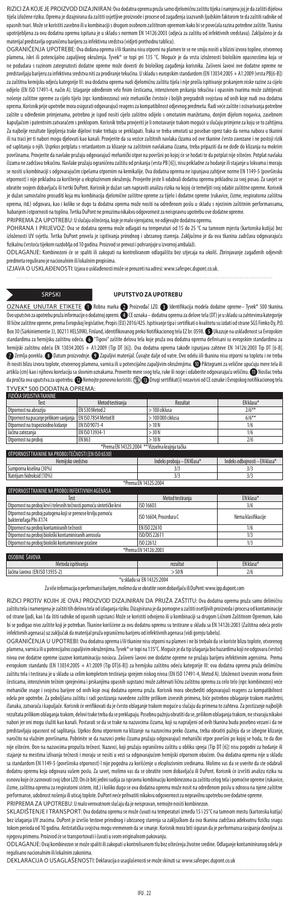RIZICI ZA KOJE JE PROIZVOD DIZAJNIRAN: Ova dodatna oprema pruža samo djelomičnu zaštitu tijeka i namjena joj je da zaštiti dijelova tijela izložene riziku. Oprema je dizajnirana da zaštiti osjetljive proizvode i procese od zagađenja izazvanih ljudskim faktorom te da zaštiti radnike od opasnih tvari. Može se koristiti zasebno ili u kombinaciji s drugom osobnom zaštitnom opremom kako bi se povećala razina potrebne zaštite. Tkanina upotrijebljena za ovu dodatnu opremu ispitana je u skladu s normom EN 14126:2003 (odjeća za zaštitu od infektivnih sredstava). Zaključeno je da aterijal predstavlja ograničenu barijeru za infektivna sredstva (vidjeti prethodnu tablicu).

OGRANIČENJA UPOTREBE: Ova dodana oprema i/ili tkanina nisu otporni na plamen te se ne smiju nositi u blizini izvora topline, otvorenog plamena, iskri ili potencijalno zapaljivog okruženja. Tyvek® se topi pri 135 °C. Moguće je da vrsta izloženosti biološkim opasnostima koja se ne podudara s razinom zategnutosti dodatne opreme može dovesti do biološkog zagađenja korisnika. Zašiveni šavovi ove dodatne opreme ne predstavljaju barijeru za infektivna sredstva niti za prodiranje tekućina. U skladu s europskim standardom (EN 13034:2005 + A1:2009 (vrsta PB[6-B]) za zaštitnu kemijsku odjeću kategorije III: ova dodatna oprema nudi djelomičnu zaštitu tijela i nije prošla ispitivanje prskanjem niske razine za cijelo odijelo (EN ISO 17491-4, način A). Izlaganje određenim vrlo finim česticama, intenzivnom prskanju tekućina i opasnim tvarima može zahtijevati nošenje zaštitne opreme za cijelo tijelo (npr. kombinezona) veće mehaničke čvrstoće i boljih pregradnih svojstava od onih koje nudi ova dodatna oprema. Korisnik prije upotrebe mora osigurati odgovarajući reagens za kompatibilnost odjevnog predmeta. Radi veće zaštite i ostvarivanja potrebne .<br>zaštite u određenim primjenama, potrebno je ispod nositi cijelo zaštitno odijelo s omotanim manžetama, donjim dijelom nogavica, zasebnor kapuljačom i patentnim zatvaračem s preklopom. Korisnik treba provjeriti je li omotavanje trakom moguće u slučaju primjene za koju se to zahtijeva. Za najbolje rezultate lijepljenja trake dijelovi trake trebaju se preklapati. Traka se treba omotati uz poseban oprez tako da nema nabora u tkanini ili na traci jer ti nabori mogu djelovati kao kanali. Provjerite da su vezice zaštitnih navlaka čizama od ove tkanine čvrsto zavezane i ne postoji rizik od saplitanja o njih. Usprkos potplatu s retardantom za klizanje na zaštitnim navlakama čizama, treba pripaziti da ne dođe do klizanja na mokrim površinama. Provjerite da navlake pružaju odgovarajući mehanički otpor na površini po kojoj će se hodati te da potplat nije oštećen. Potplat navlaka čizama ne zadržava tekućinu. Navlake pružaju ograničenu zaštitu od prskanja (vrsta PB [6]), nisu prikladne za hodanje ili stajanje u lokvama i moraju se nositi u kombinaciji s odgovarajućim cipelama otpornim na kemikalije. Ova dodatna oprema ne ispunjava zahtjeve norme EN 1149-5 (površinska otpornost) i nije prikladna za korištenje u eksplozivnom okruženju. Provjerite jeste li odabrali dodatnu opremu prikladnu za svoj posao. Za savjet se obratite svojem dobavljaču ili tvrtki DuPont. Korisnik je dužan sam napraviti analizu rizika na kojoj će temeljiti svoj odabir zaštitne opreme. Korisnik je dužan samostalno prosuditi koja mu kombinacija djelomične zaštitne opreme za tijelo i dodatne opreme (rukavice, čizme, respiratorna zaštitna oprema, itd.) odgovara, kao i koliko se dugo ta dodatna oprema može nositi na određenom poslu u skladu s njezinim zaštitnim performansama, habanjem i otpornosti na toplinu. Tvrtka DuPont ne preuzima nikakvu odgovornost za neispravnu upotrebu ove dodatne opreme. PRIPREMA ZA UPOTREBU: U slučaju oštećenja, koje je malo vjerojatno, ne odijevajte dodatnu opremu.

POHRANA I PRIJEVOZ: Ova se dodatna oprema može odlagati na temperaturi od 15 do 25 °C na tamnom mjestu (kartonska kutija) bez izloženosti UV svjetlu. Tvrtka DuPont provela je ispitivanja prirodnog i ubrzanog starenja. Zaključeno je da ova tkanina zadržava odgovarajuću fizikalnu čvrstoću tijekom razdoblja od 10 godina. Proizvod se prevozi i pohranjuje u izvornoj ambalaži.

ODLAGANJE: Kombinezoni će se spaliti ili zakopati na kontroliranom odlagalištu bez utjecaja na okoliš. Zbrinjavanje zagađenih odjevnih . . . . . .<br>dmeta regulirano je nacionalnim ili lokalnim propisima.

IZJAVA O USKLAĐENOSTI: Izjava o usklađenosti može se preuzeti na adresi: www.safespec.dupont.co.uk.

SRPSKI **UPUTSTVO ZA UPOTREBU**

<u>OZNAKE UNUTAR ETIKETE</u> ● Robna marka ● Proizvođač LZO. ● Identifikacija modela dodatne opreme– Tyvek® 500 tkanina.<br>Ovo uputstvozaupotrebu pružainformacije ododatnoj opremi. ● CE oznaka–dodatna oprema za delove tela (D III lične zaštitne opreme, prema Evropskoj legislative, Propis (EU) 2016/425. Ispitivanje tipa i sertifikati o kvalitetu su izdati od strane SGS Fimko Oy, P.O. Box 30 (Särkiniementie 3), 00211 HELSINKI, Finland, identifikovanog preko Notifikacionog tela EZ br. 0598.  $\bigcirc$  Ukazuje na usklađenost sa Evropskim standardima za hemijsku zaštitnu odeću. CO "Tipovi" zaštite delova tela koje pruža ova dodatna oprema definisani su evropskim standardima za<br>hemijski zaštitnu odeću EN 13034:2005 + A1:2009 (Tip DT [6]). Ova dodatna oprema Zemlja porekla. Datum proizvodnje. Zapaljivi materijal. Čuvajte dalje od vatre. Ovo odelu iili tkanina nisu otporni na toplotu i ne treba ih nositi blizu izvora toplote, otvorenog plamena, varnica ili u potencijalno zapaljivim okruženjima. @ Piktogrami za veličine upućuju mere tela ili<br>artikla (cm) kao i njihovu korelaciju sa slovnim oznakama. Proverite mere da pročita ova uputstva za upotrebu. @ Nemojte ponovno koristiti. © @ Drugi sertifikat(i) nezavisni od CE oznake i Evropskog notifikacionog tela. TYVEK® 500 DODATNA OPREMA:

| FIZIČKA SVOJSTVA TKANINE                           |                     |                   |           |  |  |
|----------------------------------------------------|---------------------|-------------------|-----------|--|--|
| Test                                               | Metod testirania    | Rezultat          | FN klasa* |  |  |
| Otpornost na abraziju                              | EN 530 Metod 2      | > 100 ciklusa     | $2/6***$  |  |  |
| Otpornost na pucanje prilikom savijanja            | FN ISO 7854 Metod B | $>100000$ ciklusa | $6/6**$   |  |  |
| Otpornost na trapezioidno kidanje                  | FN ISO 9073-4       | >10N              | 1/6       |  |  |
| Jačina zatezanja                                   | FN ISO 13934-1      | > 30 N            | 1/6       |  |  |
| Otpornost na proboj                                | EN 863              | >10N              | 2/6       |  |  |
| *Prema EN 14325:2004 ** Vizuelna krainia tačka     |                     |                   |           |  |  |
| OTPORNOST TKANINE NA PROBOJ TEČNOSTI (EN ISO 6530) |                     |                   |           |  |  |

| Hemijsko sredstvo                                                                   | Indeks proboja – EN Klasa* | Indeks odboinosti – EN klasa* |  |  |
|-------------------------------------------------------------------------------------|----------------------------|-------------------------------|--|--|
| Sumporna kiselina (30%)                                                             | 3/3                        | 3/3                           |  |  |
| Natriium hidroksid (10%)                                                            | 3/3                        | 3/3                           |  |  |
|                                                                                     | *Prema EN 14325:2004       |                               |  |  |
| OTPORNOST TKANINE NA PROBOJ INFEKTIVNIH AGENASA                                     |                            |                               |  |  |
| Test                                                                                | Metod testirania           | EN klasa*                     |  |  |
| Otpornost na proboj krvi i telesnih tečnosti pomoću sintetičke krvi                 | ISO 16603                  | 3/6                           |  |  |
| Otpornost na proboj patogena koji se prenose krvlju pomoću<br>bakteriofaga Phi-X174 | ISO 16604. Procedura C     | Nema klasifikacije            |  |  |
| Otpornost na proboj kontamiranih tečnosti                                           | FN ISO 22610               | 1/6                           |  |  |
| Otpornost na proboj biološki kontaminiranih aerosola                                | ISO/DIS 22611              | 1/3                           |  |  |
| Otpornost na proboj biološki kontaminirane prašine                                  | ISO 22612                  | 1/3                           |  |  |
| *Prema EN 14126:2003                                                                |                            |                               |  |  |
| OSOBINE ŠAVOVA                                                                      |                            |                               |  |  |
| Metoda ispitivanja                                                                  | rezultat                   | EN klasa*                     |  |  |
| Jačina šavova (ENISO 13935-2)                                                       | >50N                       | 2/6                           |  |  |

\*u skladu sa EN 14325:2004 Za više informacija o performansi barijere, molimo da se obratite svom dobavljaču ili DuPont: www.ipp.dupont.com

RIZICI PROTIV KOJIH JE OVAJ PROIZVOD DIZAJNIRAN DA PRUŽA ZAŠTITU: Ova dodatna oprema pruža samo delimičnu zaštitu tela i namenjena je zaštiti tih delova tela od izlaganja riziku. Dizajnirana je da pomogne u zaštiti osetljivih proizvoda i procesa od kontaminacije od strane ljudi, kao I da štiti radnike od opasnih supstanci Može se koristiti odvojeno ili u kombinaciji sa drugom Ličnom Zaštitnom Opremom, kako bi se podigao nivo zaštite koji je potreban. Tkanine korišćene za ovu dodatnu opremu su testirane u skladu sa EN 14126:2003 (Zaštitna odeća protiv infektivnih agenasa) uz zaključak da materijal pruža ograničenu barijeru od infektivnih agenasa (vidi gornju tabelu).

OGRANIČENJA U UPOTREBI: Ova dodatna oprema i/ili tkanine nisu otporni na plamen i ne bi trebalo da se koriste blizu toplote, otvorenog plamena, varnica ili u potencijalno zapaljivim okruženjima. Tyvek® se topi na 135°C. Moguće je da tip izlaganja bio hazardima koji ne odgovara čvrstoći nivoa ove dodatne opreme izazove kontaminaciju nosioca. Zašiveni šavovi ove dodatne opreme ne pružaju barijeru infektivnim agensima. Prema evropskom standardu (EN 13034:2005 + A1:2009 (Tip DT[6-B]) za hemijsku zaštitnu odeću kategorije III: ova dodatna oprema pruža delimičnu<br>zaštitu tela i testirana je u skladu sa celim kompletom testiranja sprejem niskog niv česticama, intenzivnim tečnim sprejevima i prskanjima opasnih supstanci može zahtevati ličnu zaštitnu opremu za celo telo (npr. kombinezon) veće mehaničke snage i svojstva barijere od onih koje ovaj dodatna oprema pruža. Korisnik mora obezbediti odgovarajući reagens za kompatibilnost odela pre upotrebe. Za poboljšanu zaštitu i radi postizanja navedene zaštite prilikom izvesnih primena, biće potrebno oblaganje trakom manžetni, članaka, zatvarača i kapuljače. Korisnik će verifikovati da je čvrsto oblaganje trakom moguće u slučaju da primena to zahteva. Za postizanje najboljih rezultata prilikom oblaganja trakom, delovi trake treba da se preklapaju. Posebnu pažnju obratiti da se, prilikom oblaganja trakom, ne stvaraju nikakvi nabori jer oni mogu služiti kao kanali. Postarati se da se trake na nazuvcima čizama, koji su napraljeni od ovih tkanina budu posebno vezani i da ne predstavljaju opasnost od saplitanja. Uprkos đonu otpornom na klizanje na nazuvcima preko čizama, treba obratiti pažnju da se izbegne klizanje, naročito na vlažnim površinama. Pobrinite se da nazuvci preko čizama pružaju odgovarajući mehanički otpor površini po kojoj se hoda, te da đon nije oštećen. Đon na nazuvcima propušta tečnost. Nazuvci, koji pružaju ograničenu zaštitu u obliku spreja (Tip DT [6]) nisu pogodni za hodanje ili stajanje na mestima izlivanja tečnosti i moraju se nositi u vezi sa odgovarajućom hemijski otpornom obućom. Ova dodatna oprema nije u skladu sa standardom EN 1149-5 (površinska otpornost) I nije pogodna za korišćenje u eksplozivnim sredinama. Molimo vas da se uverite da ste odabrali dodatnu opremu koja odgovara vašem poslu. Za savet, molimo vas da se obratite svom dobavljaču ili DuPont. Korisnik će izvršiti analizu rizika na osnovu koje će zasnovati svoj izbor LZO. On će biti jedini sudija za ispravnu kombinaciju kombinezona za zaštitu celog tela i pomoćne opreme (rukavice, čizme, zaštitna oprema za respiratorni sistem, itd.) i koliko dugo se ova dodatna oprema može nosit na određenom poslu u odnosu na njene zaštitne performanse, udobnost nošenja ili uticaj toplote. DuPont neće prihvatiti nikakvu odgovornost za nepravilnu upotrebu ove dodatne opreme. PRIPREMA ZA UPOTREBU: U malo verovatnom slučaju da je neispravan, nemojte nositi kombinezon.

SKLADIŠTENJE I TRANSPORT: Ova dodatna oprema se može čuvati na temperaturi između 15 i 25°C na tamnom mestu (kartonska kutija) bez izlaganja UV zracima. DuPont je izvršio testove prirodnog i ubrzanog starenja sa zaključkom da ova tkanina zadržava adekvatnu fizičku snagu tokom perioda od 10 godina. Antistatička svojstva mogu vremenom da se smanje. Korisnik mora biti siguran da je performansa rasipanja dovoljna za egovu primenu. Proizvod će se transportovati i čuvati u svom originalnom pakovanju.

ODLAGANJE: Ovaj kombinezon se može spaliti ili zakopati u kontrolisanom tlu bez oštećenja životne sredine. Odlaganje kontaminiranog odela je nacionalnim ili lokalnim zakonima

DEKLARACIJA O USAGLAŠENOSTI: Deklaracija o usaglašenosti se može skinuti sa: www.safespec.dupont.co.uk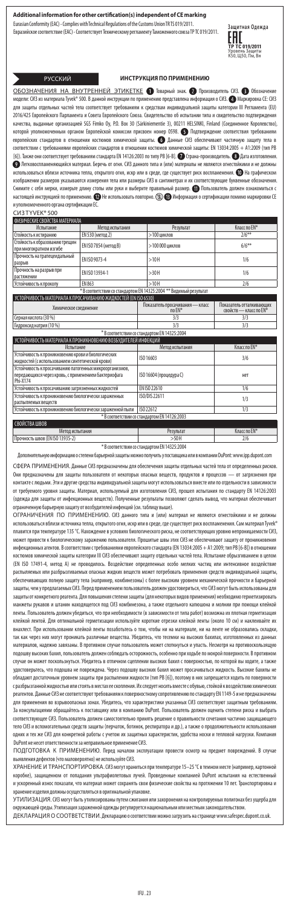Eurasian Conformity (EAC) - Complies with Technical Regulations of the Customs Union TR TS 019/2011. Евразийское соответствие (EAC) - Соответствует Техническому регламенту Таможенного союза ТР ТС 019/2011. **Защитная Одежда**



### РУССКИЙ **ИНСТРУКЦИЯ ПО ПРИМЕНЕНИЮ**

<u>ОБОЗНАЧЕНИЯ НА ВНУТРЕННЕЙ ЭТИКЕТКЕ</u> ● Товарный знак. ● Производитель СИЗ. ● Обозначение<br>модели: СИЗ из материала Tyvek® 500. В данной инструкции по применению представлена информация о СИЗ. ● Маркировка СЕ: СИЗ енению представлена информация о СИЗ. **ФО** Маркировка CE: СИЗ для защиты отдельных частей тела соответствует требованиям к средствам индивидуальной защиты категории III Регламента (EU) 2016/425 Европейского Парламента и Совета Европейского Союза. Свидетельство об испытании типа и свидетельство подтверждения качества, выданные организацией SGS Fimko Oy, P.O. Box 30 (Särkiniementie 3), 00211 HELSINKI, Finland (Соединенное Королевство), которой уполномоченным органом Европейской комиссии присвоен номер 0598. Подтверждение соответствия требованиям европейских стандартов в отношении костюмов химической защиты. ● Данные СИЗ обеспечивают частичную защиту тела в<br>соответствии с требованиями европейских стандартов в отношении костюмов химической зашиты: EN 13034:2005 + соответствии с требованиями европейских стандартов в отношении костюмов хи [6]). Также они соответствует требованиям стандарта EN 14126:2003 по типу PB [6-B]. ۞ Страна-производитель. ۞ Дата изготовления.<br>● Легковоспламеняющийся матеоиал. Беречь от огня. СИЗ данного типа и (или) матеоиалы не явля О Легковоспламеняющийся материал. Беречь от огня. СИЗ данного типа и (или) материалы не являются огнесто использоваться вблизи источника тепла, открытого огня, искр или в среде, где существует риск воспламенения. На графическом изображении размеров указываются измерения тела или размеры СИЗ в сантиметрах и их соответствующие буквенные обозначения.<br>Снимите с себя мерки, измерьте длину стопы или руки и выберите правильный размер. ¶ Пользователь до настоящей инструкцией по применению. **• Н**е использовать повторно. <sup>•</sup> • Информация о сертификации помимо маркировки CE .<br>ого органа сертификации ЕС.

### СИЗ TYVEK® 500

| ФИЗИЧЕСКИЕ СВОЙСТВА МАТЕРИАЛА                                                                                               |                              |                                                                   |                                                    |  |
|-----------------------------------------------------------------------------------------------------------------------------|------------------------------|-------------------------------------------------------------------|----------------------------------------------------|--|
| Испытание                                                                                                                   | Метод испытания<br>Результат |                                                                   | Класс по EN*                                       |  |
| Стойкость к истиранию                                                                                                       | EN 530 (метод 2)             | $>100$ циклов                                                     | $2/6**$                                            |  |
| Стойкость к образованию трещин<br>при многократном изгибе                                                                   | EN ISO 7854 (метод В)        | $>100000$ циклов                                                  | $6/6***$                                           |  |
| Прочность на трапецеидальный<br>разрыв                                                                                      | FN ISO 9073-4                | >10H                                                              | 1/6                                                |  |
| Прочность на разрыв при<br>растяжении                                                                                       | FN ISO 13934-1               | $>30$ H                                                           | 1/6                                                |  |
| Устойчивость к проколу                                                                                                      | FN 863                       | >10H                                                              | 2/6                                                |  |
|                                                                                                                             |                              | * В соответствии со стандартом EN 14325:2004 ** Видимый результат |                                                    |  |
| УСТОЙЧИВОСТЬ МАТЕРИАЛА К ПРОСАЧИВАНИЮ ЖИДКОСТЕЙ (EN ISO 6530)                                                               |                              |                                                                   |                                                    |  |
| Химическое соединение                                                                                                       |                              | Показатель просачивания - класс<br>по FN*                         | Показатель отталкивающих<br>свойств — класс по EN* |  |
| Серная кислота (30 %)                                                                                                       |                              | 3/3                                                               | 3/3                                                |  |
| Гидроксид натрия (10 %)                                                                                                     |                              | 3/3                                                               | 3/3                                                |  |
|                                                                                                                             |                              | * В соответствии со стандартом EN 14325:2004                      |                                                    |  |
| УСТОЙЧИВОСТЬ МАТЕРИАЛА К ПРОНИКНОВЕНИЮ ВОЗБУДИТЕЛЕЙ ИНФЕКЦИЙ                                                                |                              |                                                                   |                                                    |  |
| Испытание                                                                                                                   |                              | <b>Методиспытания</b>                                             | Класс по EN*                                       |  |
| Устойчивость к проникновению крови и биологических<br>жидкостей (с использованием синтетической крови)                      |                              | ISO 16603                                                         | 3/6                                                |  |
| Устойчивость к просачиванию патогенных микроорганизмов,<br>передающихся через кровь, с применением бактериофага<br>Phi-X174 |                              | ISO 16604 (процедура С)                                           | нет                                                |  |
| Устойчивость к просачиванию загрязненных жидкостей                                                                          |                              | FN ISO 22610                                                      | 1/6                                                |  |
| Устойчивость к проникновению биологически зараженных<br>распыляемых веществ                                                 |                              | ISO/DIS 22611                                                     | 1/3                                                |  |
| Устойчивость к проникновению биологически зараженной пыли                                                                   |                              | ISO 22612<br>1/3                                                  |                                                    |  |
|                                                                                                                             |                              | * В соответствии со стандартом EN 14126:2003                      |                                                    |  |
| СВОЙСТВА ШВОВ                                                                                                               |                              |                                                                   |                                                    |  |
| <b>Метод испытания</b>                                                                                                      |                              | Результат                                                         | Класс по EN*                                       |  |
| Прочность швов (EN ISO 13935-2)                                                                                             |                              | $>50$ H<br>2/6                                                    |                                                    |  |
|                                                                                                                             |                              | * В соответствии со стандартом EN 14325:2004                      |                                                    |  |

лтельную информацию о степени барьерной защиты можно получить у поставщика или в компании DuPont: www.ipp.dupont.com

СФЕРА ПРИМЕНЕНИЯ. Данные СИЗ предназначены для обеспечения защиты отдельных частей тела от определенных рисков. Они предназначены для защиты пользователя от некоторых опасных веществ, продуктов и процессов — от загрязнения при кте с людьми. Эти и другие средства индивидуальной защиты могут использоваться вместе или по отдельности в зависимости от требуемого уровня защиты. Материал, используемый для изготовления СИЗ, прошел испытания по стандарту EN 14126:2003 (одежда для защиты от инфекционных веществ). Полученные результаты позволяют сделать вывод, что материал обеспечивает<br>ограниченную барьерную защиту от возбудителей инфекций (см. таблицу выше). ограниченную барьерную защиту от возбудителей инфекций (см. таблицу выше).

ОГРАНИЧЕНИЯ ПО ПРИМЕНЕНИЮ. СИЗ данного типа и (или) материал не являются огнестойкими и не должны использоваться вблизи источника тепла, открытого огня, искр или в среде, где существует риск воспламенения. Сам материал Tyvek® плавится при температуре 135 °C. Нахождение в условиях биологического риска, не соответствующих уровню непроницаемости СИЗ,<br>может привести к биологическому заражению пользователя. Прошитые швы этих СИЗ не обеспечивают защ может привести к биологическому заражению пользователя. Прошитые швы этих СИЗ не обеспечива инфекционных агентов. В соответствии с требованиями европейского стандарта (EN 13034:2005 + A1:2009; тип PB [6-B]) в отношении костюмов химической защиты категории III СИЗ обеспечивают защиту отдельных частей тела. Испытание обрызгиванием в целом (EN ISO 17491-4, метод A) не проводилось. Воздействие определенных особо мелких частиц или интенсивное воздействие распыляемых или разбрызгиваемых опасных жидких веществ может потребовать применения средств индивидуальной защиты, .<br>обеспечивающих полную защиту тела (например, комбинезоны) с более высоким уровнем механической прочности и барьерной защиты, чем у предлагаемых СИЗ. Перед применением пользователь должен удостовериться, что СИЗ могут быть использован защиты от конкретного реагента. Для повышения степени защиты (для некоторых видов применения) необходимо герметизировать манжеты рукавов и штанин находящегося под СИЗ комбинезона, а также отдельного капюшона и молнии при помощи клейкой нты. Пользователь должен убедиться, что при необходимости (в зависимости от типа работ) возможна их плотная герметиза клейкой лентой. Для оптимальной герметизации используйте короткие отрезки клейкой ленты (около 10 см) и наклеивайте их внахлест. При использовании клейкой ленты позаботьтесь о том, чтобы ни на материале, ни на ленте не образовались складки, .<br>эк как через них могут проникать различные вещества. Убедитесь, что тесемки на высоких бахилах, изготовленных из да материалов, надежно завязаны. В противном случае пользователь может споткнуться и упасть. Несмотря на противоскользящую подошву высоких бахил, пользователь должен соблюдать осторожность, особенно при ходьбе по мокрой поверхности. В противном случае он может поскользнуться. Убедитесь в отличном сцеплении высоких бахил с поверхностью, по которой вы ходите, а также .<br>остоверьтесь, что подошва не повреждена. Через подошву высоких бахил может просачиваться жидкость. Высокие бахилы не обладают достаточным уровнем защиты при распылении жидкости (тип PB [6]), поэтому в них запрещается ходить по поверхности сразбрызганной жидкостью или стоять в местах ее скопления. Их следует носить вместе с обувью, стойкой к воздействию химических реагентов. Данные СИЗ не соответствуют требованиям к поверхностному сопротивлению по стандарту EN 1149-5 и не предназначены для применения во взрывоопасных зонах. Убедитесь, что характеристики указанных СИЗ соответствуют защитным требования За консультациями обращайтесь к поставщику или в компанию DuPont. Пользователь должен оценить степени риска и выбрать соответствующее СИЗ. Пользователь должен самостоятельно принять решение о правильности сочетания частично защищающего тело СИЗ и вспомогательных средств защиты (перчаток, ботинок, респиратора и др.), а также о продолжительности использования одних и тех же СИЗ для конкретной работы с учетом их защитных характеристик, удобства носки и тепловой нагрузки. Компания<br>DuPont не несет ответственности за неправильное применение СИЗ. .<br>uPont не несет ответственности за неправил

ПОДГОТОВКА К ПРИМЕНЕНИЮ. Перед началом эксплуатации провести осмотр на предмет повреждений. В случае вения дефектов (что маловероятно) не используйте СИЗ.

ХРАНЕНИЕ И ТРАНСПОРТИРОВКА. СИЗ могут храниться при температуре 15–25°C в темном месте (например, картонной коробке), защищенном от попадания ультрафиолетовых лучей. Проведенные компанией DuPont испытания на естественный и ускоренный износ показали, что материал может сохранять свои физические свойства на протяжении 10 лет. Транспортировка и ие изделия должны осуществляться в оригинальной упаковке.

УТИЛИЗАЦИЯ. СИЗ могут быть утилизированы путем сжигания или захоронения на контролируемых полигонах без ущерба для окружающей среды. Утилизация зараженной одежды регулируется национальным или местным законодательством.

ДЕКЛАРАЦИЯ О СООТВЕТСТВИИ. Декларацию о соответствии можно загрузить на странице www.safespec.dupont.co.uk.